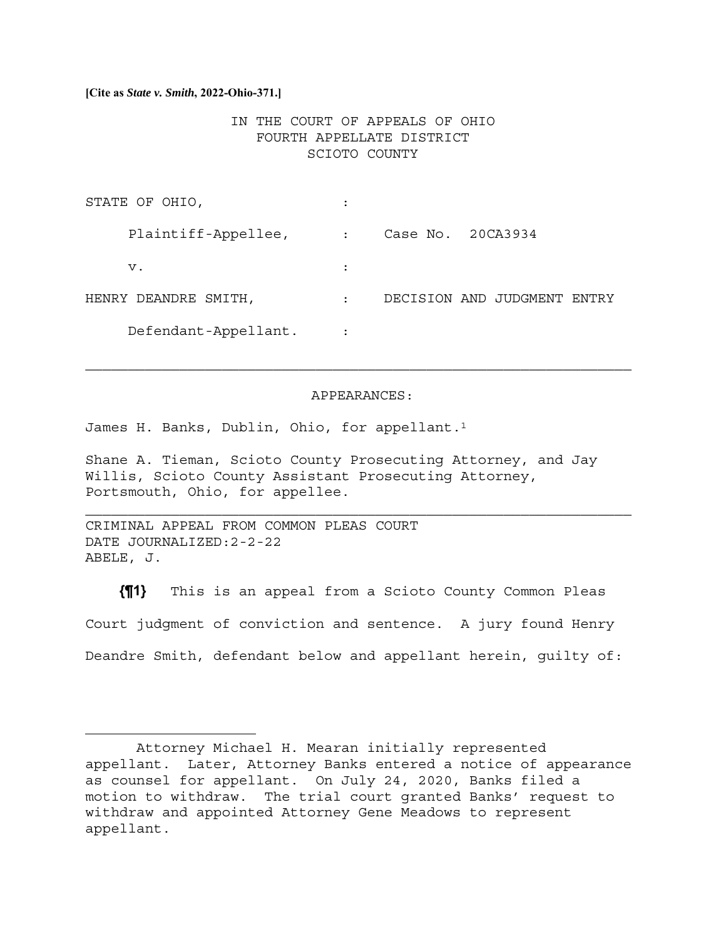**[Cite as** *State v. Smith***, 2022-Ohio-371.]**

# IN THE COURT OF APPEALS OF OHIO FOURTH APPELLATE DISTRICT SCIOTO COUNTY

| STATE OF OHIO,       |           |                                |
|----------------------|-----------|--------------------------------|
| Plaintiff-Appellee,  |           | Case No. 20CA3934              |
| v.                   |           |                                |
| HENRY DEANDRE SMITH, | $\bullet$ | DECISION AND JUDGMENT<br>ENTRY |
| Defendant-Appellant. |           |                                |

### APPEARANCES:

 $\mathcal{L}_\text{max} = \mathcal{L}_\text{max} = \mathcal{L}_\text{max} = \mathcal{L}_\text{max} = \mathcal{L}_\text{max} = \mathcal{L}_\text{max} = \mathcal{L}_\text{max} = \mathcal{L}_\text{max} = \mathcal{L}_\text{max} = \mathcal{L}_\text{max} = \mathcal{L}_\text{max} = \mathcal{L}_\text{max} = \mathcal{L}_\text{max} = \mathcal{L}_\text{max} = \mathcal{L}_\text{max} = \mathcal{L}_\text{max} = \mathcal{L}_\text{max} = \mathcal{L}_\text{max} = \mathcal{$ 

James H. Banks, Dublin, Ohio, for appellant.1

Shane A. Tieman, Scioto County Prosecuting Attorney, and Jay Willis, Scioto County Assistant Prosecuting Attorney, Portsmouth, Ohio, for appellee.

CRIMINAL APPEAL FROM COMMON PLEAS COURT DATE JOURNALIZED:2-2-22 ABELE, J.

**{¶1}** This is an appeal from a Scioto County Common Pleas Court judgment of conviction and sentence. A jury found Henry Deandre Smith, defendant below and appellant herein, guilty of:

Attorney Michael H. Mearan initially represented appellant. Later, Attorney Banks entered a notice of appearance as counsel for appellant. On July 24, 2020, Banks filed a motion to withdraw. The trial court granted Banks' request to withdraw and appointed Attorney Gene Meadows to represent appellant.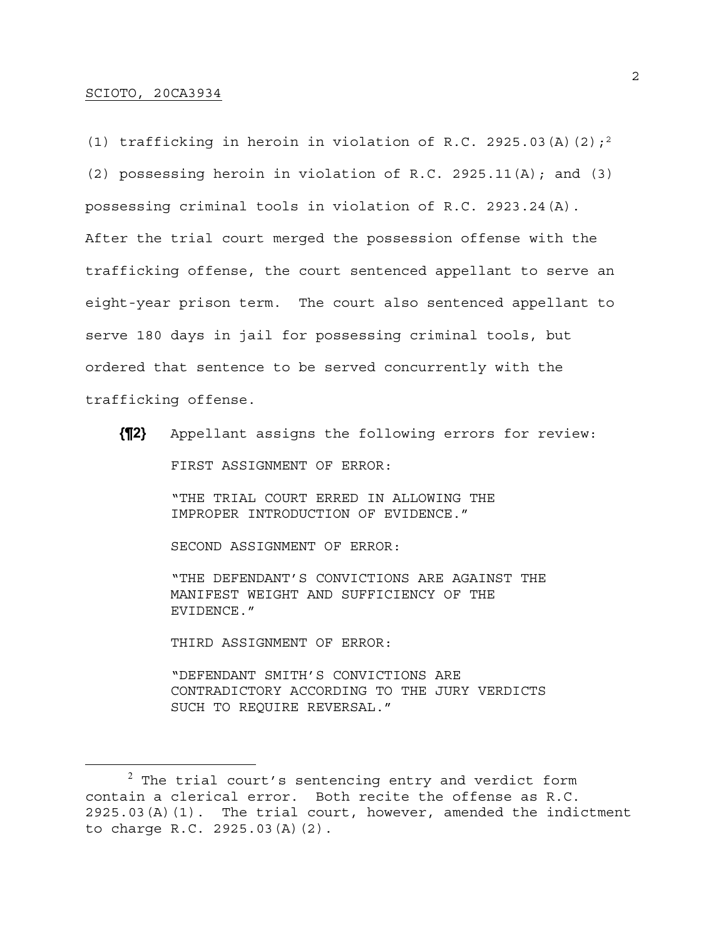# SCIOTO, 20CA3934

(1) trafficking in heroin in violation of R.C. 2925.03(A)(2);<sup>2</sup> (2) possessing heroin in violation of R.C. 2925.11(A); and (3) possessing criminal tools in violation of R.C. 2923.24(A). After the trial court merged the possession offense with the trafficking offense, the court sentenced appellant to serve an eight-year prison term. The court also sentenced appellant to serve 180 days in jail for possessing criminal tools, but ordered that sentence to be served concurrently with the trafficking offense.

**{¶2}** Appellant assigns the following errors for review: FIRST ASSIGNMENT OF ERROR:

> "THE TRIAL COURT ERRED IN ALLOWING THE IMPROPER INTRODUCTION OF EVIDENCE."

SECOND ASSIGNMENT OF ERROR:

"THE DEFENDANT'S CONVICTIONS ARE AGAINST THE MANIFEST WEIGHT AND SUFFICIENCY OF THE EVIDENCE."

THIRD ASSIGNMENT OF ERROR:

"DEFENDANT SMITH'S CONVICTIONS ARE CONTRADICTORY ACCORDING TO THE JURY VERDICTS SUCH TO REQUIRE REVERSAL."

 $^2$  The trial court's sentencing entry and verdict form contain a clerical error. Both recite the offense as R.C. 2925.03(A)(1). The trial court, however, amended the indictment to charge R.C. 2925.03(A)(2).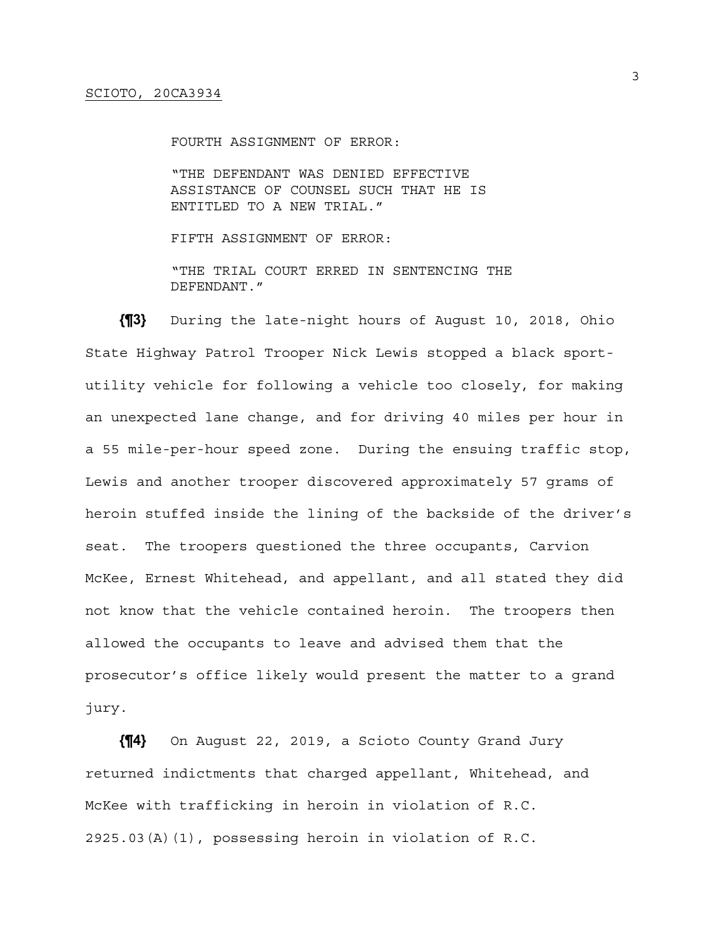FOURTH ASSIGNMENT OF ERROR:

"THE DEFENDANT WAS DENIED EFFECTIVE ASSISTANCE OF COUNSEL SUCH THAT HE IS ENTITLED TO A NEW TRIAL."

FIFTH ASSIGNMENT OF ERROR:

"THE TRIAL COURT ERRED IN SENTENCING THE DEFENDANT."

**{¶3}** During the late-night hours of August 10, 2018, Ohio State Highway Patrol Trooper Nick Lewis stopped a black sportutility vehicle for following a vehicle too closely, for making an unexpected lane change, and for driving 40 miles per hour in a 55 mile-per-hour speed zone. During the ensuing traffic stop, Lewis and another trooper discovered approximately 57 grams of heroin stuffed inside the lining of the backside of the driver's seat. The troopers questioned the three occupants, Carvion McKee, Ernest Whitehead, and appellant, and all stated they did not know that the vehicle contained heroin. The troopers then allowed the occupants to leave and advised them that the prosecutor's office likely would present the matter to a grand jury.

**{¶4}** On August 22, 2019, a Scioto County Grand Jury returned indictments that charged appellant, Whitehead, and McKee with trafficking in heroin in violation of R.C. 2925.03(A)(1), possessing heroin in violation of R.C.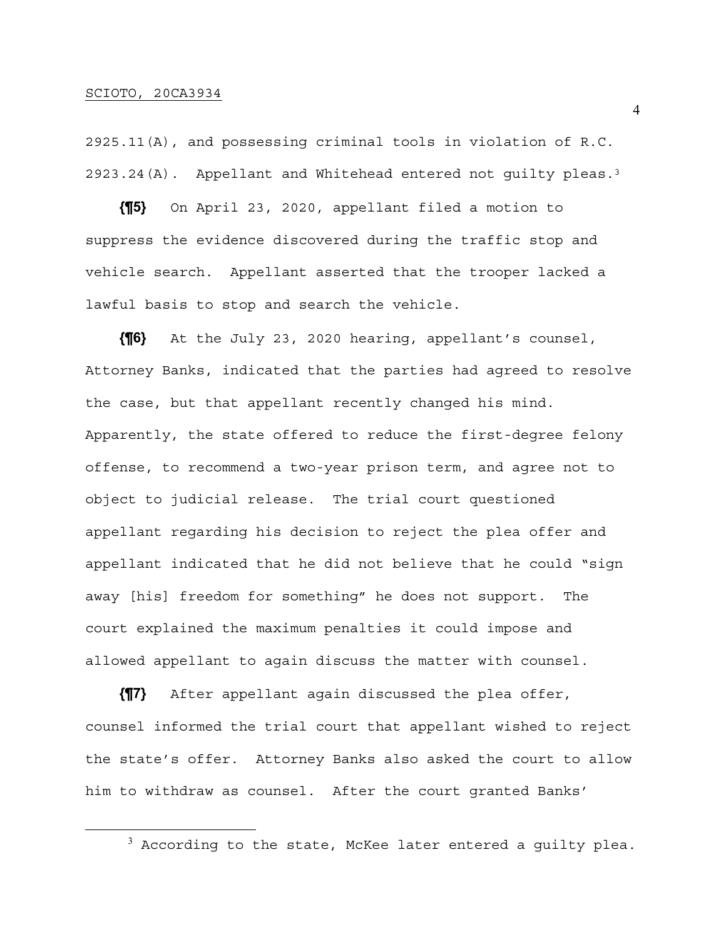## SCIOTO, 20CA3934

2925.11(A), and possessing criminal tools in violation of R.C. 2923.24(A). Appellant and Whitehead entered not guilty pleas.<sup>3</sup>

**{¶5}** On April 23, 2020, appellant filed a motion to suppress the evidence discovered during the traffic stop and vehicle search. Appellant asserted that the trooper lacked a lawful basis to stop and search the vehicle.

**{¶6}** At the July 23, 2020 hearing, appellant's counsel, Attorney Banks, indicated that the parties had agreed to resolve the case, but that appellant recently changed his mind. Apparently, the state offered to reduce the first-degree felony offense, to recommend a two-year prison term, and agree not to object to judicial release. The trial court questioned appellant regarding his decision to reject the plea offer and appellant indicated that he did not believe that he could "sign away [his] freedom for something" he does not support. The court explained the maximum penalties it could impose and allowed appellant to again discuss the matter with counsel.

**{¶7}** After appellant again discussed the plea offer, counsel informed the trial court that appellant wished to reject the state's offer. Attorney Banks also asked the court to allow him to withdraw as counsel. After the court granted Banks'

 $^3$  According to the state, McKee later entered a guilty plea.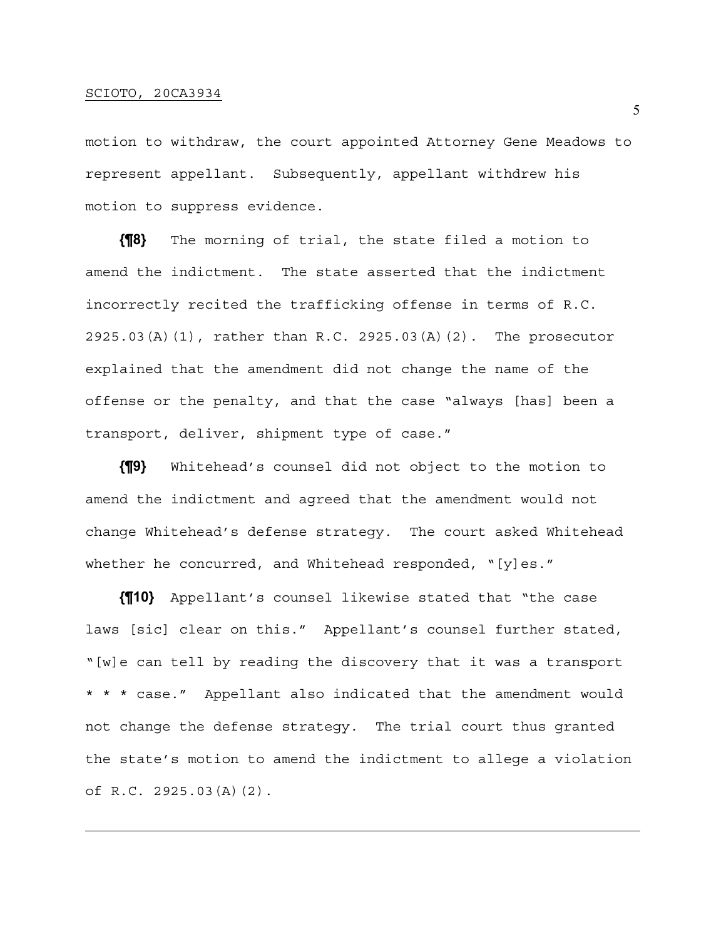motion to withdraw, the court appointed Attorney Gene Meadows to represent appellant. Subsequently, appellant withdrew his motion to suppress evidence.

**{¶8}** The morning of trial, the state filed a motion to amend the indictment. The state asserted that the indictment incorrectly recited the trafficking offense in terms of R.C. 2925.03(A)(1), rather than R.C. 2925.03(A)(2). The prosecutor explained that the amendment did not change the name of the offense or the penalty, and that the case "always [has] been a transport, deliver, shipment type of case."

**{¶9}** Whitehead's counsel did not object to the motion to amend the indictment and agreed that the amendment would not change Whitehead's defense strategy. The court asked Whitehead whether he concurred, and Whitehead responded,  $"$ [y]es."

**{¶10}** Appellant's counsel likewise stated that "the case laws [sic] clear on this." Appellant's counsel further stated, "[w]e can tell by reading the discovery that it was a transport \* \* \* case." Appellant also indicated that the amendment would not change the defense strategy. The trial court thus granted the state's motion to amend the indictment to allege a violation of R.C. 2925.03(A)(2).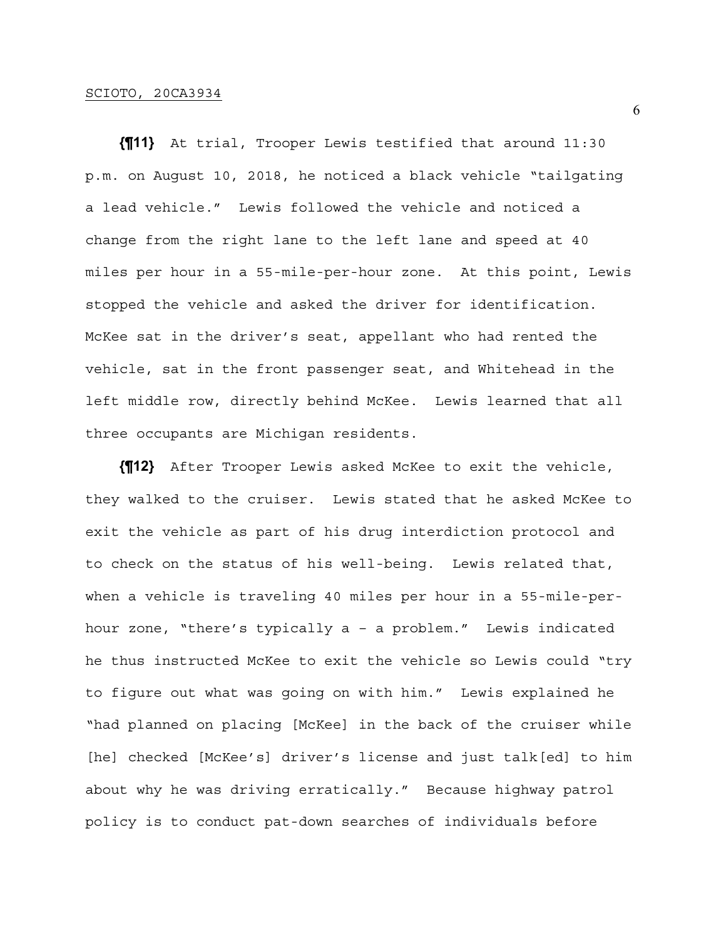**{¶11}** At trial, Trooper Lewis testified that around 11:30 p.m. on August 10, 2018, he noticed a black vehicle "tailgating a lead vehicle." Lewis followed the vehicle and noticed a change from the right lane to the left lane and speed at 40 miles per hour in a 55-mile-per-hour zone. At this point, Lewis stopped the vehicle and asked the driver for identification. McKee sat in the driver's seat, appellant who had rented the vehicle, sat in the front passenger seat, and Whitehead in the left middle row, directly behind McKee. Lewis learned that all three occupants are Michigan residents.

**{¶12}** After Trooper Lewis asked McKee to exit the vehicle, they walked to the cruiser. Lewis stated that he asked McKee to exit the vehicle as part of his drug interdiction protocol and to check on the status of his well-being. Lewis related that, when a vehicle is traveling 40 miles per hour in a 55-mile-perhour zone, "there's typically a – a problem." Lewis indicated he thus instructed McKee to exit the vehicle so Lewis could "try to figure out what was going on with him." Lewis explained he "had planned on placing [McKee] in the back of the cruiser while [he] checked [McKee's] driver's license and just talk[ed] to him about why he was driving erratically." Because highway patrol policy is to conduct pat-down searches of individuals before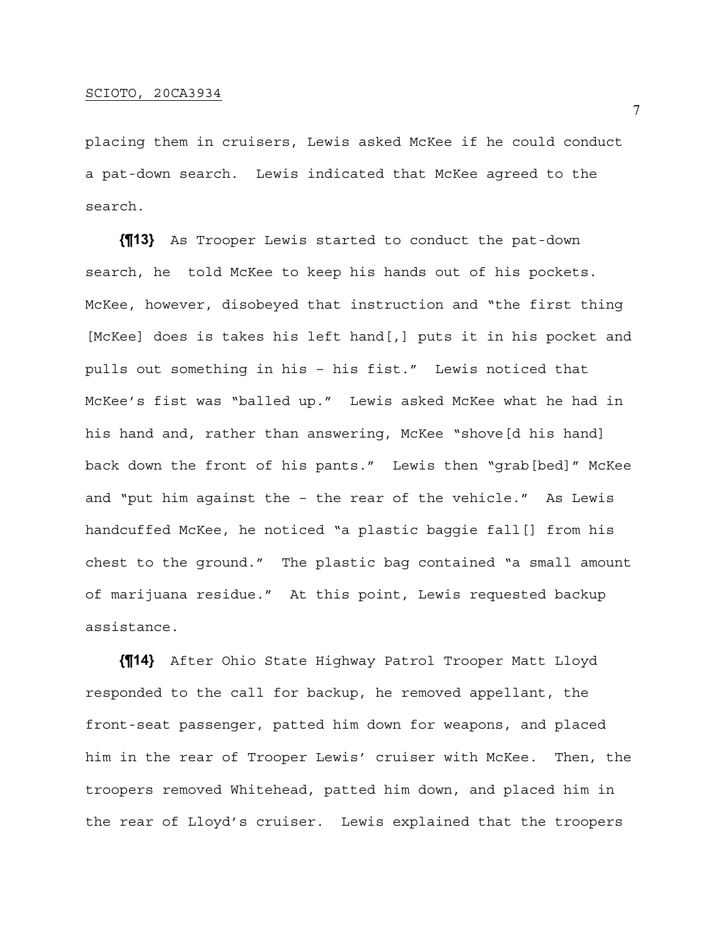placing them in cruisers, Lewis asked McKee if he could conduct a pat-down search. Lewis indicated that McKee agreed to the search.

**{¶13}** As Trooper Lewis started to conduct the pat-down search, he told McKee to keep his hands out of his pockets. McKee, however, disobeyed that instruction and "the first thing [McKee] does is takes his left hand[,] puts it in his pocket and pulls out something in his – his fist." Lewis noticed that McKee's fist was "balled up." Lewis asked McKee what he had in his hand and, rather than answering, McKee "shove[d his hand] back down the front of his pants." Lewis then "grab[bed]" McKee and "put him against the – the rear of the vehicle." As Lewis handcuffed McKee, he noticed "a plastic baggie fall[] from his chest to the ground." The plastic bag contained "a small amount of marijuana residue." At this point, Lewis requested backup assistance.

**{¶14}** After Ohio State Highway Patrol Trooper Matt Lloyd responded to the call for backup, he removed appellant, the front-seat passenger, patted him down for weapons, and placed him in the rear of Trooper Lewis' cruiser with McKee. Then, the troopers removed Whitehead, patted him down, and placed him in the rear of Lloyd's cruiser. Lewis explained that the troopers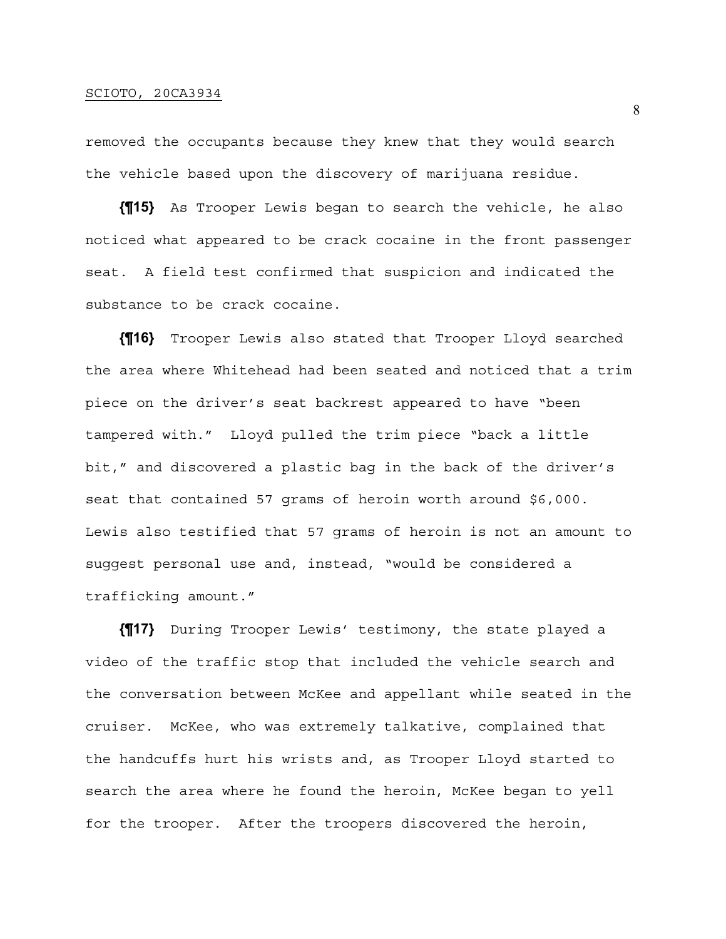removed the occupants because they knew that they would search the vehicle based upon the discovery of marijuana residue.

**{¶15}** As Trooper Lewis began to search the vehicle, he also noticed what appeared to be crack cocaine in the front passenger seat. A field test confirmed that suspicion and indicated the substance to be crack cocaine.

**{¶16}** Trooper Lewis also stated that Trooper Lloyd searched the area where Whitehead had been seated and noticed that a trim piece on the driver's seat backrest appeared to have "been tampered with." Lloyd pulled the trim piece "back a little bit," and discovered a plastic bag in the back of the driver's seat that contained 57 grams of heroin worth around \$6,000. Lewis also testified that 57 grams of heroin is not an amount to suggest personal use and, instead, "would be considered a trafficking amount."

**{¶17}** During Trooper Lewis' testimony, the state played a video of the traffic stop that included the vehicle search and the conversation between McKee and appellant while seated in the cruiser. McKee, who was extremely talkative, complained that the handcuffs hurt his wrists and, as Trooper Lloyd started to search the area where he found the heroin, McKee began to yell for the trooper. After the troopers discovered the heroin,

8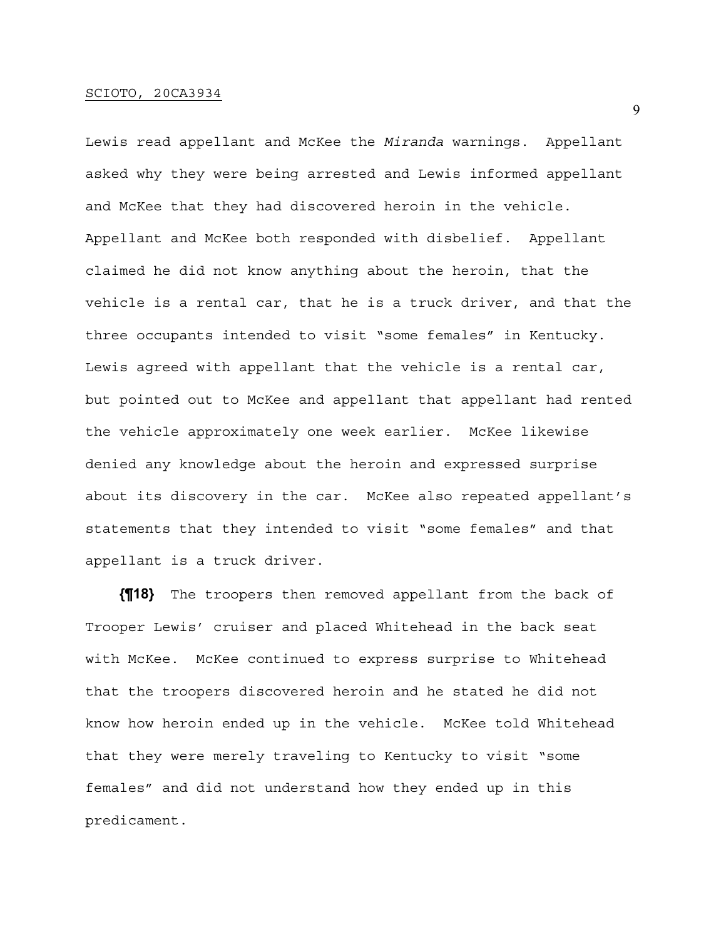Lewis read appellant and McKee the *Miranda* warnings. Appellant asked why they were being arrested and Lewis informed appellant and McKee that they had discovered heroin in the vehicle. Appellant and McKee both responded with disbelief. Appellant claimed he did not know anything about the heroin, that the vehicle is a rental car, that he is a truck driver, and that the three occupants intended to visit "some females" in Kentucky. Lewis agreed with appellant that the vehicle is a rental car, but pointed out to McKee and appellant that appellant had rented the vehicle approximately one week earlier. McKee likewise denied any knowledge about the heroin and expressed surprise about its discovery in the car. McKee also repeated appellant's statements that they intended to visit "some females" and that appellant is a truck driver.

**{¶18}** The troopers then removed appellant from the back of Trooper Lewis' cruiser and placed Whitehead in the back seat with McKee. McKee continued to express surprise to Whitehead that the troopers discovered heroin and he stated he did not know how heroin ended up in the vehicle. McKee told Whitehead that they were merely traveling to Kentucky to visit "some females" and did not understand how they ended up in this predicament.

9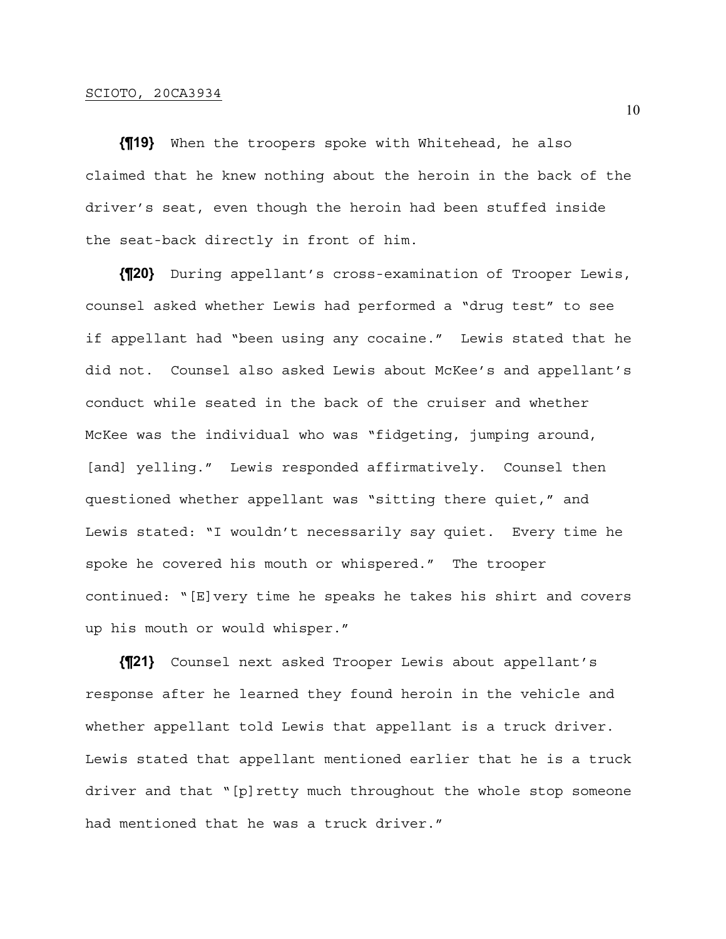## SCIOTO, 20CA3934

**{¶19}** When the troopers spoke with Whitehead, he also claimed that he knew nothing about the heroin in the back of the driver's seat, even though the heroin had been stuffed inside the seat-back directly in front of him.

**{¶20}** During appellant's cross-examination of Trooper Lewis, counsel asked whether Lewis had performed a "drug test" to see if appellant had "been using any cocaine." Lewis stated that he did not. Counsel also asked Lewis about McKee's and appellant's conduct while seated in the back of the cruiser and whether McKee was the individual who was "fidgeting, jumping around, [and] yelling." Lewis responded affirmatively. Counsel then questioned whether appellant was "sitting there quiet," and Lewis stated: "I wouldn't necessarily say quiet. Every time he spoke he covered his mouth or whispered." The trooper continued: "[E]very time he speaks he takes his shirt and covers up his mouth or would whisper."

**{¶21}** Counsel next asked Trooper Lewis about appellant's response after he learned they found heroin in the vehicle and whether appellant told Lewis that appellant is a truck driver. Lewis stated that appellant mentioned earlier that he is a truck driver and that "[p]retty much throughout the whole stop someone had mentioned that he was a truck driver."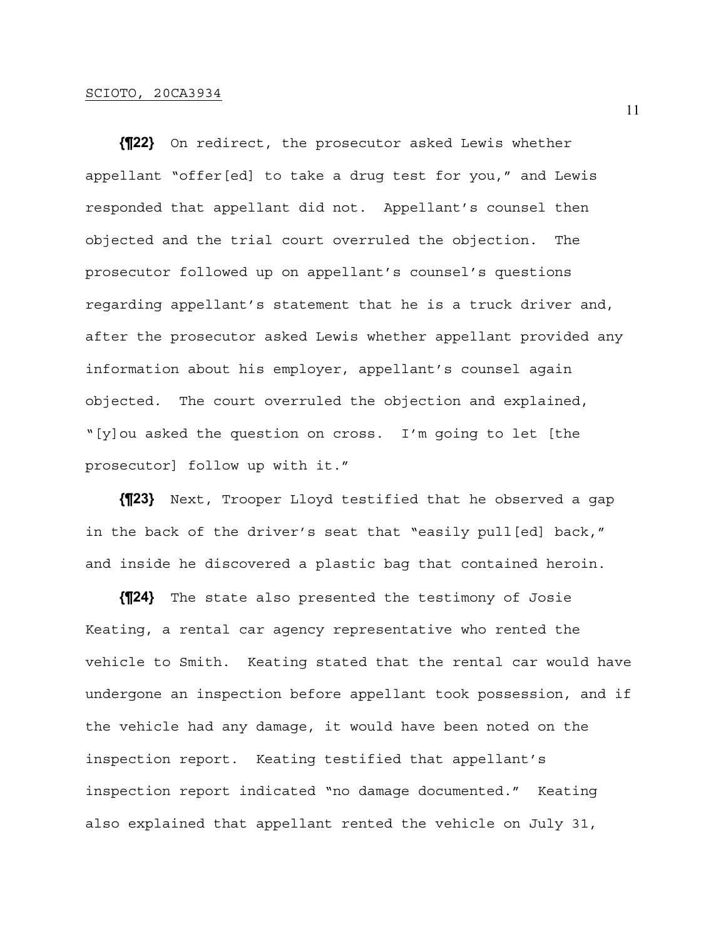**{¶22}** On redirect, the prosecutor asked Lewis whether appellant "offer[ed] to take a drug test for you," and Lewis responded that appellant did not. Appellant's counsel then objected and the trial court overruled the objection. The prosecutor followed up on appellant's counsel's questions regarding appellant's statement that he is a truck driver and, after the prosecutor asked Lewis whether appellant provided any information about his employer, appellant's counsel again objected. The court overruled the objection and explained, "[y]ou asked the question on cross. I'm going to let [the prosecutor] follow up with it."

**{¶23}** Next, Trooper Lloyd testified that he observed a gap in the back of the driver's seat that "easily pull[ed] back," and inside he discovered a plastic bag that contained heroin.

**{¶24}** The state also presented the testimony of Josie Keating, a rental car agency representative who rented the vehicle to Smith. Keating stated that the rental car would have undergone an inspection before appellant took possession, and if the vehicle had any damage, it would have been noted on the inspection report. Keating testified that appellant's inspection report indicated "no damage documented." Keating also explained that appellant rented the vehicle on July 31,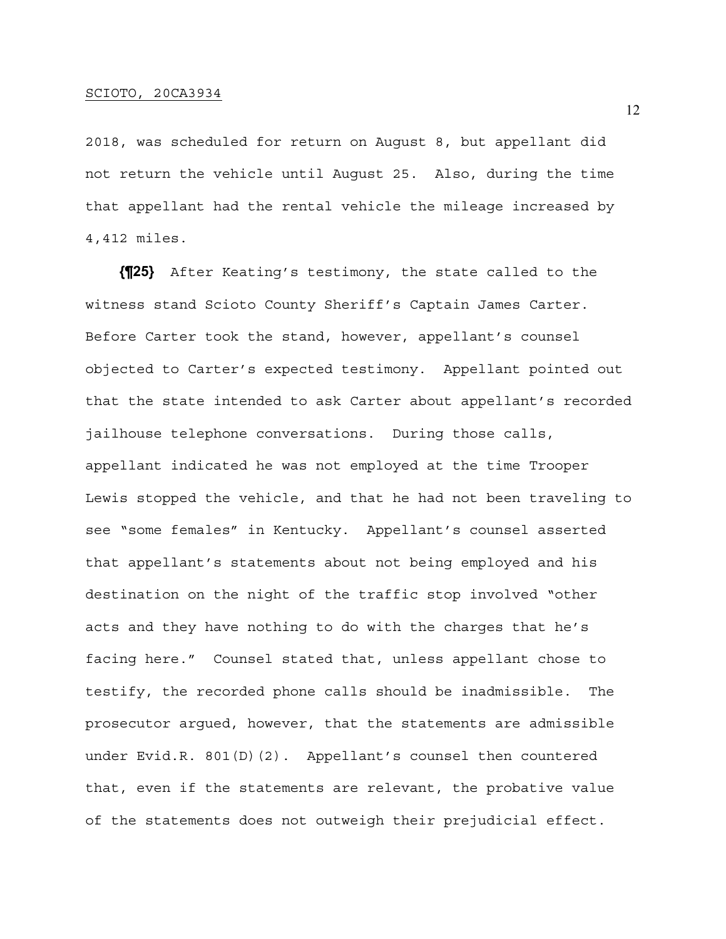2018, was scheduled for return on August 8, but appellant did not return the vehicle until August 25. Also, during the time that appellant had the rental vehicle the mileage increased by 4,412 miles.

**{¶25}** After Keating's testimony, the state called to the witness stand Scioto County Sheriff's Captain James Carter. Before Carter took the stand, however, appellant's counsel objected to Carter's expected testimony. Appellant pointed out that the state intended to ask Carter about appellant's recorded jailhouse telephone conversations. During those calls, appellant indicated he was not employed at the time Trooper Lewis stopped the vehicle, and that he had not been traveling to see "some females" in Kentucky. Appellant's counsel asserted that appellant's statements about not being employed and his destination on the night of the traffic stop involved "other acts and they have nothing to do with the charges that he's facing here." Counsel stated that, unless appellant chose to testify, the recorded phone calls should be inadmissible. The prosecutor argued, however, that the statements are admissible under Evid.R. 801(D)(2). Appellant's counsel then countered that, even if the statements are relevant, the probative value of the statements does not outweigh their prejudicial effect.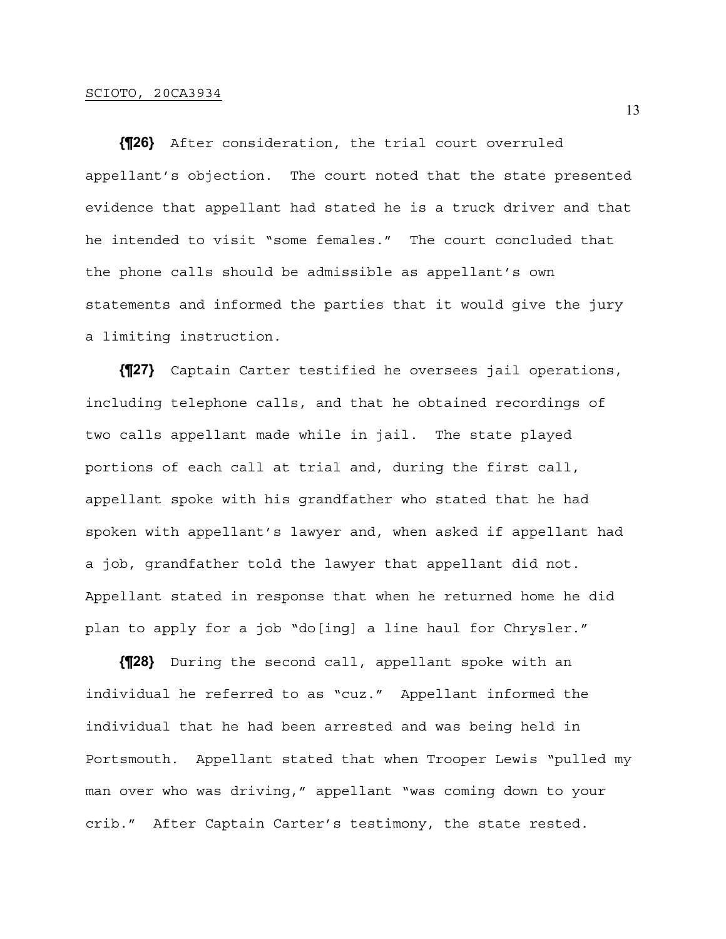**{¶26}** After consideration, the trial court overruled appellant's objection. The court noted that the state presented evidence that appellant had stated he is a truck driver and that he intended to visit "some females." The court concluded that the phone calls should be admissible as appellant's own statements and informed the parties that it would give the jury a limiting instruction.

**{¶27}** Captain Carter testified he oversees jail operations, including telephone calls, and that he obtained recordings of two calls appellant made while in jail. The state played portions of each call at trial and, during the first call, appellant spoke with his grandfather who stated that he had spoken with appellant's lawyer and, when asked if appellant had a job, grandfather told the lawyer that appellant did not. Appellant stated in response that when he returned home he did plan to apply for a job "do[ing] a line haul for Chrysler."

**{¶28}** During the second call, appellant spoke with an individual he referred to as "cuz." Appellant informed the individual that he had been arrested and was being held in Portsmouth. Appellant stated that when Trooper Lewis "pulled my man over who was driving," appellant "was coming down to your crib." After Captain Carter's testimony, the state rested.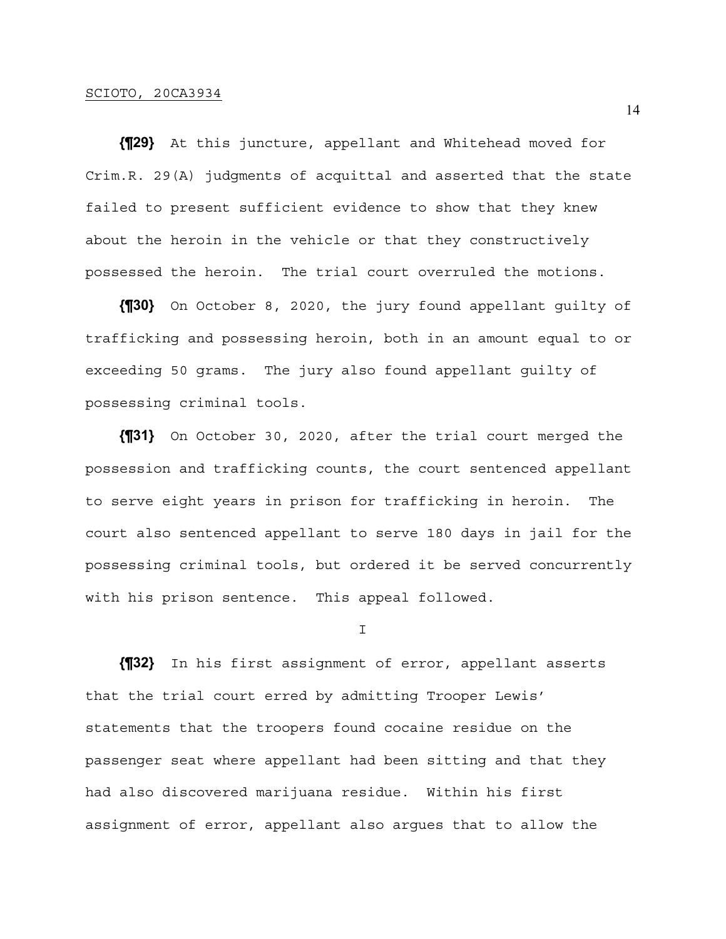**{¶29}** At this juncture, appellant and Whitehead moved for Crim.R. 29(A) judgments of acquittal and asserted that the state failed to present sufficient evidence to show that they knew about the heroin in the vehicle or that they constructively possessed the heroin. The trial court overruled the motions.

**{¶30}** On October 8, 2020, the jury found appellant guilty of trafficking and possessing heroin, both in an amount equal to or exceeding 50 grams. The jury also found appellant guilty of possessing criminal tools.

**{¶31}** On October 30, 2020, after the trial court merged the possession and trafficking counts, the court sentenced appellant to serve eight years in prison for trafficking in heroin. The court also sentenced appellant to serve 180 days in jail for the possessing criminal tools, but ordered it be served concurrently with his prison sentence. This appeal followed.

I

**{¶32}** In his first assignment of error, appellant asserts that the trial court erred by admitting Trooper Lewis' statements that the troopers found cocaine residue on the passenger seat where appellant had been sitting and that they had also discovered marijuana residue. Within his first assignment of error, appellant also argues that to allow the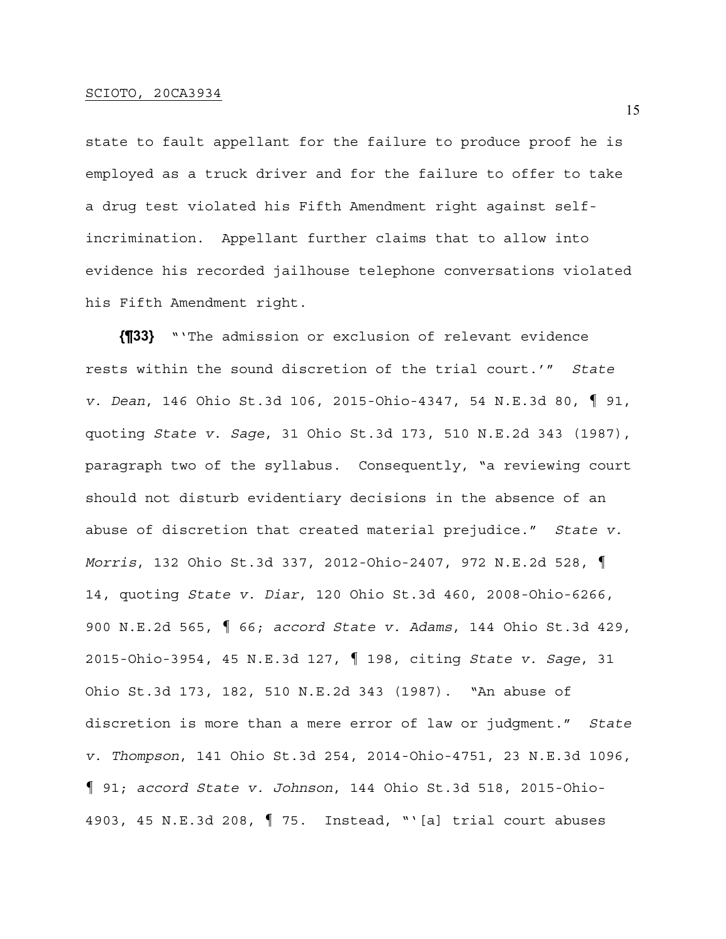state to fault appellant for the failure to produce proof he is employed as a truck driver and for the failure to offer to take a drug test violated his Fifth Amendment right against selfincrimination. Appellant further claims that to allow into evidence his recorded jailhouse telephone conversations violated his Fifth Amendment right.

**{¶33}** "'The admission or exclusion of relevant evidence rests within the sound discretion of the trial court.'" *State v. Dean*, 146 Ohio St.3d 106, 2015-Ohio-4347, 54 N.E.3d 80, ¶ 91, quoting *State v. Sage*, 31 Ohio St.3d 173, 510 N.E.2d 343 (1987), paragraph two of the syllabus. Consequently, "a reviewing court should not disturb evidentiary decisions in the absence of an abuse of discretion that created material prejudice." *State v. Morris*, 132 Ohio St.3d 337, 2012-Ohio-2407, 972 N.E.2d 528, ¶ 14, quoting *State v. Diar*, 120 Ohio St.3d 460, 2008-Ohio-6266, 900 N.E.2d 565, ¶ 66; *accord State v. Adams*, 144 Ohio St.3d 429, 2015-Ohio-3954, 45 N.E.3d 127, ¶ 198, citing *State v. Sage*, 31 Ohio St.3d 173, 182, 510 N.E.2d 343 (1987). "An abuse of discretion is more than a mere error of law or judgment." *State v. Thompson*, 141 Ohio St.3d 254, 2014-Ohio-4751, 23 N.E.3d 1096, ¶ 91; *accord State v. Johnson*, 144 Ohio St.3d 518, 2015-Ohio-4903, 45 N.E.3d 208, ¶ 75. Instead, "'[a] trial court abuses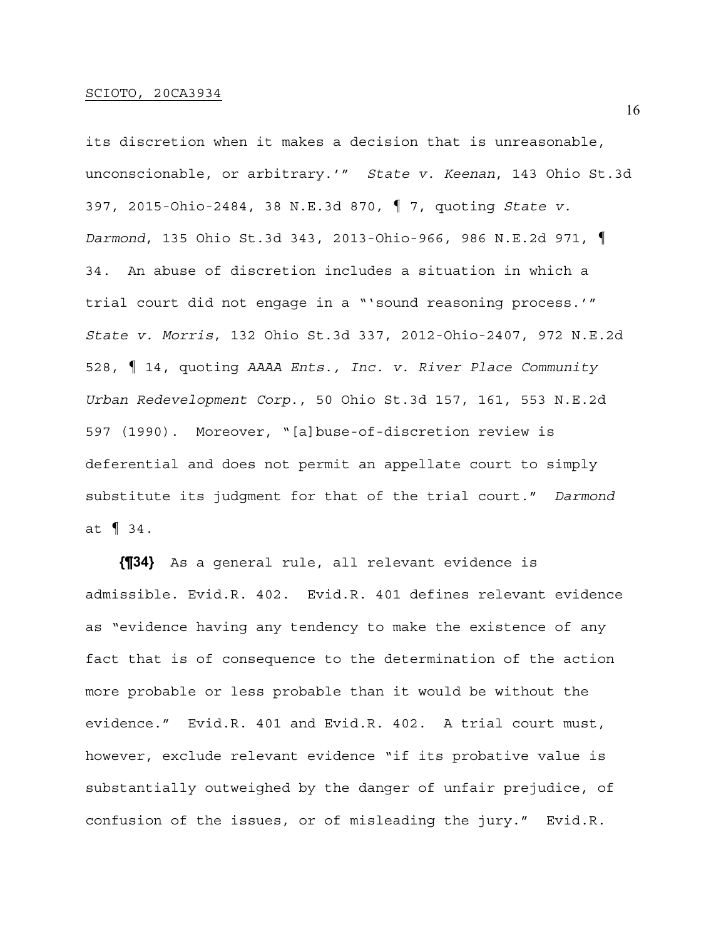its discretion when it makes a decision that is unreasonable, unconscionable, or arbitrary.'" *State v. Keenan*, 143 Ohio St.3d 397, 2015-Ohio-2484, 38 N.E.3d 870, ¶ 7, quoting *State v. Darmond*, 135 Ohio St.3d 343, 2013-Ohio-966, 986 N.E.2d 971, ¶ 34. An abuse of discretion includes a situation in which a trial court did not engage in a "'sound reasoning process.'" *State v. Morris*, 132 Ohio St.3d 337, 2012-Ohio-2407, 972 N.E.2d 528, ¶ 14, quoting *AAAA Ents., Inc. v. River Place Community Urban Redevelopment Corp.*, 50 Ohio St.3d 157, 161, 553 N.E.2d 597 (1990). Moreover, "[a]buse-of-discretion review is deferential and does not permit an appellate court to simply substitute its judgment for that of the trial court." *Darmond* at ¶ 34.

**{¶34}** As a general rule, all relevant evidence is admissible. Evid.R. 402. Evid.R. 401 defines relevant evidence as "evidence having any tendency to make the existence of any fact that is of consequence to the determination of the action more probable or less probable than it would be without the evidence." Evid.R. 401 and Evid.R. 402. A trial court must, however, exclude relevant evidence "if its probative value is substantially outweighed by the danger of unfair prejudice, of confusion of the issues, or of misleading the jury." Evid.R.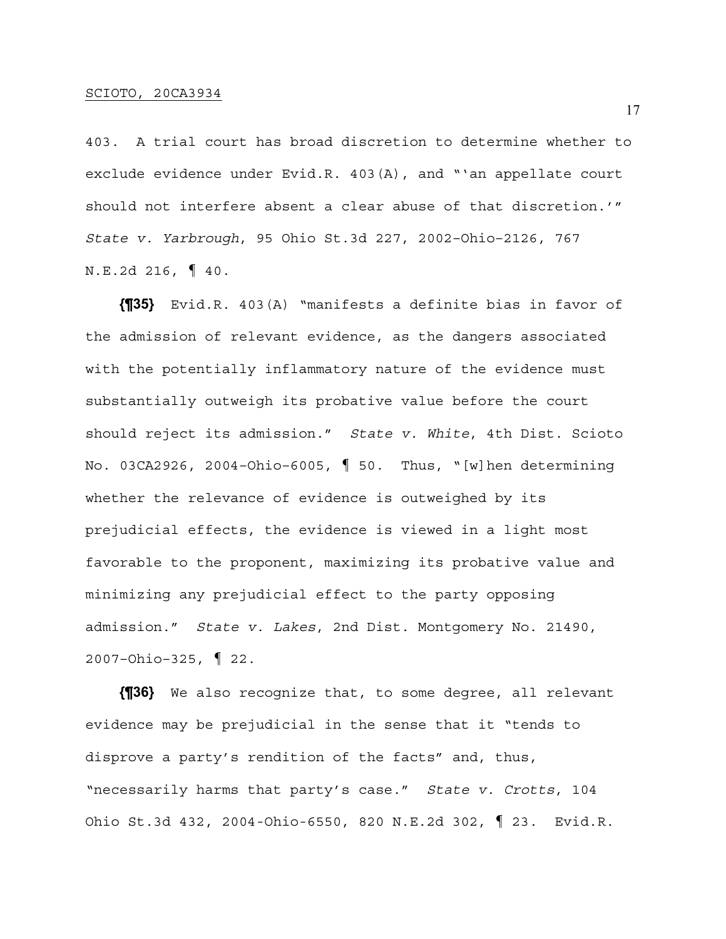403. A trial court has broad discretion to determine whether to exclude evidence under Evid.R. 403(A), and "'an appellate court should not interfere absent a clear abuse of that discretion.'" *State v. Yarbrough*, 95 Ohio St.3d 227, 2002–Ohio–2126, 767 N.E.2d 216, ¶ 40.

**{¶35}** Evid.R. 403(A) "manifests a definite bias in favor of the admission of relevant evidence, as the dangers associated with the potentially inflammatory nature of the evidence must substantially outweigh its probative value before the court should reject its admission." *State v. White*, 4th Dist. Scioto No. 03CA2926, 2004–Ohio–6005, ¶ 50. Thus, "[w]hen determining whether the relevance of evidence is outweighed by its prejudicial effects, the evidence is viewed in a light most favorable to the proponent, maximizing its probative value and minimizing any prejudicial effect to the party opposing admission." *State v. Lakes*, 2nd Dist. Montgomery No. 21490, 2007–Ohio–325, ¶ 22.

**{¶36}** We also recognize that, to some degree, all relevant evidence may be prejudicial in the sense that it "tends to disprove a party's rendition of the facts" and, thus, "necessarily harms that party's case." *State v. Crotts*, 104 Ohio St.3d 432, 2004-Ohio-6550, 820 N.E.2d 302, ¶ 23. Evid.R.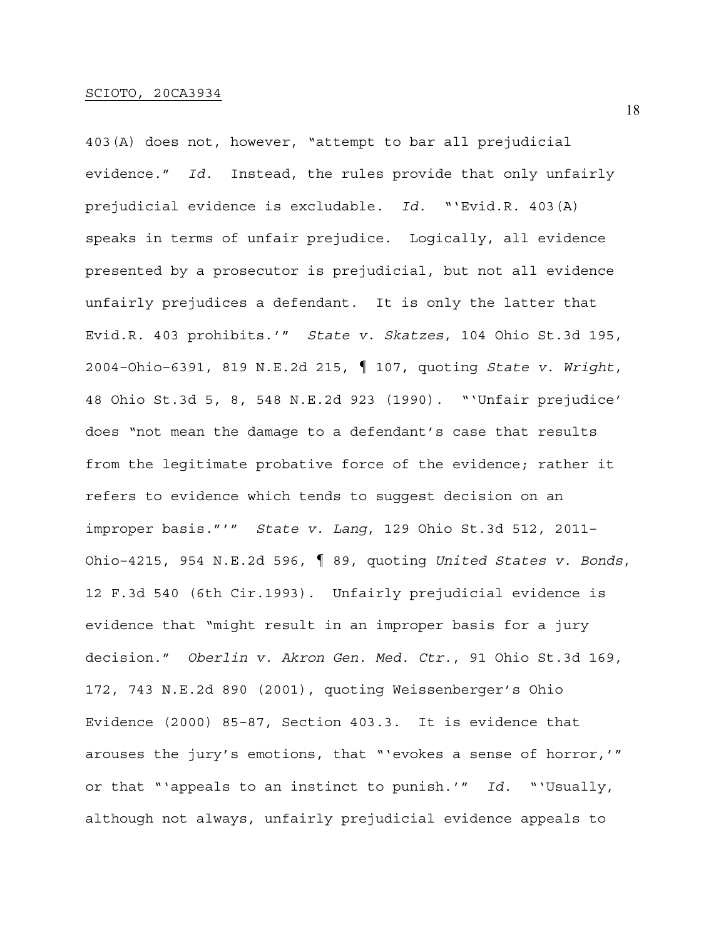403(A) does not, however, "attempt to bar all prejudicial evidence." *Id.* Instead, the rules provide that only unfairly prejudicial evidence is excludable. *Id.* "'Evid.R. 403(A) speaks in terms of unfair prejudice. Logically, all evidence presented by a prosecutor is prejudicial, but not all evidence unfairly prejudices a defendant. It is only the latter that Evid.R. 403 prohibits.'" *State v. Skatzes*, 104 Ohio St.3d 195, 2004–Ohio–6391, 819 N.E.2d 215, ¶ 107, quoting *State v. Wright*, 48 Ohio St.3d 5, 8, 548 N.E.2d 923 (1990). "'Unfair prejudice' does "not mean the damage to a defendant's case that results from the legitimate probative force of the evidence; rather it refers to evidence which tends to suggest decision on an improper basis."'" *State v. Lang*, 129 Ohio St.3d 512, 2011– Ohio–4215, 954 N.E.2d 596, ¶ 89, quoting *United States v. Bonds*, 12 F.3d 540 (6th Cir.1993). Unfairly prejudicial evidence is evidence that "might result in an improper basis for a jury decision." *Oberlin v. Akron Gen. Med. Ctr.*, 91 Ohio St.3d 169, 172, 743 N.E.2d 890 (2001), quoting Weissenberger's Ohio Evidence (2000) 85–87, Section 403.3. It is evidence that arouses the jury's emotions, that "'evokes a sense of horror,'" or that "'appeals to an instinct to punish.'" *Id.* "'Usually, although not always, unfairly prejudicial evidence appeals to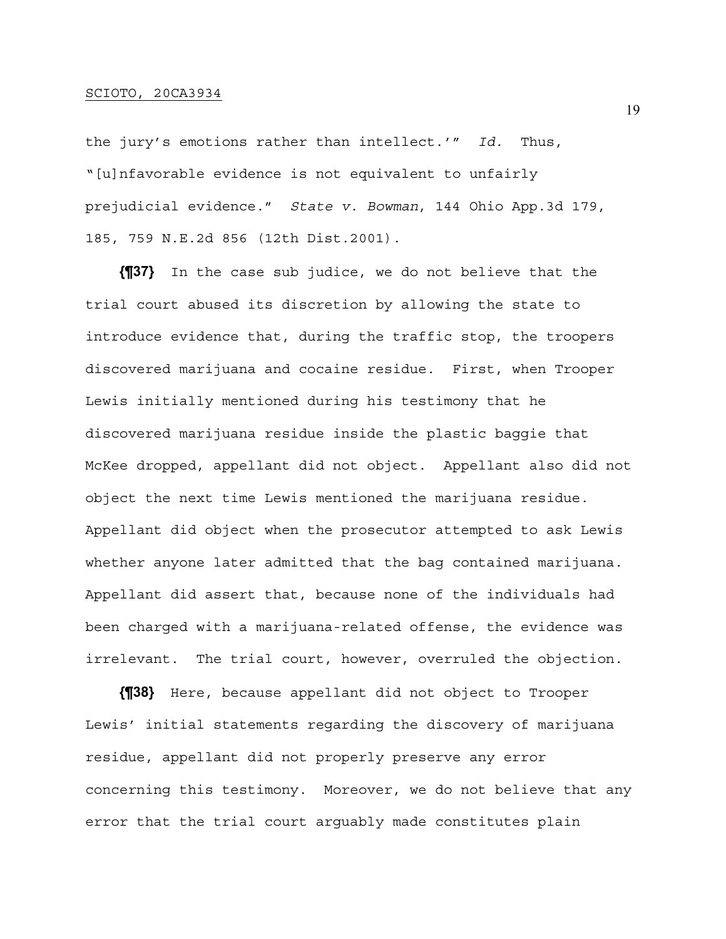the jury's emotions rather than intellect.'" *Id.* Thus, "[u]nfavorable evidence is not equivalent to unfairly prejudicial evidence." *State v. Bowman*, 144 Ohio App.3d 179, 185, 759 N.E.2d 856 (12th Dist.2001).

**{¶37}** In the case sub judice, we do not believe that the trial court abused its discretion by allowing the state to introduce evidence that, during the traffic stop, the troopers discovered marijuana and cocaine residue. First, when Trooper Lewis initially mentioned during his testimony that he discovered marijuana residue inside the plastic baggie that McKee dropped, appellant did not object. Appellant also did not object the next time Lewis mentioned the marijuana residue. Appellant did object when the prosecutor attempted to ask Lewis whether anyone later admitted that the bag contained marijuana. Appellant did assert that, because none of the individuals had been charged with a marijuana-related offense, the evidence was irrelevant. The trial court, however, overruled the objection.

**{¶38}** Here, because appellant did not object to Trooper Lewis' initial statements regarding the discovery of marijuana residue, appellant did not properly preserve any error concerning this testimony. Moreover, we do not believe that any error that the trial court arguably made constitutes plain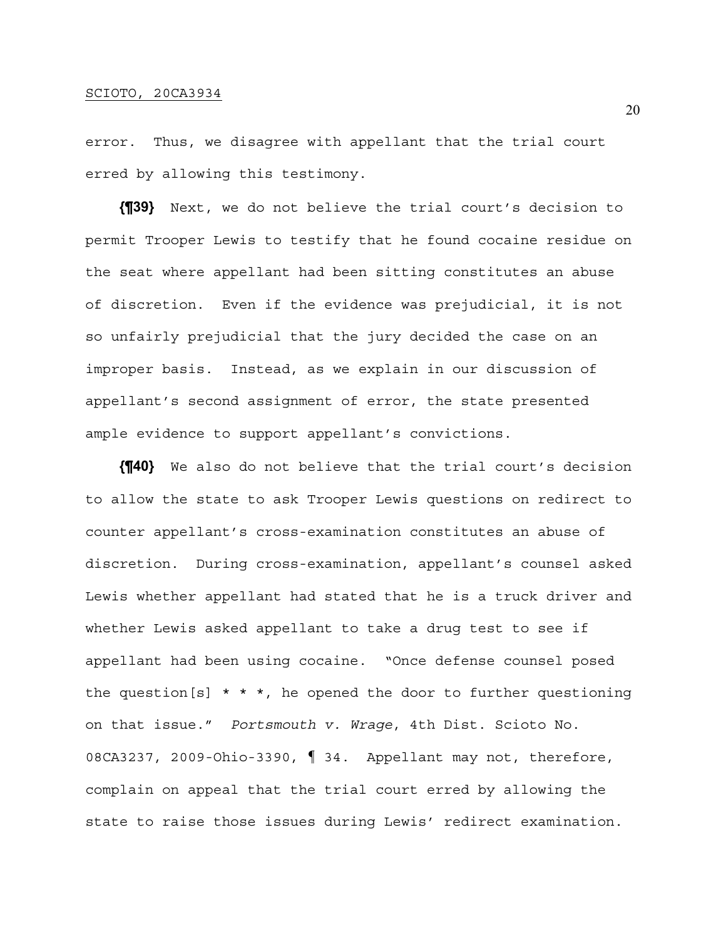error. Thus, we disagree with appellant that the trial court erred by allowing this testimony.

**{¶39}** Next, we do not believe the trial court's decision to permit Trooper Lewis to testify that he found cocaine residue on the seat where appellant had been sitting constitutes an abuse of discretion. Even if the evidence was prejudicial, it is not so unfairly prejudicial that the jury decided the case on an improper basis. Instead, as we explain in our discussion of appellant's second assignment of error, the state presented ample evidence to support appellant's convictions.

**{¶40}** We also do not believe that the trial court's decision to allow the state to ask Trooper Lewis questions on redirect to counter appellant's cross-examination constitutes an abuse of discretion. During cross-examination, appellant's counsel asked Lewis whether appellant had stated that he is a truck driver and whether Lewis asked appellant to take a drug test to see if appellant had been using cocaine. "Once defense counsel posed the question[s]  $* * *$ , he opened the door to further questioning on that issue." *Portsmouth v. Wrage*, 4th Dist. Scioto No. 08CA3237, 2009-Ohio-3390, ¶ 34. Appellant may not, therefore, complain on appeal that the trial court erred by allowing the state to raise those issues during Lewis' redirect examination.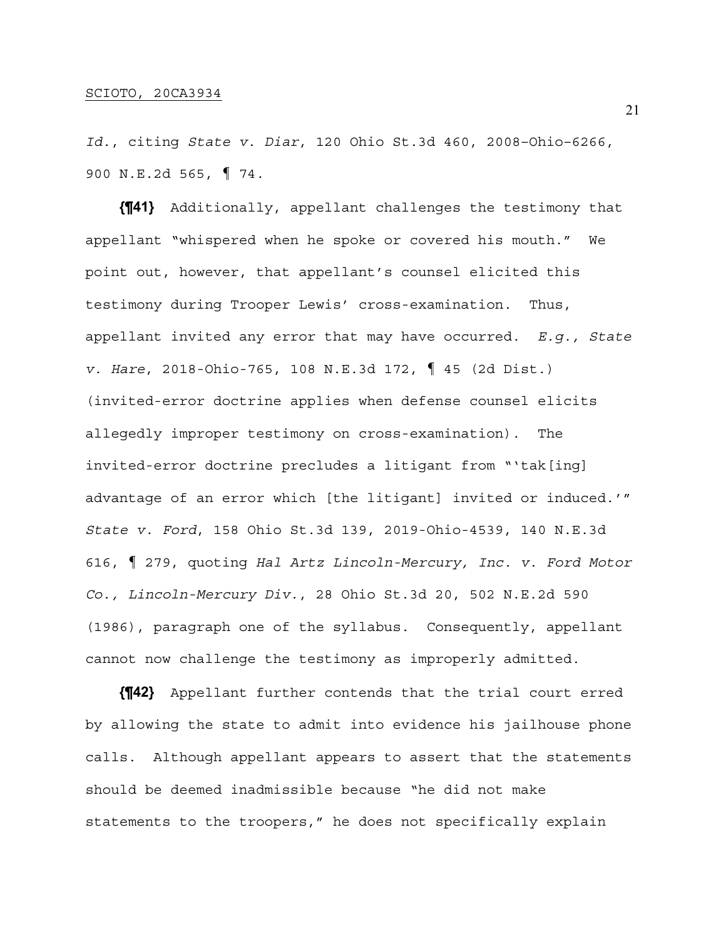*Id.*, citing *State v. Diar*, 120 Ohio St.3d 460, 2008–Ohio–6266, 900 N.E.2d 565, ¶ 74.

**{¶41}** Additionally, appellant challenges the testimony that appellant "whispered when he spoke or covered his mouth." We point out, however, that appellant's counsel elicited this testimony during Trooper Lewis' cross-examination. Thus, appellant invited any error that may have occurred. *E.g., State v. Hare*, 2018-Ohio-765, 108 N.E.3d 172, ¶ 45 (2d Dist.) (invited-error doctrine applies when defense counsel elicits allegedly improper testimony on cross-examination). The invited-error doctrine precludes a litigant from "'tak[ing] advantage of an error which [the litigant] invited or induced.'" *State v. Ford*, 158 Ohio St.3d 139, 2019-Ohio-4539, 140 N.E.3d 616, ¶ 279, quoting *Hal Artz Lincoln-Mercury, Inc. v. Ford Motor Co., Lincoln-Mercury Div.*, 28 Ohio St.3d 20, 502 N.E.2d 590 (1986), paragraph one of the syllabus. Consequently, appellant cannot now challenge the testimony as improperly admitted.

**{¶42}** Appellant further contends that the trial court erred by allowing the state to admit into evidence his jailhouse phone calls. Although appellant appears to assert that the statements should be deemed inadmissible because "he did not make statements to the troopers," he does not specifically explain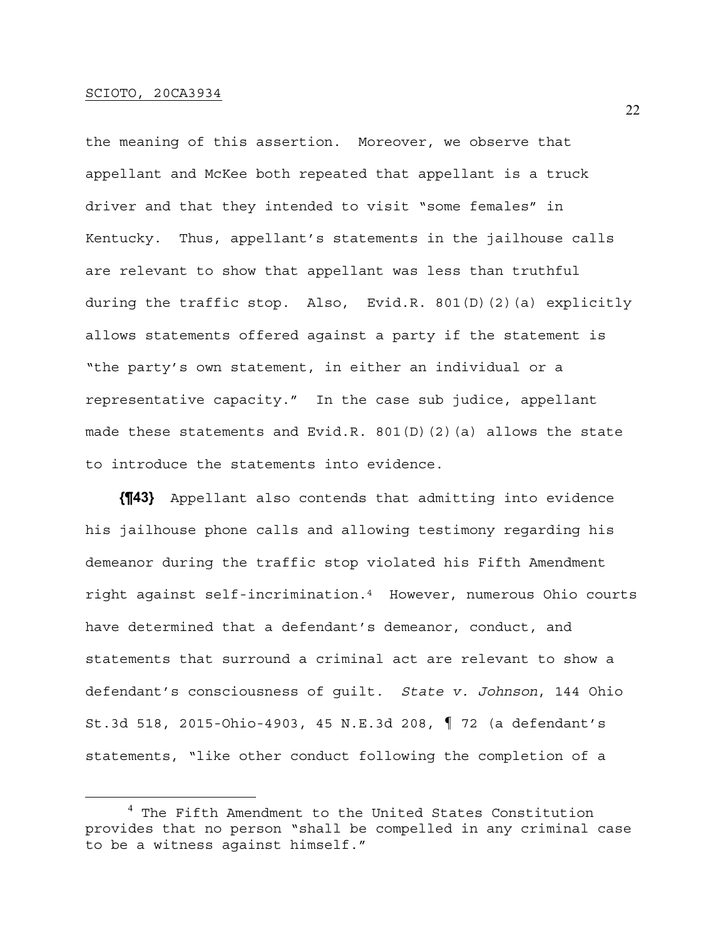the meaning of this assertion. Moreover, we observe that appellant and McKee both repeated that appellant is a truck driver and that they intended to visit "some females" in Kentucky. Thus, appellant's statements in the jailhouse calls are relevant to show that appellant was less than truthful during the traffic stop. Also, Evid.R. 801(D)(2)(a) explicitly allows statements offered against a party if the statement is "the party's own statement, in either an individual or a representative capacity." In the case sub judice, appellant made these statements and Evid.R. 801(D)(2)(a) allows the state to introduce the statements into evidence.

**{¶43}** Appellant also contends that admitting into evidence his jailhouse phone calls and allowing testimony regarding his demeanor during the traffic stop violated his Fifth Amendment right against self-incrimination.4 However, numerous Ohio courts have determined that a defendant's demeanor, conduct, and statements that surround a criminal act are relevant to show a defendant's consciousness of guilt. *State v. Johnson*, 144 Ohio St.3d 518, 2015-Ohio-4903, 45 N.E.3d 208, ¶ 72 (a defendant's statements, "like other conduct following the completion of a

<sup>&</sup>lt;sup>4</sup> The Fifth Amendment to the United States Constitution provides that no person "shall be compelled in any criminal case to be a witness against himself."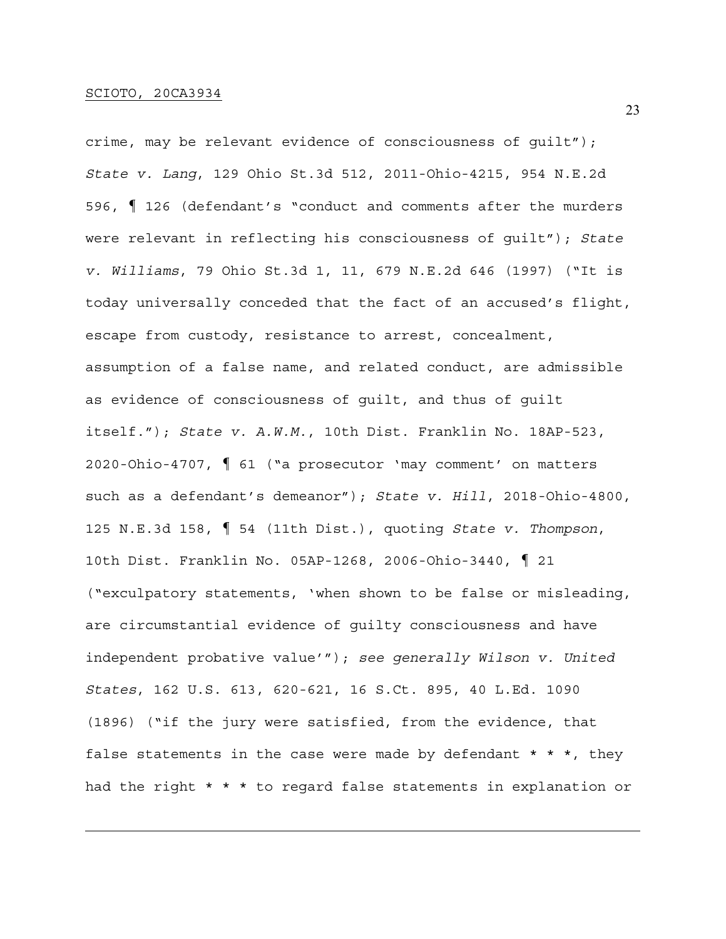crime, may be relevant evidence of consciousness of guilt"); *State v. Lang*, 129 Ohio St.3d 512, 2011-Ohio-4215, 954 N.E.2d 596, ¶ 126 (defendant's "conduct and comments after the murders were relevant in reflecting his consciousness of guilt"); *State v. Williams*, 79 Ohio St.3d 1, 11, 679 N.E.2d 646 (1997) ("It is today universally conceded that the fact of an accused's flight, escape from custody, resistance to arrest, concealment, assumption of a false name, and related conduct, are admissible as evidence of consciousness of guilt, and thus of guilt itself."); *State v. A.W.M.*, 10th Dist. Franklin No. 18AP-523, 2020-Ohio-4707, ¶ 61 ("a prosecutor 'may comment' on matters such as a defendant's demeanor"); *State v. Hill*, 2018-Ohio-4800, 125 N.E.3d 158, ¶ 54 (11th Dist.), quoting *State v. Thompson*, 10th Dist. Franklin No. 05AP-1268, 2006-Ohio-3440, ¶ 21 ("exculpatory statements, 'when shown to be false or misleading, are circumstantial evidence of guilty consciousness and have independent probative value'"); *see generally Wilson v. United States*, 162 U.S. 613, 620-621, 16 S.Ct. 895, 40 L.Ed. 1090 (1896) ("if the jury were satisfied, from the evidence, that false statements in the case were made by defendant  $* * *$ , they had the right \* \* \* to regard false statements in explanation or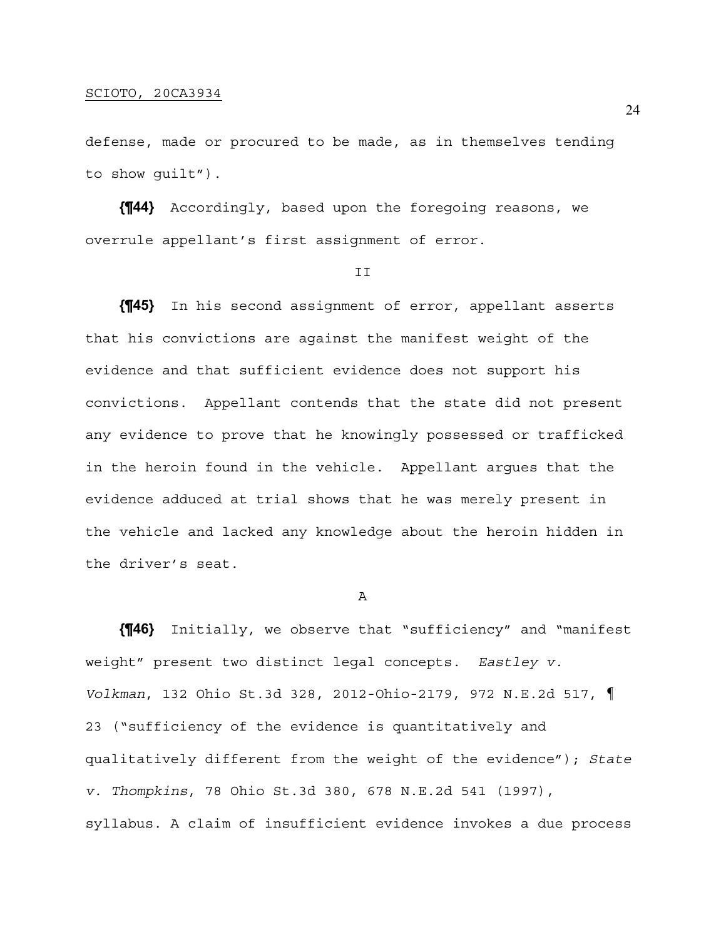defense, made or procured to be made, as in themselves tending to show guilt").

**{¶44}** Accordingly, based upon the foregoing reasons, we overrule appellant's first assignment of error.

#### II

**{¶45}** In his second assignment of error, appellant asserts that his convictions are against the manifest weight of the evidence and that sufficient evidence does not support his convictions. Appellant contends that the state did not present any evidence to prove that he knowingly possessed or trafficked in the heroin found in the vehicle. Appellant argues that the evidence adduced at trial shows that he was merely present in the vehicle and lacked any knowledge about the heroin hidden in the driver's seat.

#### A

**{¶46}** Initially, we observe that "sufficiency" and "manifest weight" present two distinct legal concepts. *Eastley v. Volkman*, 132 Ohio St.3d 328, 2012-Ohio-2179, 972 N.E.2d 517, ¶ 23 ("sufficiency of the evidence is quantitatively and qualitatively different from the weight of the evidence"); *State v. Thompkins*, 78 Ohio St.3d 380, 678 N.E.2d 541 (1997), syllabus. A claim of insufficient evidence invokes a due process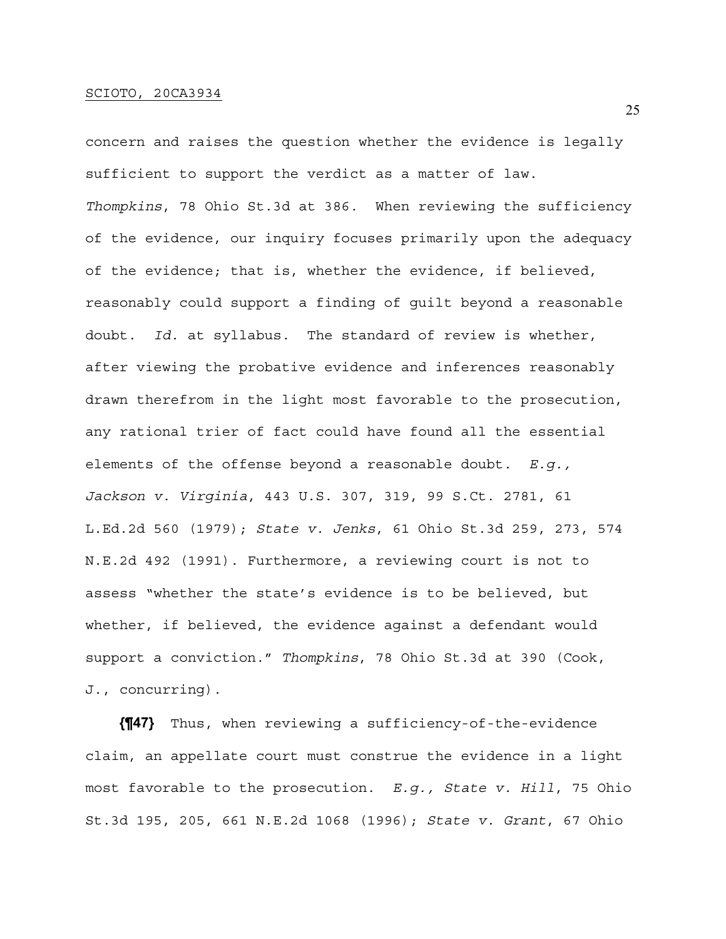concern and raises the question whether the evidence is legally sufficient to support the verdict as a matter of law. *Thompkins*, 78 Ohio St.3d at 386. When reviewing the sufficiency of the evidence, our inquiry focuses primarily upon the adequacy of the evidence; that is, whether the evidence, if believed, reasonably could support a finding of guilt beyond a reasonable doubt. *Id.* at syllabus. The standard of review is whether, after viewing the probative evidence and inferences reasonably drawn therefrom in the light most favorable to the prosecution, any rational trier of fact could have found all the essential elements of the offense beyond a reasonable doubt. *E.g., Jackson v. Virginia*, 443 U.S. 307, 319, 99 S.Ct. 2781, 61 L.Ed.2d 560 (1979); *State v. Jenks*, 61 Ohio St.3d 259, 273, 574 N.E.2d 492 (1991). Furthermore, a reviewing court is not to assess "whether the state's evidence is to be believed, but whether, if believed, the evidence against a defendant would support a conviction." *Thompkins*, 78 Ohio St.3d at 390 (Cook, J., concurring).

**{¶47}** Thus, when reviewing a sufficiency-of-the-evidence claim, an appellate court must construe the evidence in a light most favorable to the prosecution. *E.g., State v. Hill*, 75 Ohio St.3d 195, 205, 661 N.E.2d 1068 (1996); *State v. Grant*, 67 Ohio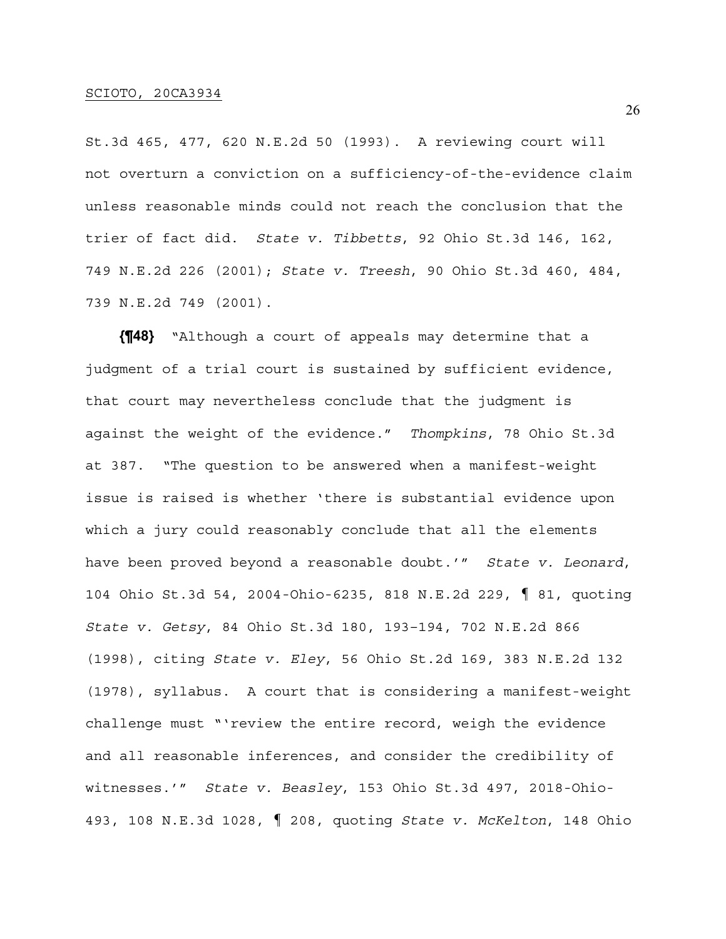St.3d 465, 477, 620 N.E.2d 50 (1993). A reviewing court will not overturn a conviction on a sufficiency-of-the-evidence claim unless reasonable minds could not reach the conclusion that the trier of fact did. *State v. Tibbetts*, 92 Ohio St.3d 146, 162, 749 N.E.2d 226 (2001); *State v. Treesh*, 90 Ohio St.3d 460, 484, 739 N.E.2d 749 (2001).

**{¶48}** "Although a court of appeals may determine that a judgment of a trial court is sustained by sufficient evidence, that court may nevertheless conclude that the judgment is against the weight of the evidence." *Thompkins*, 78 Ohio St.3d at 387. "The question to be answered when a manifest-weight issue is raised is whether 'there is substantial evidence upon which a jury could reasonably conclude that all the elements have been proved beyond a reasonable doubt.'" *State v. Leonard*, 104 Ohio St.3d 54, 2004-Ohio-6235, 818 N.E.2d 229, ¶ 81, quoting *State v. Getsy*, 84 Ohio St.3d 180, 193–194, 702 N.E.2d 866 (1998), citing *State v. Eley*, 56 Ohio St.2d 169, 383 N.E.2d 132 (1978), syllabus. A court that is considering a manifest-weight challenge must "'review the entire record, weigh the evidence and all reasonable inferences, and consider the credibility of witnesses.'" *State v. Beasley*, 153 Ohio St.3d 497, 2018-Ohio-493, 108 N.E.3d 1028, ¶ 208, quoting *State v. McKelton*, 148 Ohio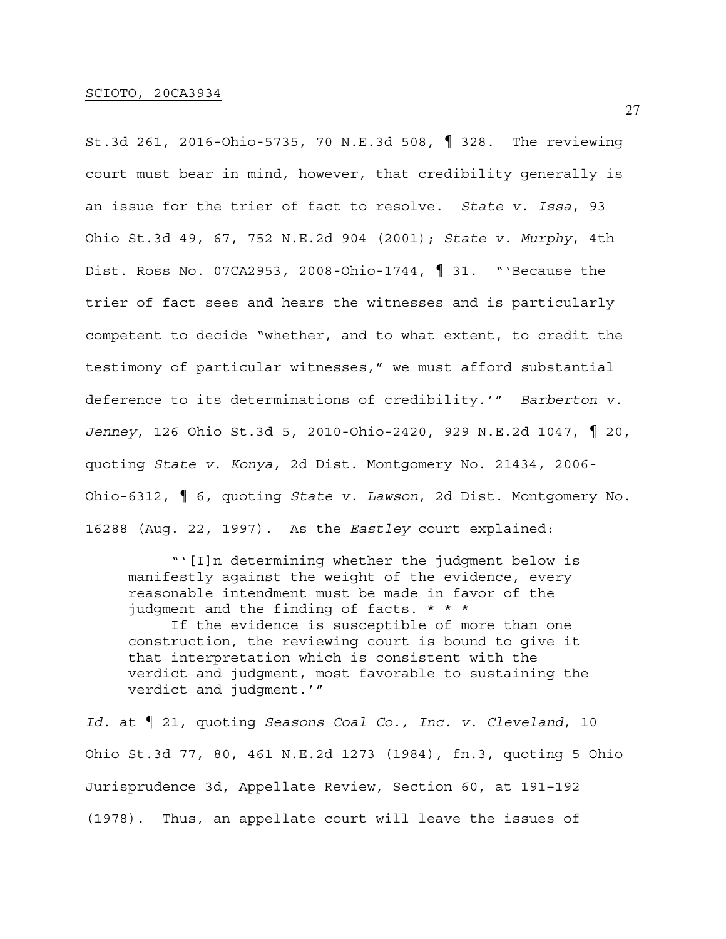St.3d 261, 2016-Ohio-5735, 70 N.E.3d 508, ¶ 328. The reviewing court must bear in mind, however, that credibility generally is an issue for the trier of fact to resolve. *State v. Issa*, 93 Ohio St.3d 49, 67, 752 N.E.2d 904 (2001); *State v. Murphy*, 4th Dist. Ross No. 07CA2953, 2008-Ohio-1744, ¶ 31. "'Because the trier of fact sees and hears the witnesses and is particularly competent to decide "whether, and to what extent, to credit the testimony of particular witnesses," we must afford substantial deference to its determinations of credibility.'" *Barberton v. Jenney*, 126 Ohio St.3d 5, 2010-Ohio-2420, 929 N.E.2d 1047, ¶ 20, quoting *State v. Konya*, 2d Dist. Montgomery No. 21434, 2006- Ohio-6312, ¶ 6, quoting *State v. Lawson*, 2d Dist. Montgomery No. 16288 (Aug. 22, 1997). As the *Eastley* court explained:

 "'[I]n determining whether the judgment below is manifestly against the weight of the evidence, every reasonable intendment must be made in favor of the judgment and the finding of facts. \* \* \* If the evidence is susceptible of more than one construction, the reviewing court is bound to give it that interpretation which is consistent with the verdict and judgment, most favorable to sustaining the verdict and judgment.'"

*Id.* at ¶ 21, quoting *Seasons Coal Co., Inc. v. Cleveland*, 10 Ohio St.3d 77, 80, 461 N.E.2d 1273 (1984), fn.3, quoting 5 Ohio Jurisprudence 3d, Appellate Review, Section 60, at 191–192 (1978). Thus, an appellate court will leave the issues of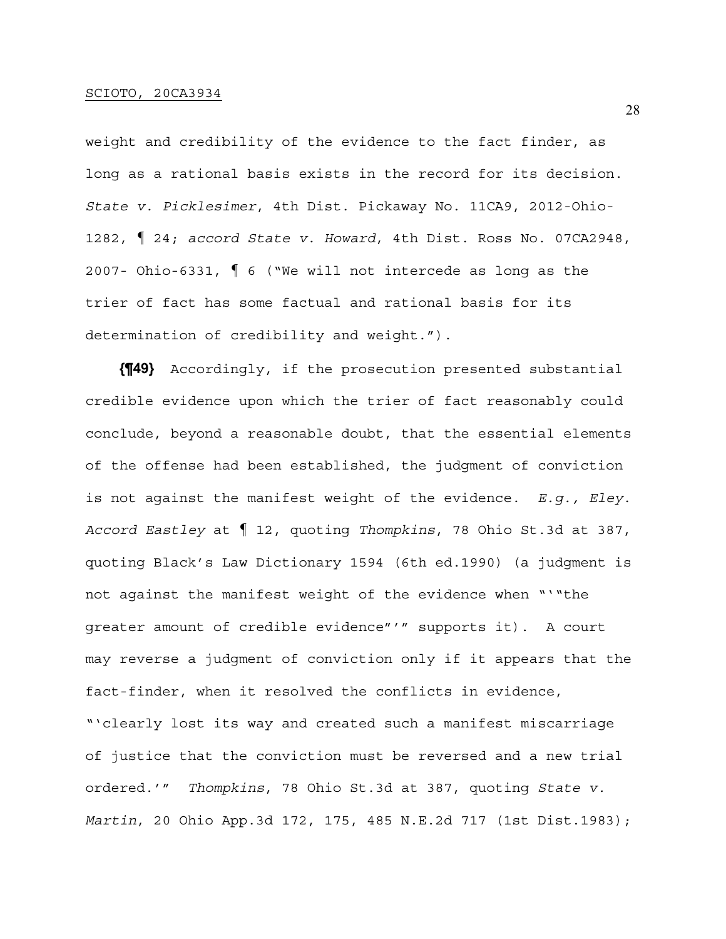weight and credibility of the evidence to the fact finder, as long as a rational basis exists in the record for its decision. *State v. Picklesimer*, 4th Dist. Pickaway No. 11CA9, 2012-Ohio-1282, ¶ 24; *accord State v. Howard*, 4th Dist. Ross No. 07CA2948, 2007- Ohio-6331, ¶ 6 ("We will not intercede as long as the trier of fact has some factual and rational basis for its determination of credibility and weight.").

**{¶49}** Accordingly, if the prosecution presented substantial credible evidence upon which the trier of fact reasonably could conclude, beyond a reasonable doubt, that the essential elements of the offense had been established, the judgment of conviction is not against the manifest weight of the evidence. *E.g., Eley*. *Accord Eastley* at ¶ 12, quoting *Thompkins*, 78 Ohio St.3d at 387, quoting Black's Law Dictionary 1594 (6th ed.1990) (a judgment is not against the manifest weight of the evidence when "'"the greater amount of credible evidence"'" supports it). A court may reverse a judgment of conviction only if it appears that the fact-finder, when it resolved the conflicts in evidence, "'clearly lost its way and created such a manifest miscarriage of justice that the conviction must be reversed and a new trial ordered.'" *Thompkins*, 78 Ohio St.3d at 387, quoting *State v. Martin*, 20 Ohio App.3d 172, 175, 485 N.E.2d 717 (1st Dist.1983);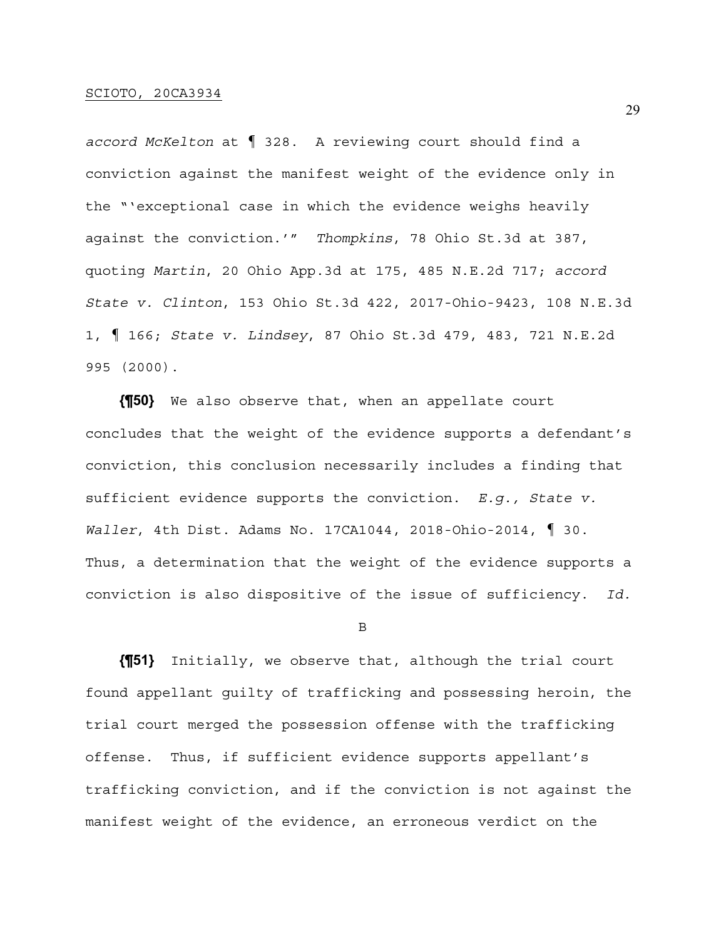*accord McKelton* at ¶ 328. A reviewing court should find a conviction against the manifest weight of the evidence only in the "'exceptional case in which the evidence weighs heavily against the conviction.'" *Thompkins*, 78 Ohio St.3d at 387, quoting *Martin*, 20 Ohio App.3d at 175, 485 N.E.2d 717; *accord State v. Clinton*, 153 Ohio St.3d 422, 2017-Ohio-9423, 108 N.E.3d 1, ¶ 166; *State v. Lindsey*, 87 Ohio St.3d 479, 483, 721 N.E.2d 995 (2000).

**{¶50}** We also observe that, when an appellate court concludes that the weight of the evidence supports a defendant's conviction, this conclusion necessarily includes a finding that sufficient evidence supports the conviction. *E.g., State v. Waller*, 4th Dist. Adams No. 17CA1044, 2018-Ohio-2014, ¶ 30. Thus, a determination that the weight of the evidence supports a conviction is also dispositive of the issue of sufficiency. *Id.* 

B

**{¶51}** Initially, we observe that, although the trial court found appellant guilty of trafficking and possessing heroin, the trial court merged the possession offense with the trafficking offense. Thus, if sufficient evidence supports appellant's trafficking conviction, and if the conviction is not against the manifest weight of the evidence, an erroneous verdict on the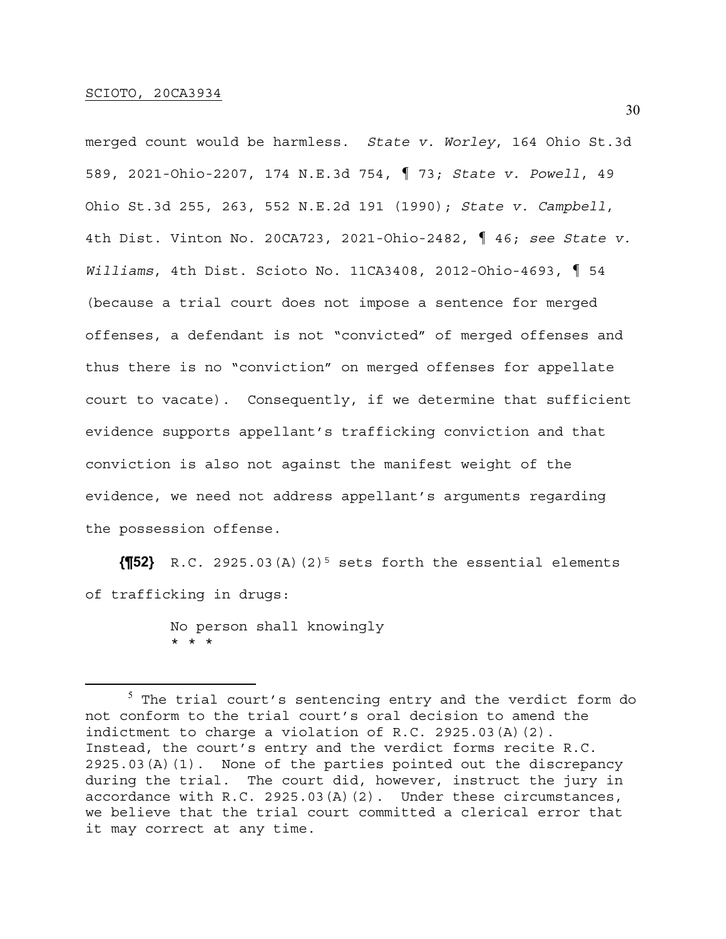merged count would be harmless. *State v. Worley*, 164 Ohio St.3d 589, 2021-Ohio-2207, 174 N.E.3d 754, ¶ 73; *State v. Powell*, 49 Ohio St.3d 255, 263, 552 N.E.2d 191 (1990); *State v. Campbell*, 4th Dist. Vinton No. 20CA723, 2021-Ohio-2482, ¶ 46; *see State v. Williams*, 4th Dist. Scioto No. 11CA3408, 2012-Ohio-4693, ¶ 54 (because a trial court does not impose a sentence for merged offenses, a defendant is not "convicted" of merged offenses and thus there is no "conviction" on merged offenses for appellate court to vacate). Consequently, if we determine that sufficient evidence supports appellant's trafficking conviction and that conviction is also not against the manifest weight of the evidence, we need not address appellant's arguments regarding the possession offense.

**{¶52}** R.C. 2925.03(A)(2)5 sets forth the essential elements of trafficking in drugs:

> No person shall knowingly \* \* \*

 $^5$  The trial court's sentencing entry and the verdict form do not conform to the trial court's oral decision to amend the indictment to charge a violation of R.C. 2925.03(A)(2). Instead, the court's entry and the verdict forms recite R.C. 2925.03(A)(1). None of the parties pointed out the discrepancy during the trial. The court did, however, instruct the jury in accordance with R.C. 2925.03(A)(2). Under these circumstances, we believe that the trial court committed a clerical error that it may correct at any time.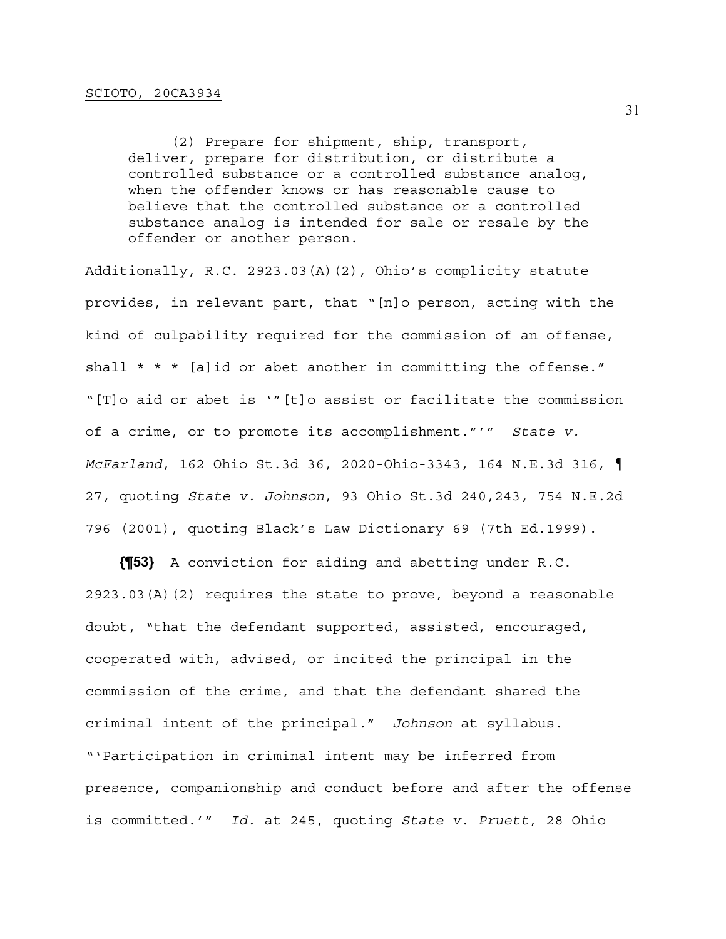(2) Prepare for shipment, ship, transport, deliver, prepare for distribution, or distribute a controlled substance or a controlled substance analog, when the offender knows or has reasonable cause to believe that the controlled substance or a controlled substance analog is intended for sale or resale by the offender or another person.

Additionally, R.C. 2923.03(A)(2), Ohio's complicity statute provides, in relevant part, that "[n]o person, acting with the kind of culpability required for the commission of an offense, shall \* \* \* [a]id or abet another in committing the offense." "[T]o aid or abet is '"[t]o assist or facilitate the commission of a crime, or to promote its accomplishment."'" *State v. McFarland*, 162 Ohio St.3d 36, 2020-Ohio-3343, 164 N.E.3d 316, ¶ 27, quoting *State v. Johnson*, 93 Ohio St.3d 240,243, 754 N.E.2d 796 (2001), quoting Black's Law Dictionary 69 (7th Ed.1999).

**{¶53}** A conviction for aiding and abetting under R.C. 2923.03(A)(2) requires the state to prove, beyond a reasonable doubt, "that the defendant supported, assisted, encouraged, cooperated with, advised, or incited the principal in the commission of the crime, and that the defendant shared the criminal intent of the principal." *Johnson* at syllabus. "'Participation in criminal intent may be inferred from presence, companionship and conduct before and after the offense is committed.'" *Id.* at 245, quoting *State v. Pruett*, 28 Ohio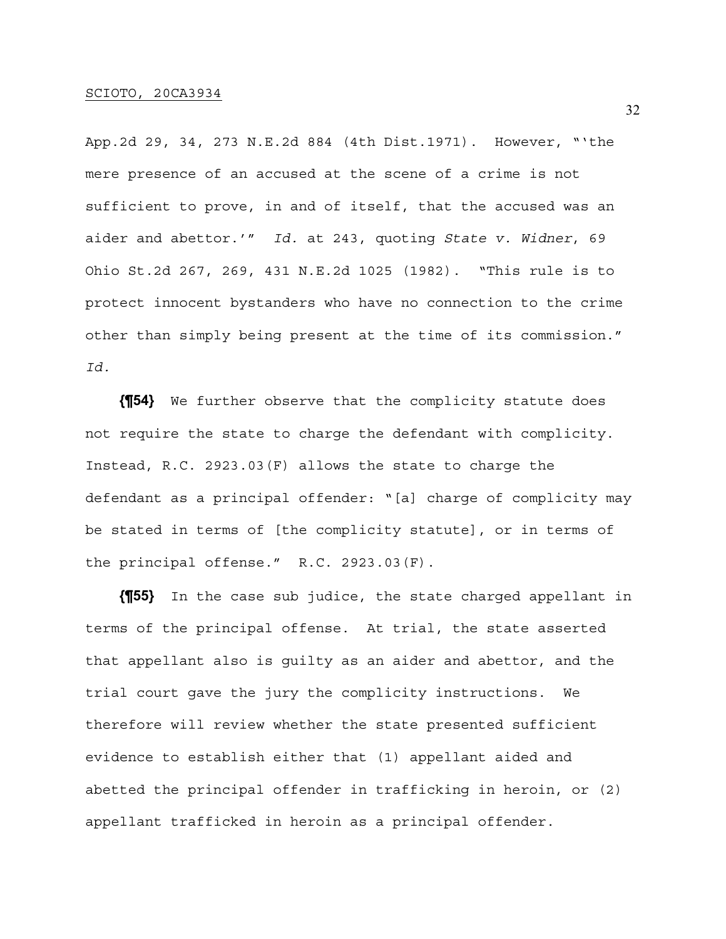App.2d 29, 34, 273 N.E.2d 884 (4th Dist.1971). However, "'the mere presence of an accused at the scene of a crime is not sufficient to prove, in and of itself, that the accused was an aider and abettor.'" *Id.* at 243, quoting *State v. Widner*, 69 Ohio St.2d 267, 269, 431 N.E.2d 1025 (1982). "This rule is to protect innocent bystanders who have no connection to the crime other than simply being present at the time of its commission." *Id.*

**{¶54}** We further observe that the complicity statute does not require the state to charge the defendant with complicity. Instead, R.C. 2923.03(F) allows the state to charge the defendant as a principal offender: "[a] charge of complicity may be stated in terms of [the complicity statute], or in terms of the principal offense." R.C. 2923.03(F).

**{¶55}** In the case sub judice, the state charged appellant in terms of the principal offense. At trial, the state asserted that appellant also is guilty as an aider and abettor, and the trial court gave the jury the complicity instructions. We therefore will review whether the state presented sufficient evidence to establish either that (1) appellant aided and abetted the principal offender in trafficking in heroin, or (2) appellant trafficked in heroin as a principal offender.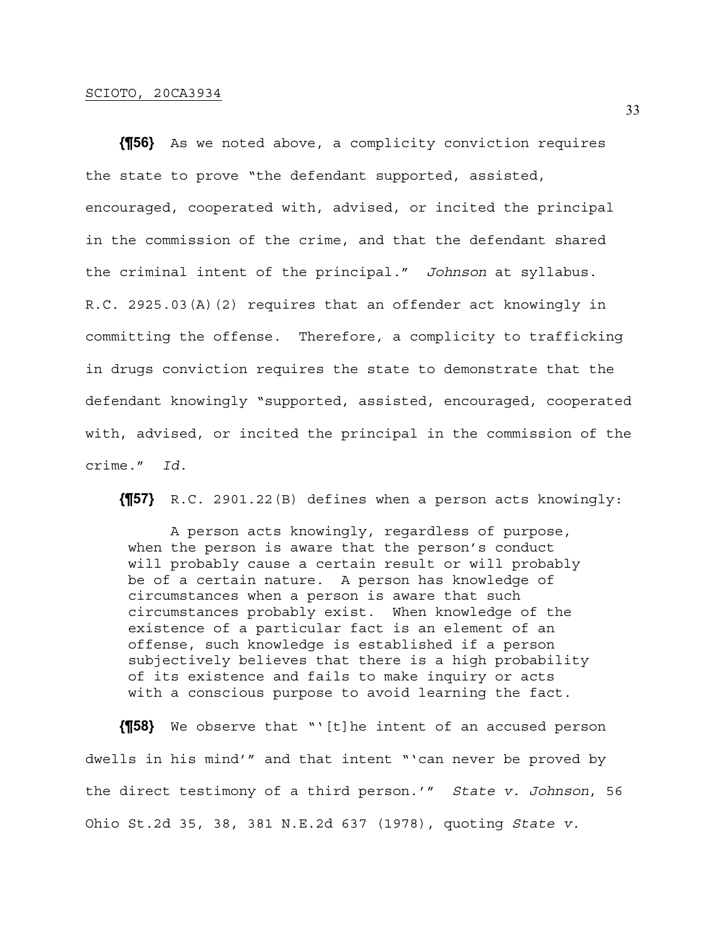**{¶56}** As we noted above, a complicity conviction requires the state to prove "the defendant supported, assisted, encouraged, cooperated with, advised, or incited the principal in the commission of the crime, and that the defendant shared the criminal intent of the principal." *Johnson* at syllabus. R.C. 2925.03(A)(2) requires that an offender act knowingly in committing the offense. Therefore, a complicity to trafficking in drugs conviction requires the state to demonstrate that the defendant knowingly "supported, assisted, encouraged, cooperated with, advised, or incited the principal in the commission of the crime." *Id.*

**{¶57}** R.C. 2901.22(B) defines when a person acts knowingly:

 A person acts knowingly, regardless of purpose, when the person is aware that the person's conduct will probably cause a certain result or will probably be of a certain nature. A person has knowledge of circumstances when a person is aware that such circumstances probably exist. When knowledge of the existence of a particular fact is an element of an offense, such knowledge is established if a person subjectively believes that there is a high probability of its existence and fails to make inquiry or acts with a conscious purpose to avoid learning the fact.

**{¶58}** We observe that "'[t]he intent of an accused person dwells in his mind'" and that intent "'can never be proved by the direct testimony of a third person.'" *State v. Johnson*, 56 Ohio St.2d 35, 38, 381 N.E.2d 637 (1978), quoting *State v.*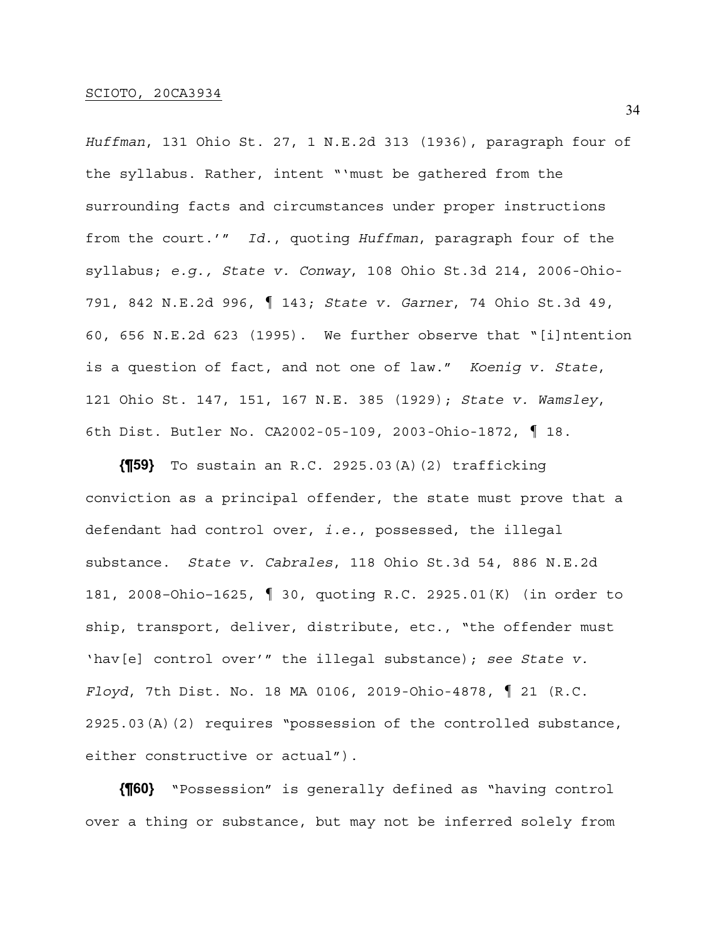*Huffman*, 131 Ohio St. 27, 1 N.E.2d 313 (1936), paragraph four of the syllabus. Rather, intent "'must be gathered from the surrounding facts and circumstances under proper instructions from the court.'" *Id.*, quoting *Huffman*, paragraph four of the syllabus; *e.g., State v. Conway*, 108 Ohio St.3d 214, 2006-Ohio-791, 842 N.E.2d 996, ¶ 143; *State v. Garner*, 74 Ohio St.3d 49, 60, 656 N.E.2d 623 (1995). We further observe that "[i]ntention is a question of fact, and not one of law." *Koenig v. State*, 121 Ohio St. 147, 151, 167 N.E. 385 (1929); *State v. Wamsley*, 6th Dist. Butler No. CA2002-05-109, 2003-Ohio-1872, ¶ 18.

**{¶59}** To sustain an R.C. 2925.03(A)(2) trafficking conviction as a principal offender, the state must prove that a defendant had control over, *i.e.*, possessed, the illegal substance. *State v. Cabrales*, 118 Ohio St.3d 54, 886 N.E.2d 181, 2008–Ohio–1625, ¶ 30, quoting R.C. 2925.01(K) (in order to ship, transport, deliver, distribute, etc., "the offender must 'hav[e] control over'" the illegal substance); *see State v. Floyd*, 7th Dist. No. 18 MA 0106, 2019-Ohio-4878, ¶ 21 (R.C. 2925.03(A)(2) requires "possession of the controlled substance, either constructive or actual").

**{¶60}** "Possession" is generally defined as "having control over a thing or substance, but may not be inferred solely from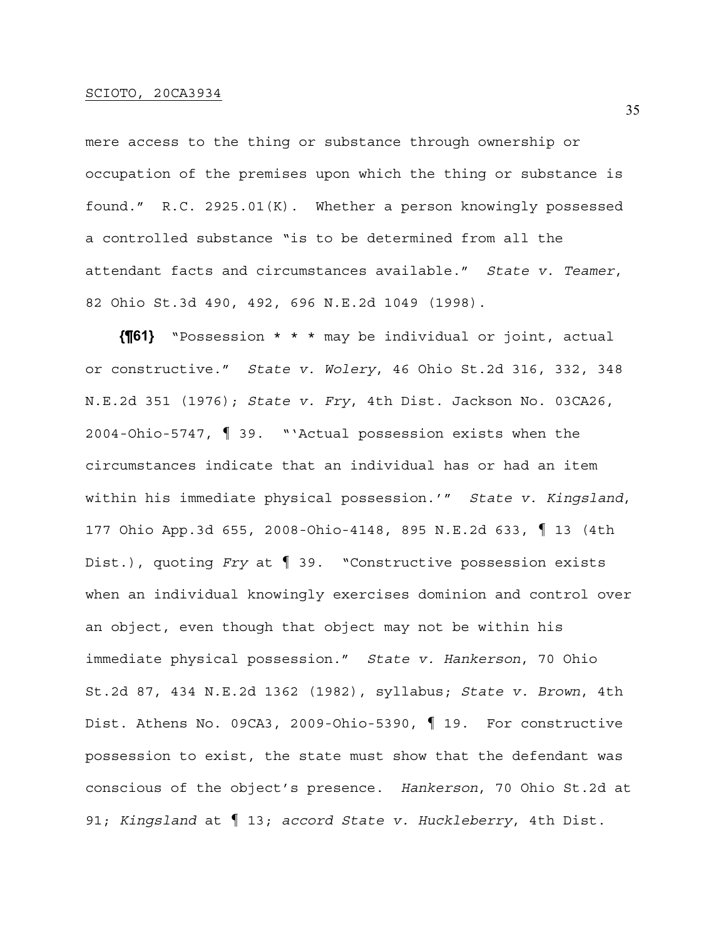mere access to the thing or substance through ownership or occupation of the premises upon which the thing or substance is found." R.C. 2925.01(K). Whether a person knowingly possessed a controlled substance "is to be determined from all the attendant facts and circumstances available." *State v. Teamer*, 82 Ohio St.3d 490, 492, 696 N.E.2d 1049 (1998).

**{¶61}** "Possession \* \* \* may be individual or joint, actual or constructive." *State v. Wolery*, 46 Ohio St.2d 316, 332, 348 N.E.2d 351 (1976); *State v. Fry*, 4th Dist. Jackson No. 03CA26, 2004-Ohio-5747, ¶ 39. "'Actual possession exists when the circumstances indicate that an individual has or had an item within his immediate physical possession.'" *State v. Kingsland*, 177 Ohio App.3d 655, 2008-Ohio-4148, 895 N.E.2d 633, ¶ 13 (4th Dist.), quoting *Fry* at ¶ 39. "Constructive possession exists when an individual knowingly exercises dominion and control over an object, even though that object may not be within his immediate physical possession." *State v. Hankerson*, 70 Ohio St.2d 87, 434 N.E.2d 1362 (1982), syllabus; *State v. Brown*, 4th Dist. Athens No. 09CA3, 2009-Ohio-5390, ¶ 19. For constructive possession to exist, the state must show that the defendant was conscious of the object's presence. *Hankerson*, 70 Ohio St.2d at 91; *Kingsland* at ¶ 13; *accord State v. Huckleberry*, 4th Dist.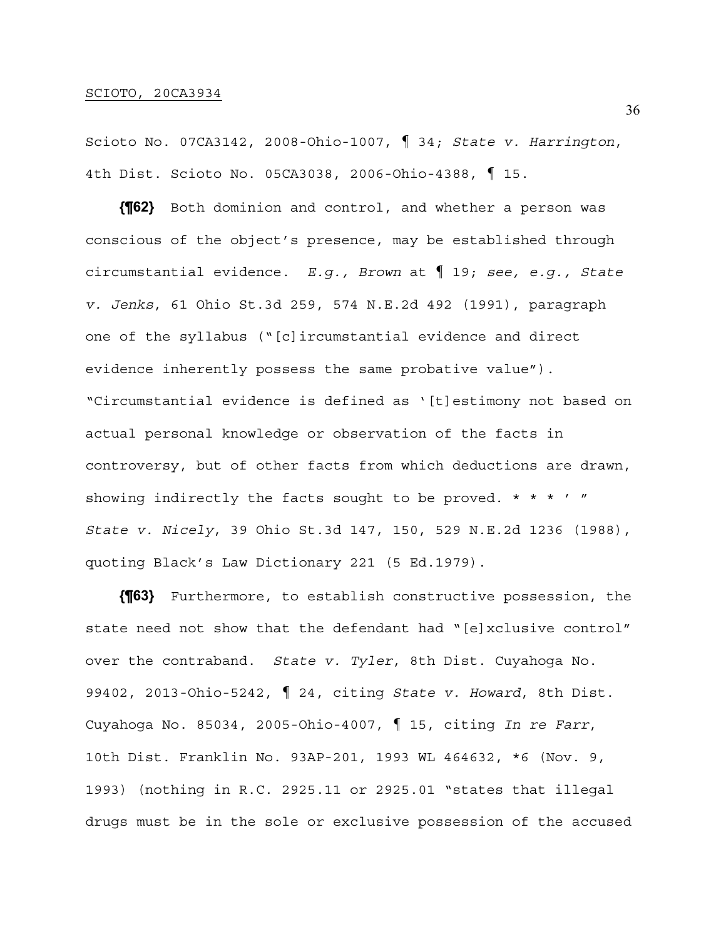Scioto No. 07CA3142, 2008-Ohio-1007, ¶ 34; *State v. Harrington*, 4th Dist. Scioto No. 05CA3038, 2006-Ohio-4388, ¶ 15.

**{¶62}** Both dominion and control, and whether a person was conscious of the object's presence, may be established through circumstantial evidence. *E.g., Brown* at ¶ 19; *see, e.g., State v. Jenks*, 61 Ohio St.3d 259, 574 N.E.2d 492 (1991), paragraph one of the syllabus ("[c]ircumstantial evidence and direct evidence inherently possess the same probative value"). "Circumstantial evidence is defined as '[t]estimony not based on actual personal knowledge or observation of the facts in controversy, but of other facts from which deductions are drawn, showing indirectly the facts sought to be proved.  $* * * ' "$ *State v. Nicely*, 39 Ohio St.3d 147, 150, 529 N.E.2d 1236 (1988), quoting Black's Law Dictionary 221 (5 Ed.1979).

**{¶63}** Furthermore, to establish constructive possession, the state need not show that the defendant had "[e]xclusive control" over the contraband. *State v. Tyler*, 8th Dist. Cuyahoga No. 99402, 2013-Ohio-5242, ¶ 24, citing *State v. Howard*, 8th Dist. Cuyahoga No. 85034, 2005-Ohio-4007, ¶ 15, citing *In re Farr*, 10th Dist. Franklin No. 93AP-201, 1993 WL 464632, \*6 (Nov. 9, 1993) (nothing in R.C. 2925.11 or 2925.01 "states that illegal drugs must be in the sole or exclusive possession of the accused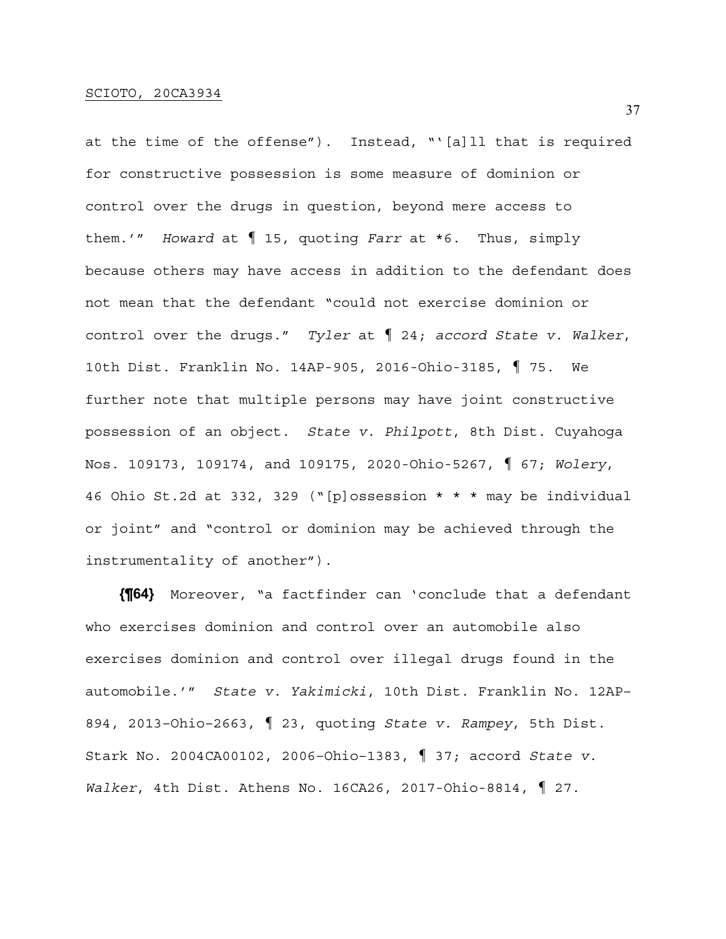at the time of the offense"). Instead, "'[a]ll that is required for constructive possession is some measure of dominion or control over the drugs in question, beyond mere access to them.'" *Howard* at ¶ 15, quoting *Farr* at \*6. Thus, simply because others may have access in addition to the defendant does not mean that the defendant "could not exercise dominion or control over the drugs." *Tyler* at ¶ 24; *accord State v. Walker*, 10th Dist. Franklin No. 14AP-905, 2016-Ohio-3185, ¶ 75. We further note that multiple persons may have joint constructive possession of an object. *State v. Philpott*, 8th Dist. Cuyahoga Nos. 109173, 109174, and 109175, 2020-Ohio-5267, ¶ 67; *Wolery*, 46 Ohio St.2d at 332, 329 ("[p]ossession \* \* \* may be individual or joint" and "control or dominion may be achieved through the instrumentality of another").

**{¶64}** Moreover, "a factfinder can 'conclude that a defendant who exercises dominion and control over an automobile also exercises dominion and control over illegal drugs found in the automobile.'" *State v. Yakimicki*, 10th Dist. Franklin No. 12AP– 894, 2013–Ohio–2663, ¶ 23, quoting *State v. Rampey*, 5th Dist. Stark No. 2004CA00102, 2006–Ohio–1383, ¶ 37; accord *State v. Walker*, 4th Dist. Athens No. 16CA26, 2017-Ohio-8814, ¶ 27.

37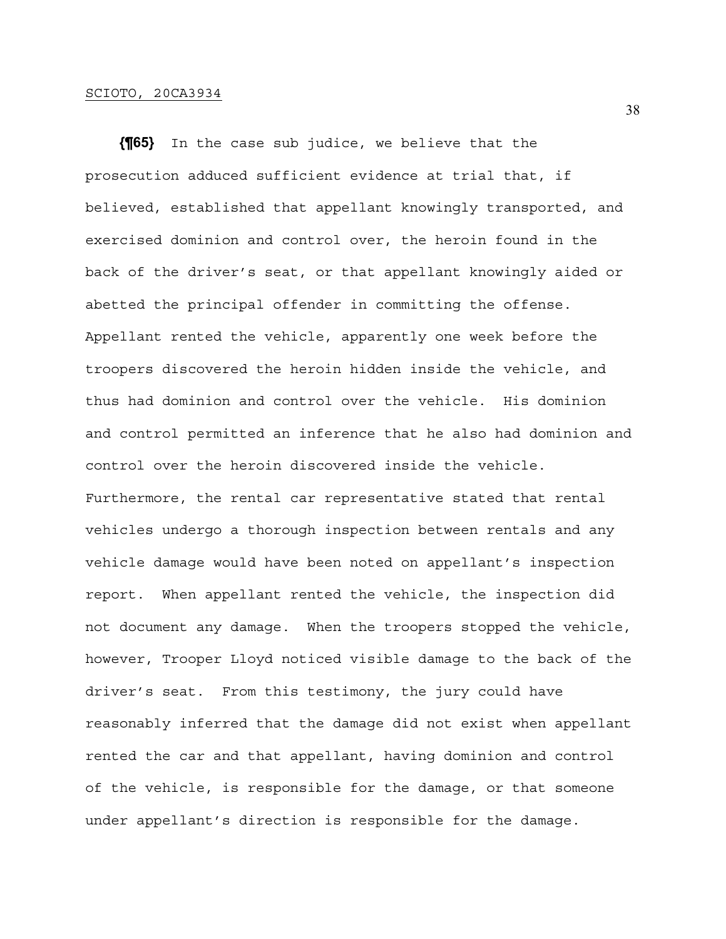**{¶65}** In the case sub judice, we believe that the prosecution adduced sufficient evidence at trial that, if believed, established that appellant knowingly transported, and exercised dominion and control over, the heroin found in the back of the driver's seat, or that appellant knowingly aided or abetted the principal offender in committing the offense. Appellant rented the vehicle, apparently one week before the troopers discovered the heroin hidden inside the vehicle, and thus had dominion and control over the vehicle. His dominion and control permitted an inference that he also had dominion and control over the heroin discovered inside the vehicle. Furthermore, the rental car representative stated that rental vehicles undergo a thorough inspection between rentals and any vehicle damage would have been noted on appellant's inspection report. When appellant rented the vehicle, the inspection did not document any damage. When the troopers stopped the vehicle, however, Trooper Lloyd noticed visible damage to the back of the driver's seat. From this testimony, the jury could have reasonably inferred that the damage did not exist when appellant rented the car and that appellant, having dominion and control of the vehicle, is responsible for the damage, or that someone under appellant's direction is responsible for the damage.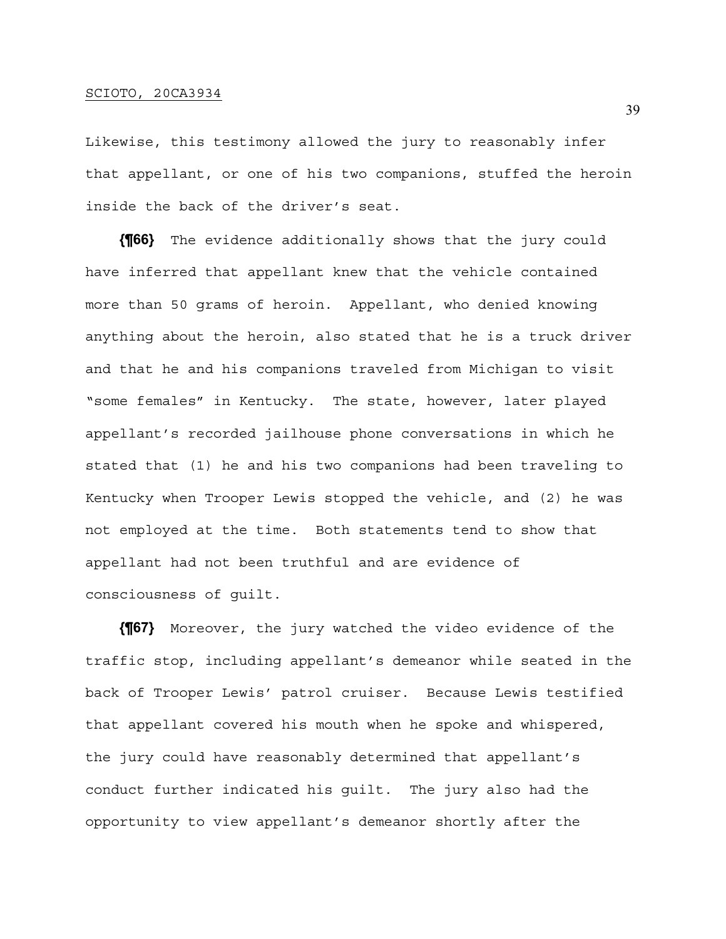Likewise, this testimony allowed the jury to reasonably infer that appellant, or one of his two companions, stuffed the heroin inside the back of the driver's seat.

**{¶66}** The evidence additionally shows that the jury could have inferred that appellant knew that the vehicle contained more than 50 grams of heroin. Appellant, who denied knowing anything about the heroin, also stated that he is a truck driver and that he and his companions traveled from Michigan to visit "some females" in Kentucky. The state, however, later played appellant's recorded jailhouse phone conversations in which he stated that (1) he and his two companions had been traveling to Kentucky when Trooper Lewis stopped the vehicle, and (2) he was not employed at the time. Both statements tend to show that appellant had not been truthful and are evidence of consciousness of guilt.

**{¶67}** Moreover, the jury watched the video evidence of the traffic stop, including appellant's demeanor while seated in the back of Trooper Lewis' patrol cruiser. Because Lewis testified that appellant covered his mouth when he spoke and whispered, the jury could have reasonably determined that appellant's conduct further indicated his guilt. The jury also had the opportunity to view appellant's demeanor shortly after the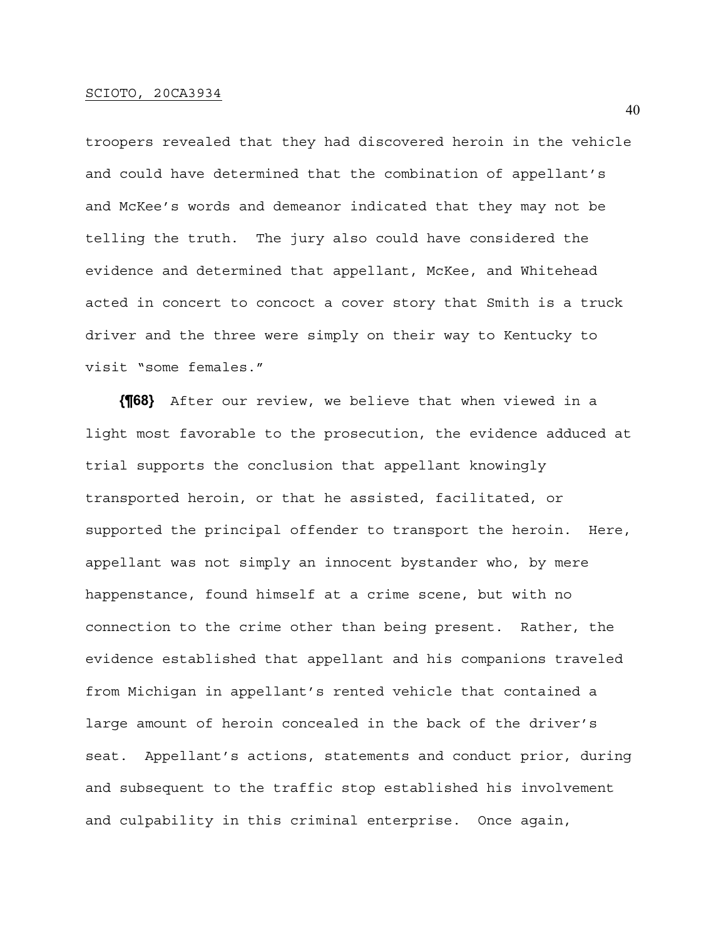troopers revealed that they had discovered heroin in the vehicle and could have determined that the combination of appellant's and McKee's words and demeanor indicated that they may not be telling the truth. The jury also could have considered the evidence and determined that appellant, McKee, and Whitehead acted in concert to concoct a cover story that Smith is a truck driver and the three were simply on their way to Kentucky to visit "some females."

**{¶68}** After our review, we believe that when viewed in a light most favorable to the prosecution, the evidence adduced at trial supports the conclusion that appellant knowingly transported heroin, or that he assisted, facilitated, or supported the principal offender to transport the heroin. Here, appellant was not simply an innocent bystander who, by mere happenstance, found himself at a crime scene, but with no connection to the crime other than being present. Rather, the evidence established that appellant and his companions traveled from Michigan in appellant's rented vehicle that contained a large amount of heroin concealed in the back of the driver's seat. Appellant's actions, statements and conduct prior, during and subsequent to the traffic stop established his involvement and culpability in this criminal enterprise. Once again,

40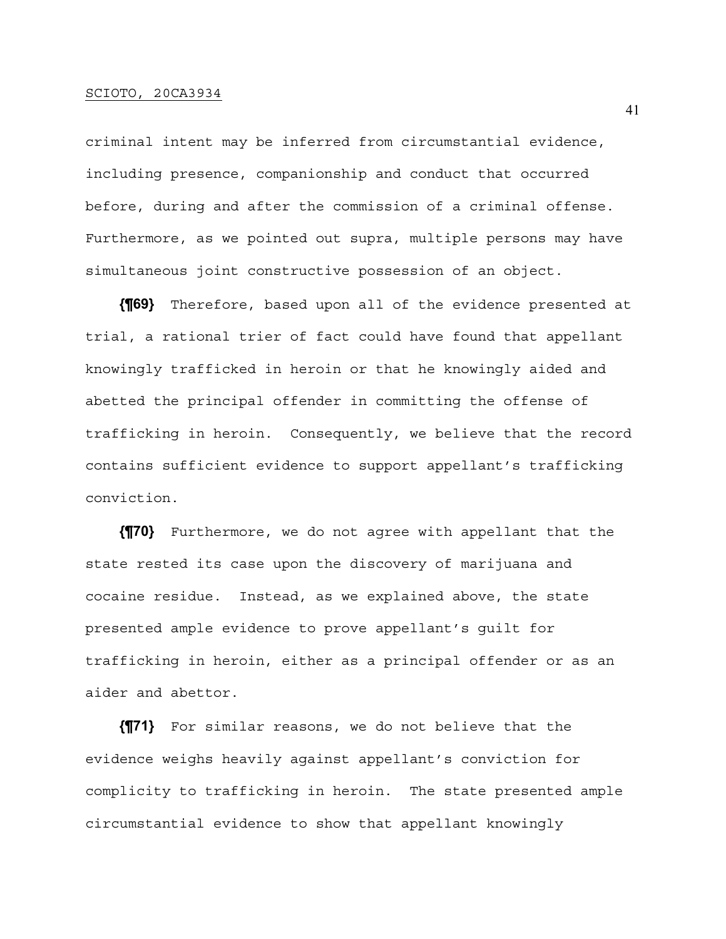criminal intent may be inferred from circumstantial evidence, including presence, companionship and conduct that occurred before, during and after the commission of a criminal offense. Furthermore, as we pointed out supra, multiple persons may have simultaneous joint constructive possession of an object.

**{¶69}** Therefore, based upon all of the evidence presented at trial, a rational trier of fact could have found that appellant knowingly trafficked in heroin or that he knowingly aided and abetted the principal offender in committing the offense of trafficking in heroin. Consequently, we believe that the record contains sufficient evidence to support appellant's trafficking conviction.

**{¶70}** Furthermore, we do not agree with appellant that the state rested its case upon the discovery of marijuana and cocaine residue. Instead, as we explained above, the state presented ample evidence to prove appellant's guilt for trafficking in heroin, either as a principal offender or as an aider and abettor.

**{¶71}** For similar reasons, we do not believe that the evidence weighs heavily against appellant's conviction for complicity to trafficking in heroin. The state presented ample circumstantial evidence to show that appellant knowingly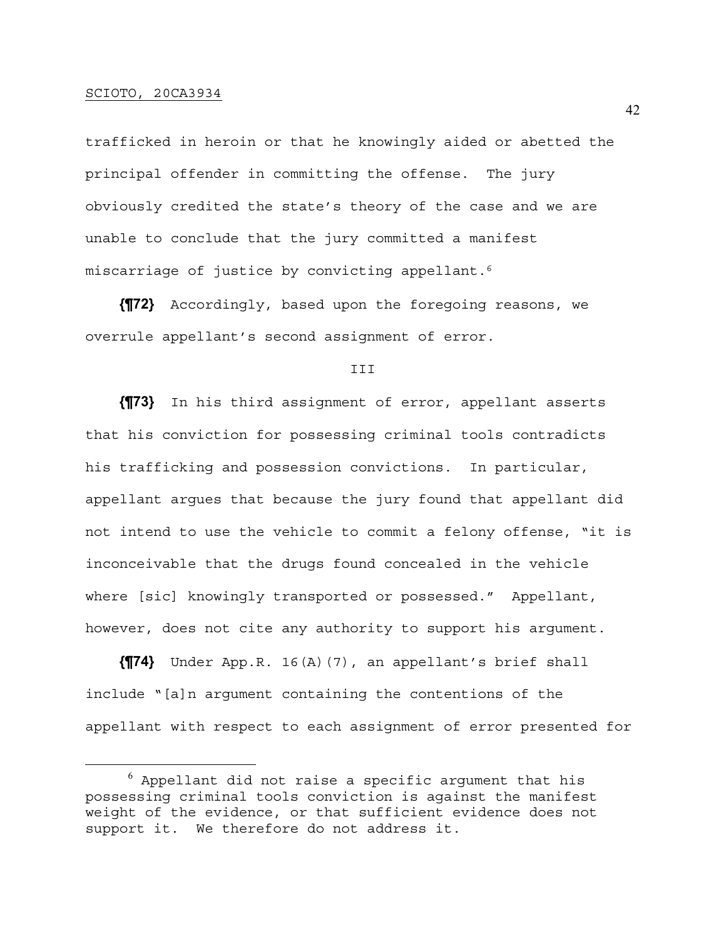trafficked in heroin or that he knowingly aided or abetted the principal offender in committing the offense. The jury obviously credited the state's theory of the case and we are unable to conclude that the jury committed a manifest miscarriage of justice by convicting appellant.6

**{¶72}** Accordingly, based upon the foregoing reasons, we overrule appellant's second assignment of error.

T<sub>TT</sub>

**{¶73}** In his third assignment of error, appellant asserts that his conviction for possessing criminal tools contradicts his trafficking and possession convictions. In particular, appellant argues that because the jury found that appellant did not intend to use the vehicle to commit a felony offense, "it is inconceivable that the drugs found concealed in the vehicle where [sic] knowingly transported or possessed." Appellant, however, does not cite any authority to support his argument.

**{¶74}** Under App.R. 16(A)(7), an appellant's brief shall include "[a]n argument containing the contentions of the appellant with respect to each assignment of error presented for

 $^6$  Appellant did not raise a specific argument that his possessing criminal tools conviction is against the manifest weight of the evidence, or that sufficient evidence does not support it. We therefore do not address it.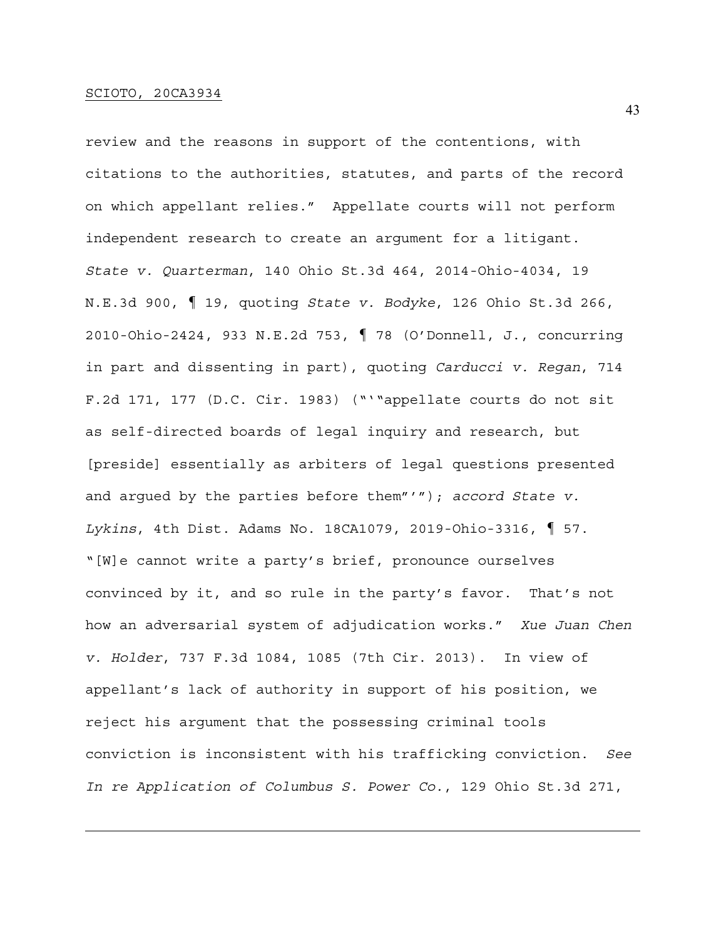review and the reasons in support of the contentions, with citations to the authorities, statutes, and parts of the record on which appellant relies." Appellate courts will not perform independent research to create an argument for a litigant. *State v. Quarterman*, 140 Ohio St.3d 464, 2014-Ohio-4034, 19 N.E.3d 900, ¶ 19, quoting *State v. Bodyke*, 126 Ohio St.3d 266, 2010-Ohio-2424, 933 N.E.2d 753, ¶ 78 (O'Donnell, J., concurring in part and dissenting in part), quoting *Carducci v. Regan*, 714 F.2d 171, 177 (D.C. Cir. 1983) ("'"appellate courts do not sit as self-directed boards of legal inquiry and research, but [preside] essentially as arbiters of legal questions presented and argued by the parties before them"'"); *accord State v. Lykins*, 4th Dist. Adams No. 18CA1079, 2019-Ohio-3316, ¶ 57. "[W]e cannot write a party's brief, pronounce ourselves convinced by it, and so rule in the party's favor. That's not how an adversarial system of adjudication works." *Xue Juan Chen v. Holder*, 737 F.3d 1084, 1085 (7th Cir. 2013). In view of appellant's lack of authority in support of his position, we reject his argument that the possessing criminal tools conviction is inconsistent with his trafficking conviction. *See In re Application of Columbus S. Power Co.*, 129 Ohio St.3d 271,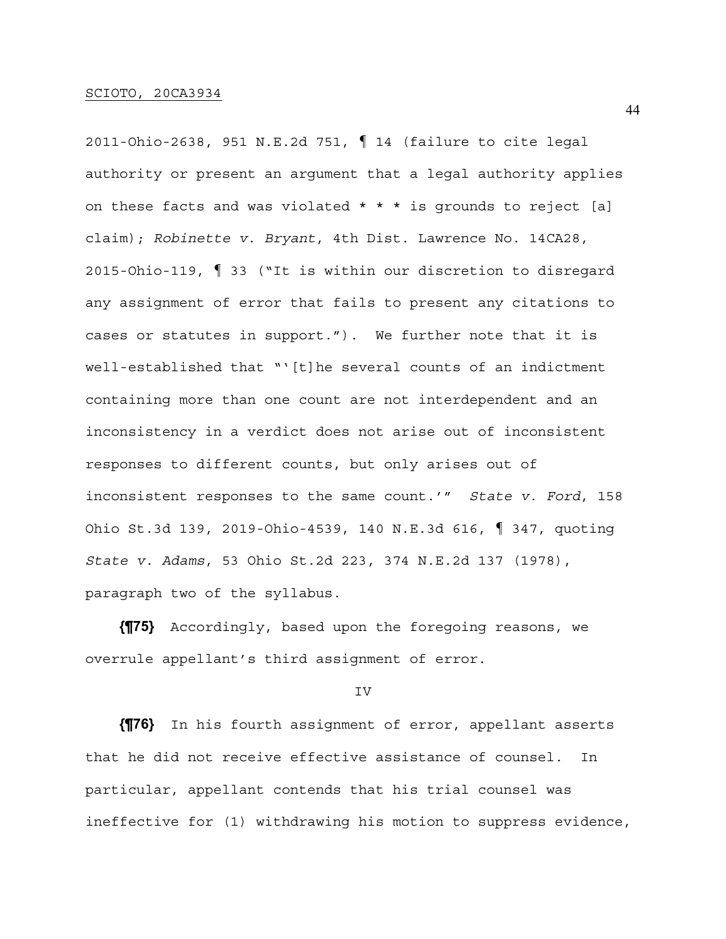2011-Ohio-2638, 951 N.E.2d 751, ¶ 14 (failure to cite legal authority or present an argument that a legal authority applies on these facts and was violated  $* * *$  is grounds to reject [a] claim); *Robinette v. Bryant*, 4th Dist. Lawrence No. 14CA28, 2015-Ohio-119, ¶ 33 ("It is within our discretion to disregard any assignment of error that fails to present any citations to cases or statutes in support."). We further note that it is well-established that "'[t]he several counts of an indictment containing more than one count are not interdependent and an inconsistency in a verdict does not arise out of inconsistent responses to different counts, but only arises out of inconsistent responses to the same count.'" *State v. Ford*, 158 Ohio St.3d 139, 2019-Ohio-4539, 140 N.E.3d 616, ¶ 347, quoting *State v. Adams*, 53 Ohio St.2d 223, 374 N.E.2d 137 (1978), paragraph two of the syllabus.

**{¶75}** Accordingly, based upon the foregoing reasons, we overrule appellant's third assignment of error.

#### IV

**{¶76}** In his fourth assignment of error, appellant asserts that he did not receive effective assistance of counsel. In particular, appellant contends that his trial counsel was ineffective for (1) withdrawing his motion to suppress evidence,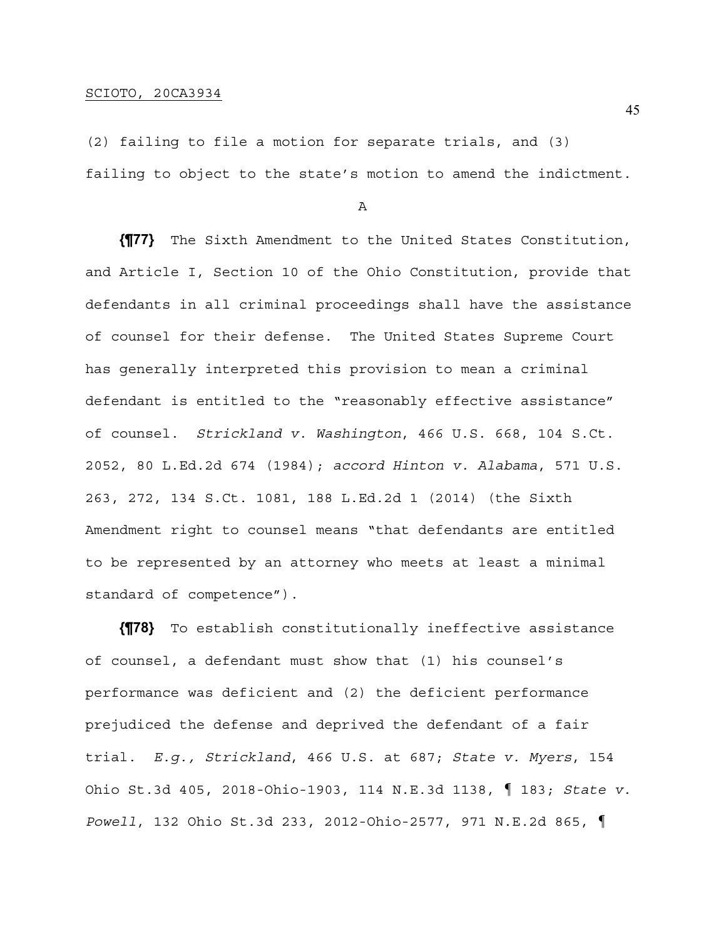(2) failing to file a motion for separate trials, and (3) failing to object to the state's motion to amend the indictment.

A

**{¶77}** The Sixth Amendment to the United States Constitution, and Article I, Section 10 of the Ohio Constitution, provide that defendants in all criminal proceedings shall have the assistance of counsel for their defense. The United States Supreme Court has generally interpreted this provision to mean a criminal defendant is entitled to the "reasonably effective assistance" of counsel. *Strickland v. Washington*, 466 U.S. 668, 104 S.Ct. 2052, 80 L.Ed.2d 674 (1984); *accord Hinton v. Alabama*, 571 U.S. 263, 272, 134 S.Ct. 1081, 188 L.Ed.2d 1 (2014) (the Sixth Amendment right to counsel means "that defendants are entitled to be represented by an attorney who meets at least a minimal standard of competence").

**{¶78}** To establish constitutionally ineffective assistance of counsel, a defendant must show that (1) his counsel's performance was deficient and (2) the deficient performance prejudiced the defense and deprived the defendant of a fair trial. *E.g., Strickland*, 466 U.S. at 687; *State v. Myers*, 154 Ohio St.3d 405, 2018-Ohio-1903, 114 N.E.3d 1138, ¶ 183; *State v. Powell*, 132 Ohio St.3d 233, 2012-Ohio-2577, 971 N.E.2d 865, ¶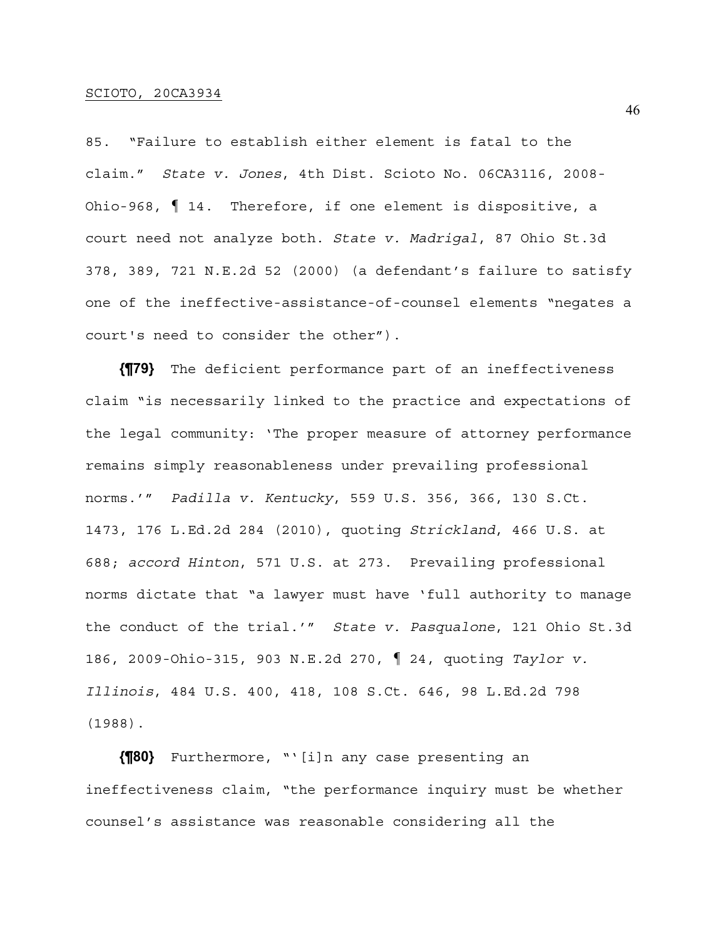85. "Failure to establish either element is fatal to the claim." *State v. Jones*, 4th Dist. Scioto No. 06CA3116, 2008- Ohio-968, ¶ 14. Therefore, if one element is dispositive, a court need not analyze both. *State v. Madrigal*, 87 Ohio St.3d 378, 389, 721 N.E.2d 52 (2000) (a defendant's failure to satisfy one of the ineffective-assistance-of-counsel elements "negates a court's need to consider the other").

**{¶79}** The deficient performance part of an ineffectiveness claim "is necessarily linked to the practice and expectations of the legal community: 'The proper measure of attorney performance remains simply reasonableness under prevailing professional norms.'" *Padilla v. Kentucky*, 559 U.S. 356, 366, 130 S.Ct. 1473, 176 L.Ed.2d 284 (2010), quoting *Strickland*, 466 U.S. at 688; *accord Hinton*, 571 U.S. at 273. Prevailing professional norms dictate that "a lawyer must have 'full authority to manage the conduct of the trial.'" *State v. Pasqualone*, 121 Ohio St.3d 186, 2009-Ohio-315, 903 N.E.2d 270, ¶ 24, quoting *Taylor v. Illinois*, 484 U.S. 400, 418, 108 S.Ct. 646, 98 L.Ed.2d 798 (1988).

**{¶80}** Furthermore, "'[i]n any case presenting an ineffectiveness claim, "the performance inquiry must be whether counsel's assistance was reasonable considering all the

46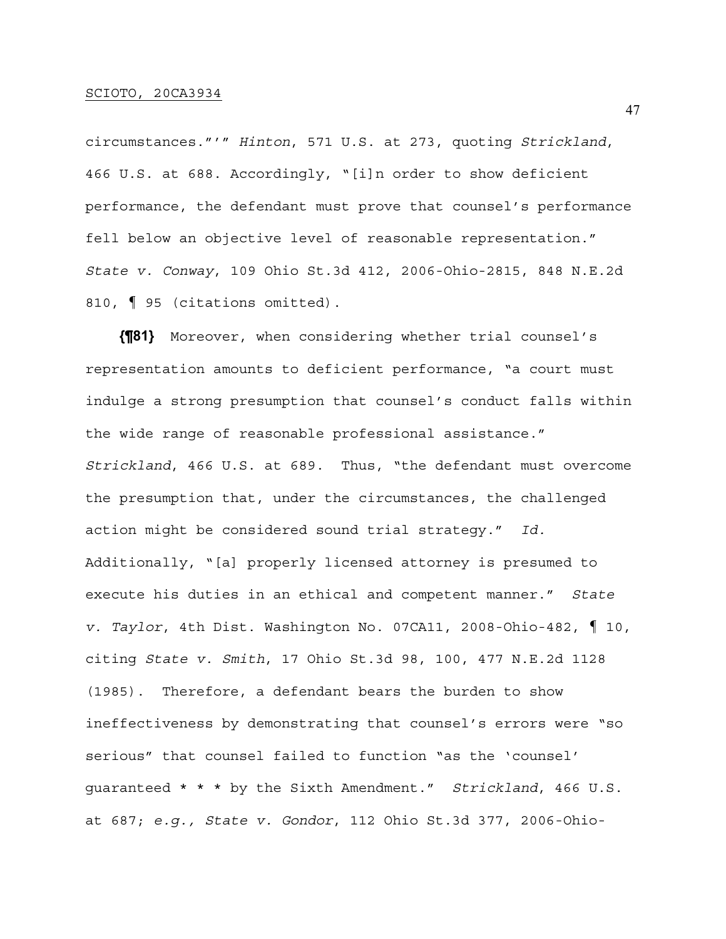circumstances."'" *Hinton*, 571 U.S. at 273, quoting *Strickland*, 466 U.S. at 688. Accordingly, "[i]n order to show deficient performance, the defendant must prove that counsel's performance fell below an objective level of reasonable representation." *State v. Conway*, 109 Ohio St.3d 412, 2006-Ohio-2815, 848 N.E.2d 810, ¶ 95 (citations omitted).

**{¶81}** Moreover, when considering whether trial counsel's representation amounts to deficient performance, "a court must indulge a strong presumption that counsel's conduct falls within the wide range of reasonable professional assistance." *Strickland*, 466 U.S. at 689. Thus, "the defendant must overcome the presumption that, under the circumstances, the challenged action might be considered sound trial strategy." *Id.* Additionally, "[a] properly licensed attorney is presumed to execute his duties in an ethical and competent manner." *State v. Taylor*, 4th Dist. Washington No. 07CA11, 2008-Ohio-482, ¶ 10, citing *State v. Smith*, 17 Ohio St.3d 98, 100, 477 N.E.2d 1128 (1985). Therefore, a defendant bears the burden to show ineffectiveness by demonstrating that counsel's errors were "so serious" that counsel failed to function "as the 'counsel' guaranteed \* \* \* by the Sixth Amendment." *Strickland*, 466 U.S. at 687; *e.g., State v. Gondor*, 112 Ohio St.3d 377, 2006-Ohio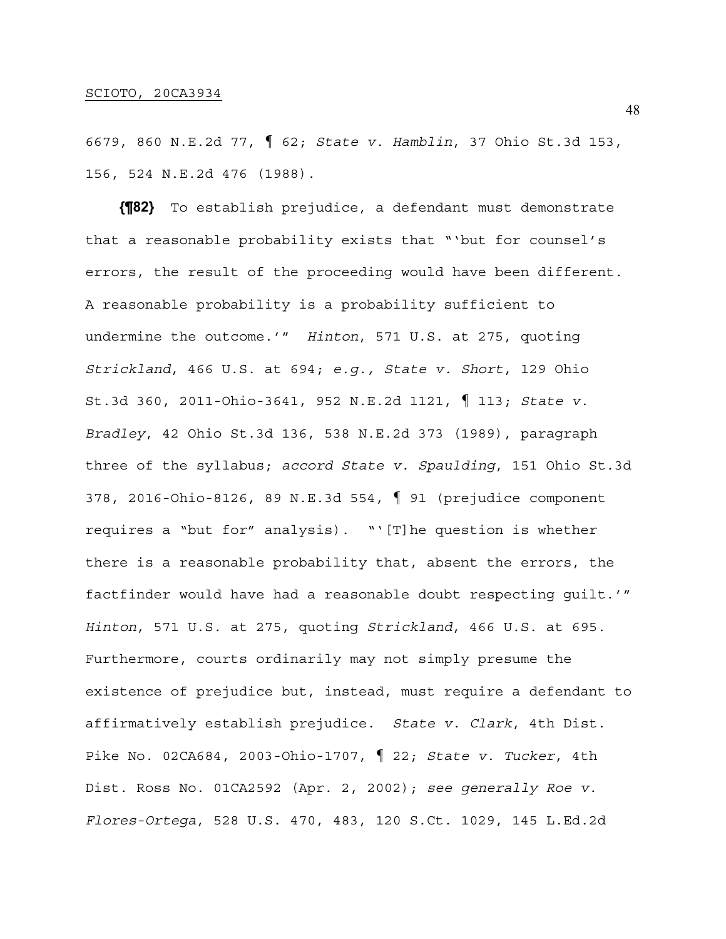6679, 860 N.E.2d 77, ¶ 62; *State v. Hamblin*, 37 Ohio St.3d 153, 156, 524 N.E.2d 476 (1988).

**{¶82}** To establish prejudice, a defendant must demonstrate that a reasonable probability exists that "'but for counsel's errors, the result of the proceeding would have been different. A reasonable probability is a probability sufficient to undermine the outcome.'" *Hinton*, 571 U.S. at 275, quoting *Strickland*, 466 U.S. at 694; *e.g., State v. Short*, 129 Ohio St.3d 360, 2011-Ohio-3641, 952 N.E.2d 1121, ¶ 113; *State v. Bradley*, 42 Ohio St.3d 136, 538 N.E.2d 373 (1989), paragraph three of the syllabus; *accord State v. Spaulding*, 151 Ohio St.3d 378, 2016-Ohio-8126, 89 N.E.3d 554, ¶ 91 (prejudice component requires a "but for" analysis). "'[T]he question is whether there is a reasonable probability that, absent the errors, the factfinder would have had a reasonable doubt respecting guilt.'" *Hinton*, 571 U.S. at 275, quoting *Strickland*, 466 U.S. at 695. Furthermore, courts ordinarily may not simply presume the existence of prejudice but, instead, must require a defendant to affirmatively establish prejudice. *State v. Clark*, 4th Dist. Pike No. 02CA684, 2003-Ohio-1707, ¶ 22; *State v. Tucker*, 4th Dist. Ross No. 01CA2592 (Apr. 2, 2002); *see generally Roe v. Flores-Ortega*, 528 U.S. 470, 483, 120 S.Ct. 1029, 145 L.Ed.2d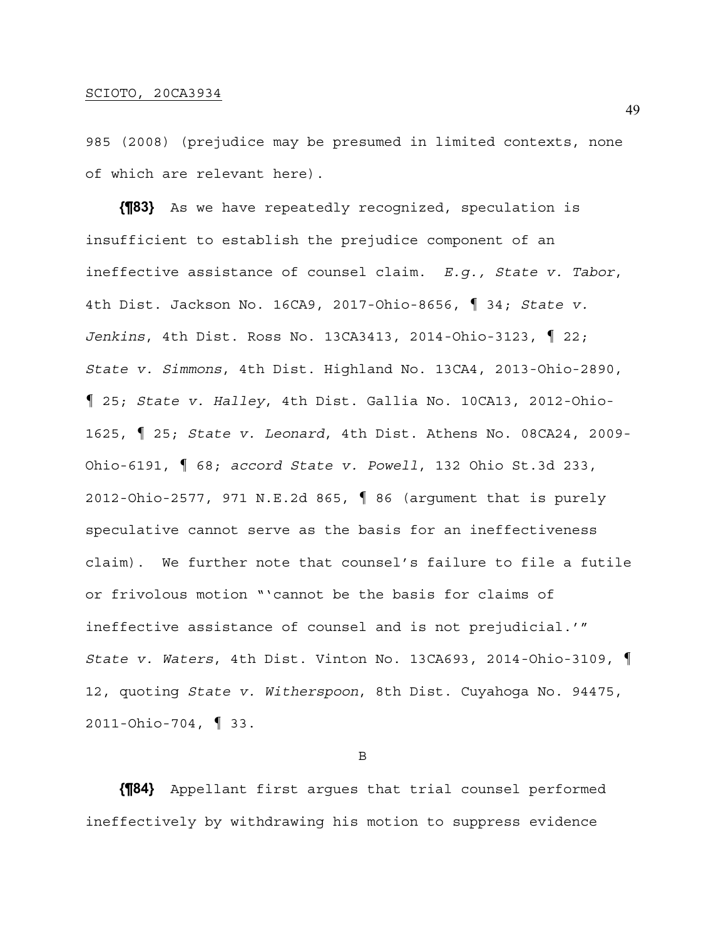985 (2008) (prejudice may be presumed in limited contexts, none of which are relevant here).

**{¶83}** As we have repeatedly recognized, speculation is insufficient to establish the prejudice component of an ineffective assistance of counsel claim. *E.g., State v. Tabor*, 4th Dist. Jackson No. 16CA9, 2017-Ohio-8656, ¶ 34; *State v. Jenkins*, 4th Dist. Ross No. 13CA3413, 2014-Ohio-3123, ¶ 22; *State v. Simmons*, 4th Dist. Highland No. 13CA4, 2013-Ohio-2890, ¶ 25; *State v. Halley*, 4th Dist. Gallia No. 10CA13, 2012-Ohio-1625, ¶ 25; *State v. Leonard*, 4th Dist. Athens No. 08CA24, 2009- Ohio-6191, ¶ 68; *accord State v. Powell*, 132 Ohio St.3d 233, 2012-Ohio-2577, 971 N.E.2d 865, ¶ 86 (argument that is purely speculative cannot serve as the basis for an ineffectiveness claim). We further note that counsel's failure to file a futile or frivolous motion "'cannot be the basis for claims of ineffective assistance of counsel and is not prejudicial.'" *State v. Waters*, 4th Dist. Vinton No. 13CA693, 2014-Ohio-3109, ¶ 12, quoting *State v. Witherspoon*, 8th Dist. Cuyahoga No. 94475, 2011-Ohio-704, ¶ 33.

B

**{¶84}** Appellant first argues that trial counsel performed ineffectively by withdrawing his motion to suppress evidence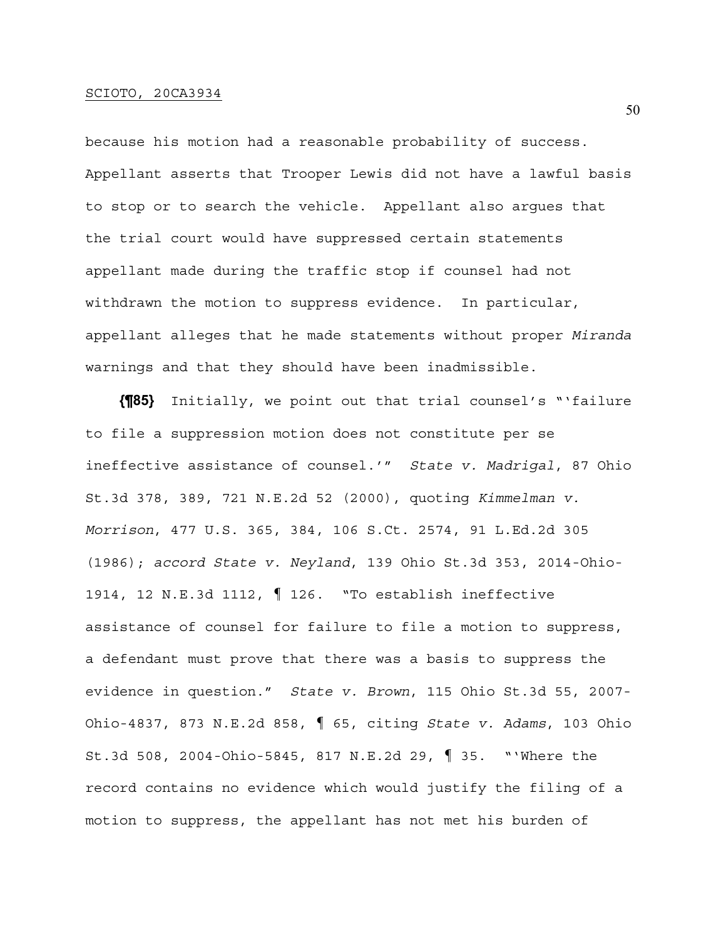because his motion had a reasonable probability of success. Appellant asserts that Trooper Lewis did not have a lawful basis to stop or to search the vehicle. Appellant also argues that the trial court would have suppressed certain statements appellant made during the traffic stop if counsel had not withdrawn the motion to suppress evidence. In particular, appellant alleges that he made statements without proper *Miranda* warnings and that they should have been inadmissible.

**{¶85}** Initially, we point out that trial counsel's "'failure to file a suppression motion does not constitute per se ineffective assistance of counsel.'" *State v. Madrigal*, 87 Ohio St.3d 378, 389, 721 N.E.2d 52 (2000), quoting *Kimmelman v. Morrison*, 477 U.S. 365, 384, 106 S.Ct. 2574, 91 L.Ed.2d 305 (1986); *accord State v. Neyland*, 139 Ohio St.3d 353, 2014-Ohio-1914, 12 N.E.3d 1112, ¶ 126. "To establish ineffective assistance of counsel for failure to file a motion to suppress, a defendant must prove that there was a basis to suppress the evidence in question." *State v. Brown*, 115 Ohio St.3d 55, 2007- Ohio-4837, 873 N.E.2d 858, ¶ 65, citing *State v. Adams*, 103 Ohio St.3d 508, 2004-Ohio-5845, 817 N.E.2d 29, ¶ 35. "'Where the record contains no evidence which would justify the filing of a motion to suppress, the appellant has not met his burden of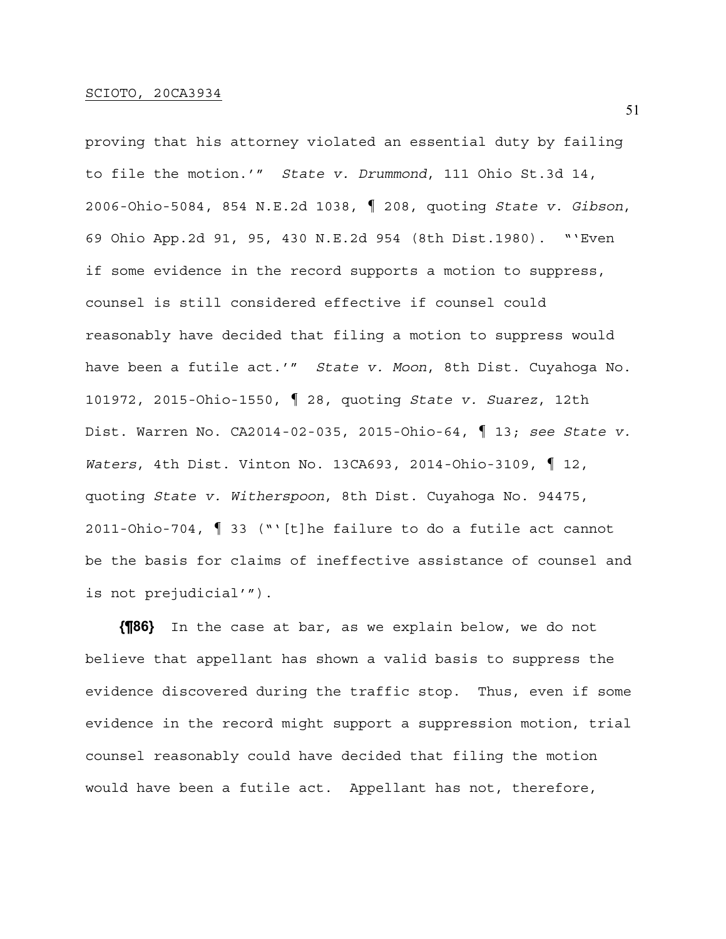proving that his attorney violated an essential duty by failing to file the motion.'" *State v. Drummond*, 111 Ohio St.3d 14, 2006-Ohio-5084, 854 N.E.2d 1038, ¶ 208, quoting *State v. Gibson*, 69 Ohio App.2d 91, 95, 430 N.E.2d 954 (8th Dist.1980). "'Even if some evidence in the record supports a motion to suppress, counsel is still considered effective if counsel could reasonably have decided that filing a motion to suppress would have been a futile act.'" *State v. Moon*, 8th Dist. Cuyahoga No. 101972, 2015-Ohio-1550, ¶ 28, quoting *State v. Suarez*, 12th Dist. Warren No. CA2014-02-035, 2015-Ohio-64, ¶ 13; *see State v. Waters*, 4th Dist. Vinton No. 13CA693, 2014-Ohio-3109, ¶ 12, quoting *State v. Witherspoon*, 8th Dist. Cuyahoga No. 94475, 2011-Ohio-704, ¶ 33 ("'[t]he failure to do a futile act cannot be the basis for claims of ineffective assistance of counsel and is not prejudicial'").

**{¶86}** In the case at bar, as we explain below, we do not believe that appellant has shown a valid basis to suppress the evidence discovered during the traffic stop. Thus, even if some evidence in the record might support a suppression motion, trial counsel reasonably could have decided that filing the motion would have been a futile act. Appellant has not, therefore,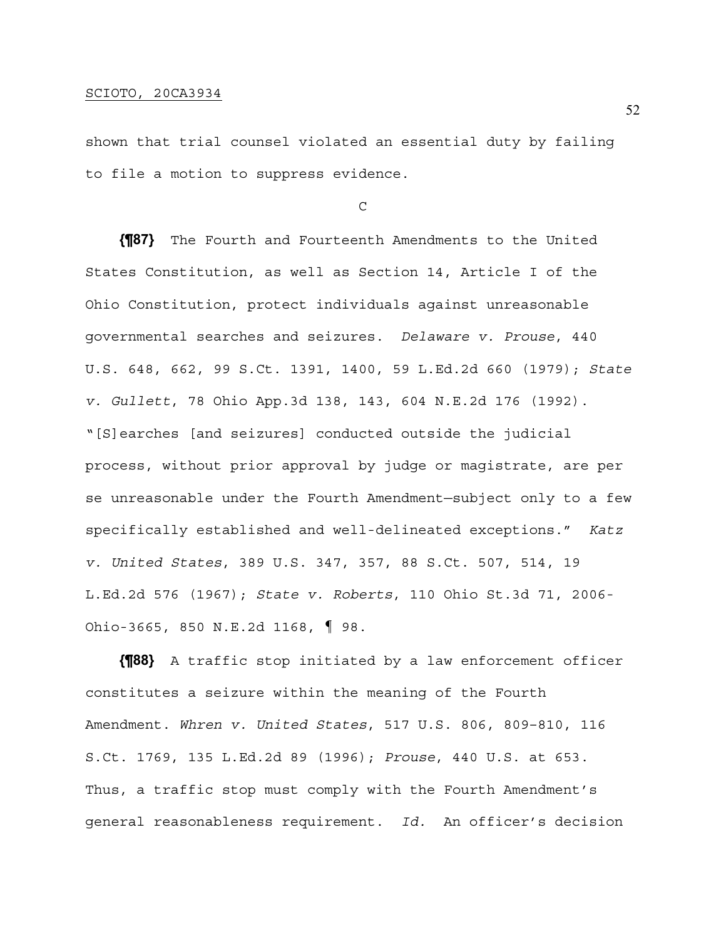shown that trial counsel violated an essential duty by failing to file a motion to suppress evidence.

C

**{¶87}** The Fourth and Fourteenth Amendments to the United States Constitution, as well as Section 14, Article I of the Ohio Constitution, protect individuals against unreasonable governmental searches and seizures. *Delaware v. Prouse*, 440 U.S. 648, 662, 99 S.Ct. 1391, 1400, 59 L.Ed.2d 660 (1979); *State v. Gullett*, 78 Ohio App.3d 138, 143, 604 N.E.2d 176 (1992). "[S]earches [and seizures] conducted outside the judicial process, without prior approval by judge or magistrate, are per se unreasonable under the Fourth Amendment—subject only to a few specifically established and well-delineated exceptions." *Katz v. United States*, 389 U.S. 347, 357, 88 S.Ct. 507, 514, 19 L.Ed.2d 576 (1967); *State v. Roberts*, 110 Ohio St.3d 71, 2006- Ohio-3665, 850 N.E.2d 1168, ¶ 98.

**{¶88}** A traffic stop initiated by a law enforcement officer constitutes a seizure within the meaning of the Fourth Amendment. *Whren v. United States*, 517 U.S. 806, 809–810, 116 S.Ct. 1769, 135 L.Ed.2d 89 (1996); *Prouse*, 440 U.S. at 653. Thus, a traffic stop must comply with the Fourth Amendment's general reasonableness requirement. *Id.* An officer's decision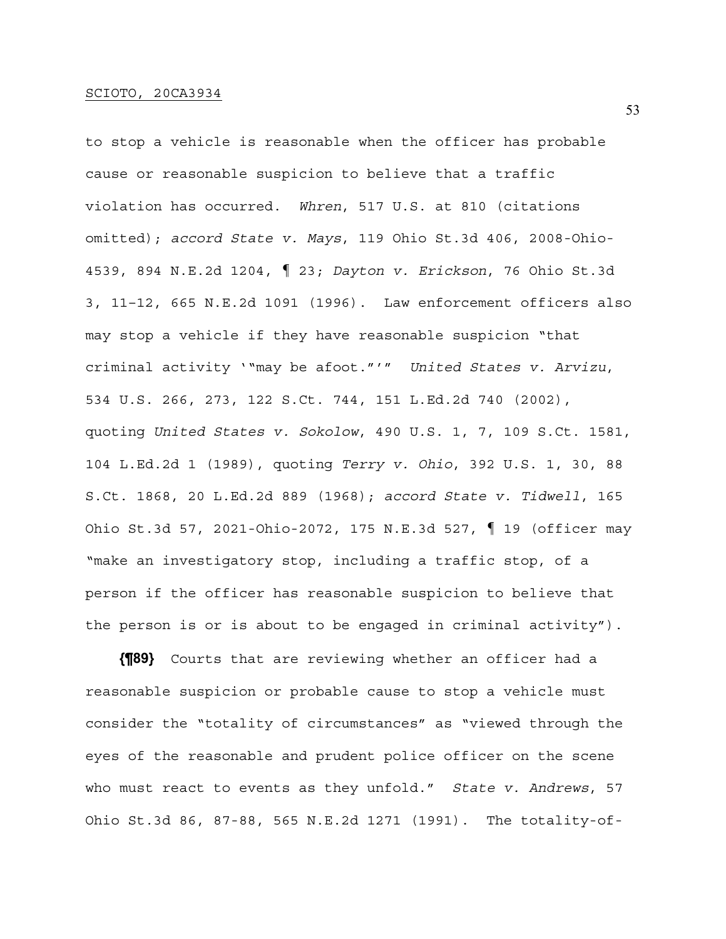to stop a vehicle is reasonable when the officer has probable cause or reasonable suspicion to believe that a traffic violation has occurred. *Whren*, 517 U.S. at 810 (citations omitted); *accord State v. Mays*, 119 Ohio St.3d 406, 2008-Ohio-4539, 894 N.E.2d 1204, ¶ 23; *Dayton v. Erickson*, 76 Ohio St.3d 3, 11–12, 665 N.E.2d 1091 (1996). Law enforcement officers also may stop a vehicle if they have reasonable suspicion "that criminal activity '"may be afoot."'" *United States v. Arvizu*, 534 U.S. 266, 273, 122 S.Ct. 744, 151 L.Ed.2d 740 (2002), quoting *United States v. Sokolow*, 490 U.S. 1, 7, 109 S.Ct. 1581, 104 L.Ed.2d 1 (1989), quoting *Terry v. Ohio*, 392 U.S. 1, 30, 88 S.Ct. 1868, 20 L.Ed.2d 889 (1968); *accord State v. Tidwell*, 165 Ohio St.3d 57, 2021-Ohio-2072, 175 N.E.3d 527, ¶ 19 (officer may "make an investigatory stop, including a traffic stop, of a person if the officer has reasonable suspicion to believe that the person is or is about to be engaged in criminal activity").

**{¶89}** Courts that are reviewing whether an officer had a reasonable suspicion or probable cause to stop a vehicle must consider the "totality of circumstances" as "viewed through the eyes of the reasonable and prudent police officer on the scene who must react to events as they unfold." *State v. Andrews*, 57 Ohio St.3d 86, 87-88, 565 N.E.2d 1271 (1991). The totality-of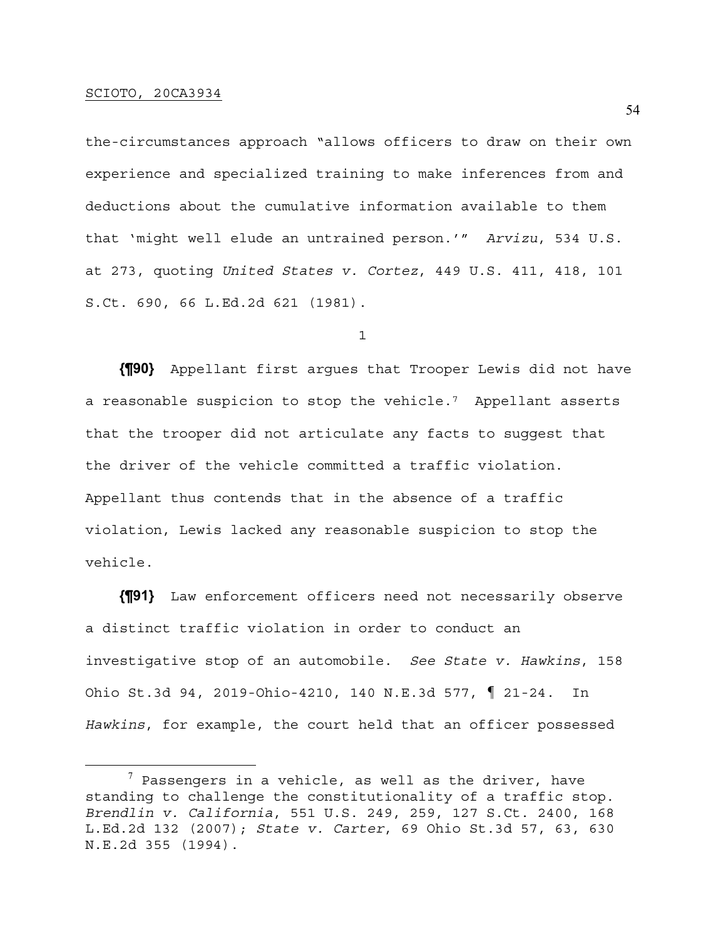the-circumstances approach "allows officers to draw on their own experience and specialized training to make inferences from and deductions about the cumulative information available to them that 'might well elude an untrained person.'" *Arvizu*, 534 U.S. at 273, quoting *United States v. Cortez*, 449 U.S. 411, 418, 101 S.Ct. 690, 66 L.Ed.2d 621 (1981).

1

**{¶90}** Appellant first argues that Trooper Lewis did not have a reasonable suspicion to stop the vehicle.7 Appellant asserts that the trooper did not articulate any facts to suggest that the driver of the vehicle committed a traffic violation. Appellant thus contends that in the absence of a traffic violation, Lewis lacked any reasonable suspicion to stop the vehicle.

**{¶91}** Law enforcement officers need not necessarily observe a distinct traffic violation in order to conduct an investigative stop of an automobile. *See State v. Hawkins*, 158 Ohio St.3d 94, 2019-Ohio-4210, 140 N.E.3d 577, ¶ 21-24. In *Hawkins*, for example, the court held that an officer possessed

 $^7$  Passengers in a vehicle, as well as the driver, have standing to challenge the constitutionality of a traffic stop. *Brendlin v. California*, 551 U.S. 249, 259, 127 S.Ct. 2400, 168 L.Ed.2d 132 (2007); *State v. Carter*, 69 Ohio St.3d 57, 63, 630 N.E.2d 355 (1994).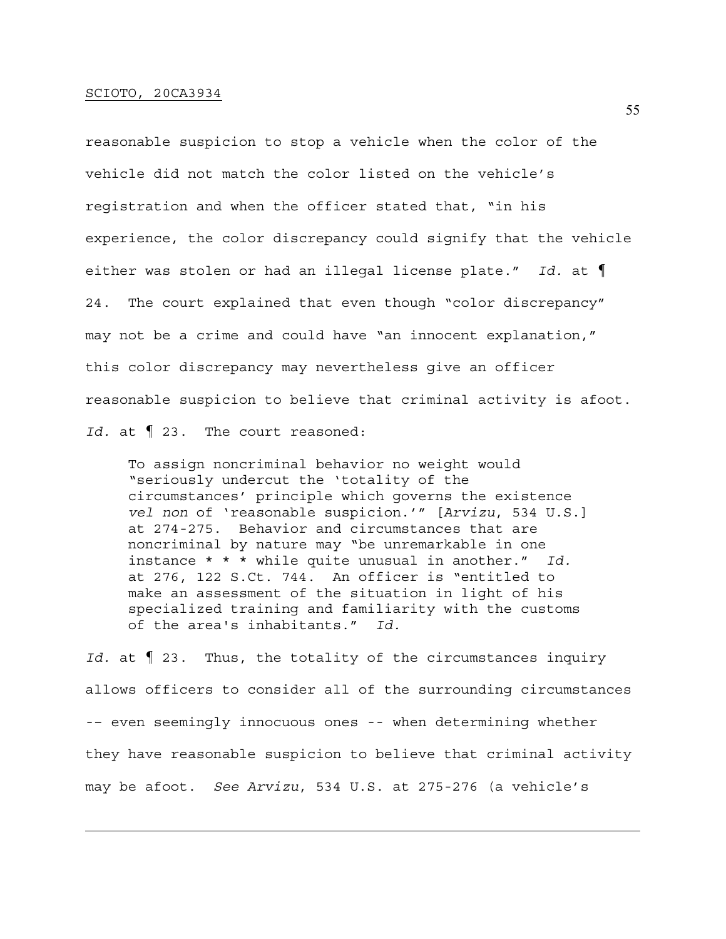reasonable suspicion to stop a vehicle when the color of the vehicle did not match the color listed on the vehicle's registration and when the officer stated that, "in his experience, the color discrepancy could signify that the vehicle either was stolen or had an illegal license plate." *Id.* at ¶ 24. The court explained that even though "color discrepancy" may not be a crime and could have "an innocent explanation," this color discrepancy may nevertheless give an officer reasonable suspicion to believe that criminal activity is afoot. *Id.* at ¶ 23. The court reasoned:

To assign noncriminal behavior no weight would "seriously undercut the 'totality of the circumstances' principle which governs the existence *vel non* of 'reasonable suspicion.'" [*Arvizu*, 534 U.S.] at 274-275. Behavior and circumstances that are noncriminal by nature may "be unremarkable in one instance \* \* \* while quite unusual in another." *Id.* at 276, 122 S.Ct. 744. An officer is "entitled to make an assessment of the situation in light of his specialized training and familiarity with the customs of the area's inhabitants." *Id.*

*Id.* at ¶ 23. Thus, the totality of the circumstances inquiry allows officers to consider all of the surrounding circumstances -– even seemingly innocuous ones -- when determining whether they have reasonable suspicion to believe that criminal activity may be afoot. *See Arvizu*, 534 U.S. at 275-276 (a vehicle's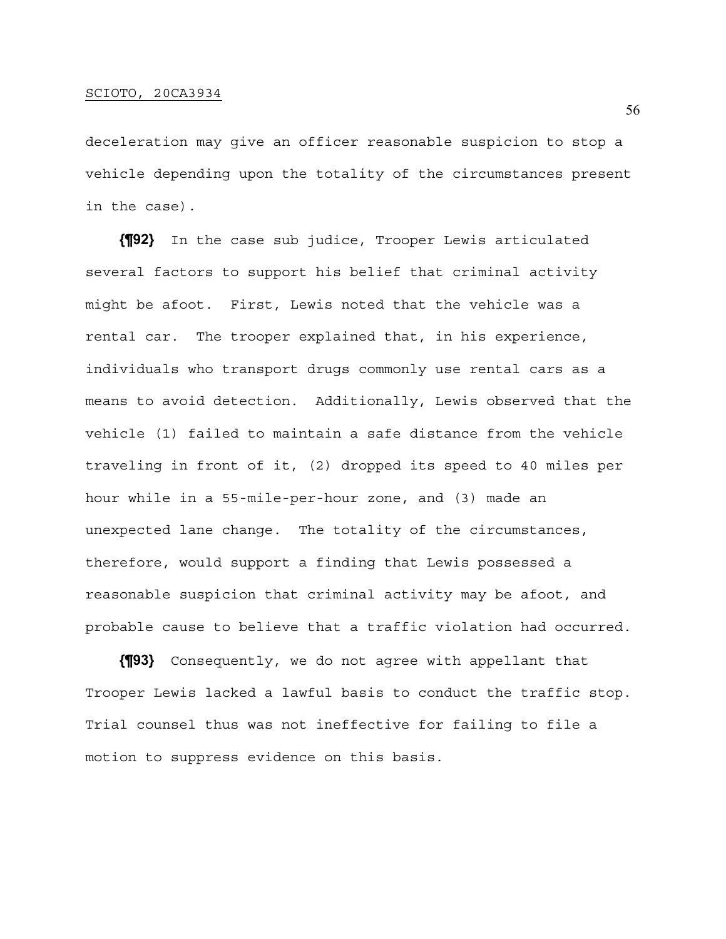deceleration may give an officer reasonable suspicion to stop a vehicle depending upon the totality of the circumstances present in the case).

**{¶92}** In the case sub judice, Trooper Lewis articulated several factors to support his belief that criminal activity might be afoot. First, Lewis noted that the vehicle was a rental car. The trooper explained that, in his experience, individuals who transport drugs commonly use rental cars as a means to avoid detection. Additionally, Lewis observed that the vehicle (1) failed to maintain a safe distance from the vehicle traveling in front of it, (2) dropped its speed to 40 miles per hour while in a 55-mile-per-hour zone, and (3) made an unexpected lane change. The totality of the circumstances, therefore, would support a finding that Lewis possessed a reasonable suspicion that criminal activity may be afoot, and probable cause to believe that a traffic violation had occurred.

**{¶93}** Consequently, we do not agree with appellant that Trooper Lewis lacked a lawful basis to conduct the traffic stop. Trial counsel thus was not ineffective for failing to file a motion to suppress evidence on this basis.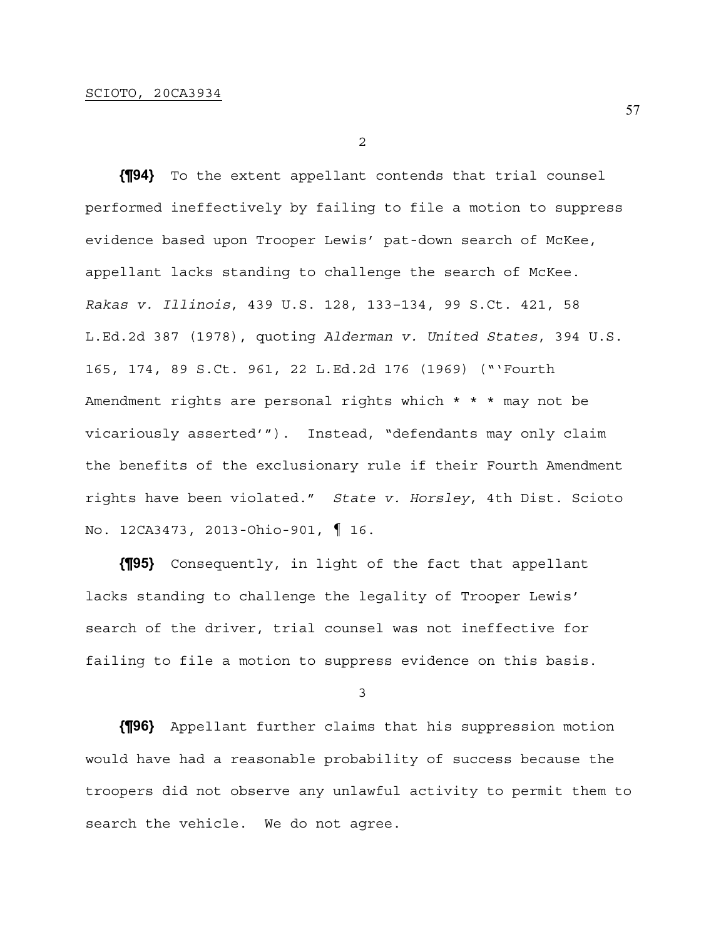2

**{¶94}** To the extent appellant contends that trial counsel performed ineffectively by failing to file a motion to suppress evidence based upon Trooper Lewis' pat-down search of McKee, appellant lacks standing to challenge the search of McKee. *Rakas v. Illinois*, 439 U.S. 128, 133–134, 99 S.Ct. 421, 58 L.Ed.2d 387 (1978), quoting *Alderman v. United States*, 394 U.S. 165, 174, 89 S.Ct. 961, 22 L.Ed.2d 176 (1969) ("'Fourth Amendment rights are personal rights which \* \* \* may not be vicariously asserted'"). Instead, "defendants may only claim the benefits of the exclusionary rule if their Fourth Amendment rights have been violated." *State v. Horsley*, 4th Dist. Scioto No. 12CA3473, 2013-Ohio-901, ¶ 16.

**{¶95}** Consequently, in light of the fact that appellant lacks standing to challenge the legality of Trooper Lewis' search of the driver, trial counsel was not ineffective for failing to file a motion to suppress evidence on this basis.

3

**{¶96}** Appellant further claims that his suppression motion would have had a reasonable probability of success because the troopers did not observe any unlawful activity to permit them to search the vehicle. We do not agree.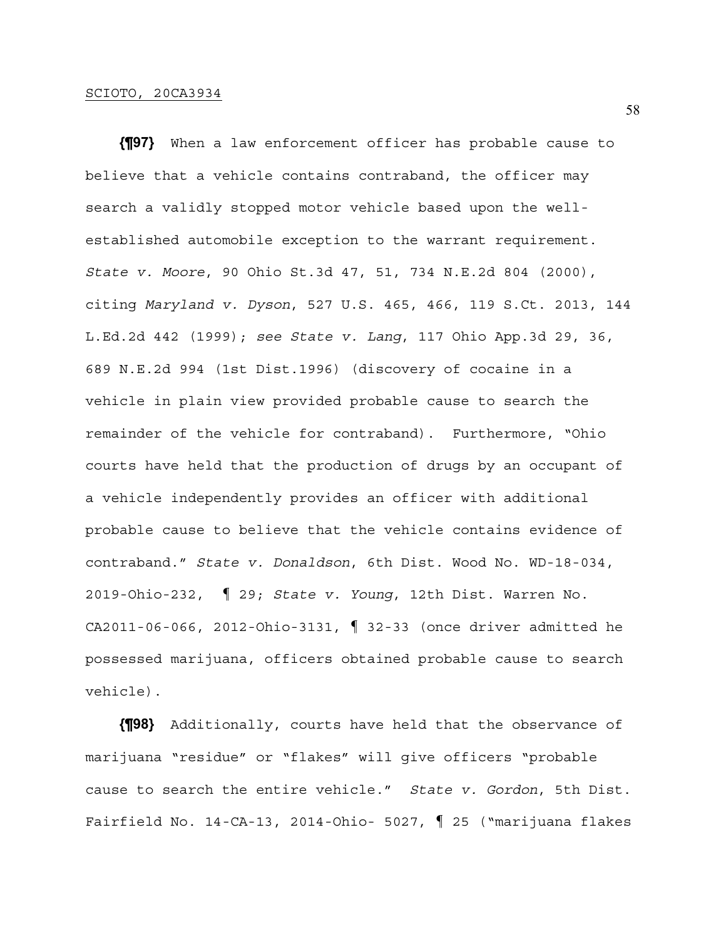**{¶97}** When a law enforcement officer has probable cause to believe that a vehicle contains contraband, the officer may search a validly stopped motor vehicle based upon the wellestablished automobile exception to the warrant requirement. *State v. Moore*, 90 Ohio St.3d 47, 51, 734 N.E.2d 804 (2000), citing *Maryland v. Dyson*, 527 U.S. 465, 466, 119 S.Ct. 2013, 144 L.Ed.2d 442 (1999); *see State v. Lang*, 117 Ohio App.3d 29, 36, 689 N.E.2d 994 (1st Dist.1996) (discovery of cocaine in a vehicle in plain view provided probable cause to search the remainder of the vehicle for contraband). Furthermore, "Ohio courts have held that the production of drugs by an occupant of a vehicle independently provides an officer with additional probable cause to believe that the vehicle contains evidence of contraband." *State v. Donaldson*, 6th Dist. Wood No. WD-18-034, 2019-Ohio-232, ¶ 29; *State v. Young*, 12th Dist. Warren No. CA2011-06-066, 2012-Ohio-3131, ¶ 32-33 (once driver admitted he possessed marijuana, officers obtained probable cause to search vehicle).

**{¶98}** Additionally, courts have held that the observance of marijuana "residue" or "flakes" will give officers "probable cause to search the entire vehicle." *State v. Gordon*, 5th Dist. Fairfield No. 14-CA-13, 2014-Ohio- 5027, ¶ 25 ("marijuana flakes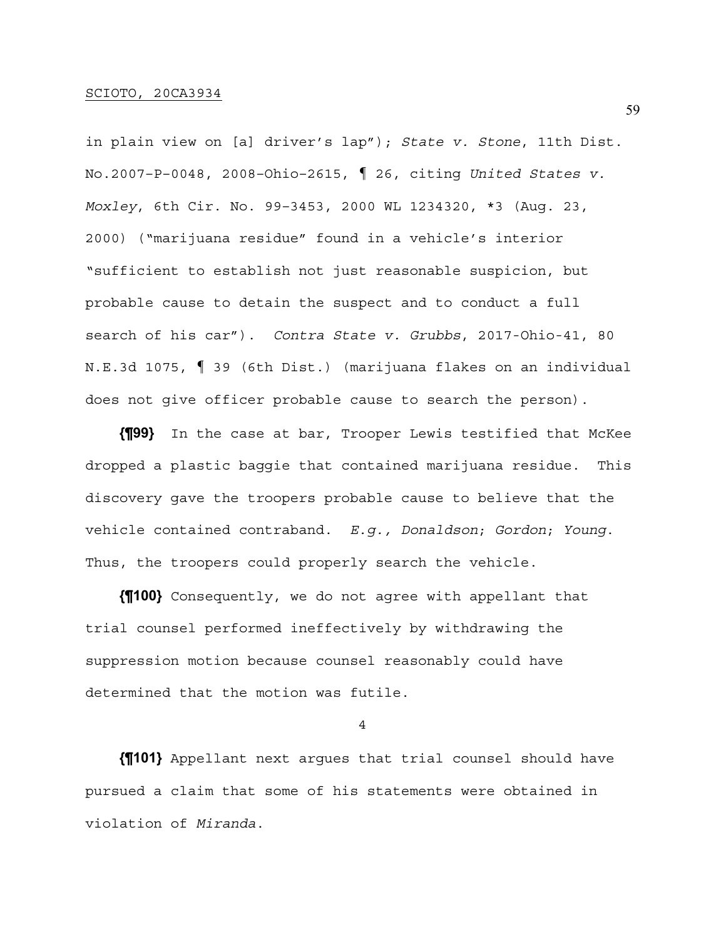in plain view on [a] driver's lap"); *State v. Stone*, 11th Dist. No.2007–P–0048, 2008–Ohio–2615, ¶ 26, citing *United States v. Moxley*, 6th Cir. No. 99–3453, 2000 WL 1234320, \*3 (Aug. 23, 2000) ("marijuana residue" found in a vehicle's interior "sufficient to establish not just reasonable suspicion, but probable cause to detain the suspect and to conduct a full search of his car"). *Contra State v. Grubbs*, 2017-Ohio-41, 80 N.E.3d 1075, ¶ 39 (6th Dist.) (marijuana flakes on an individual does not give officer probable cause to search the person).

**{¶99}** In the case at bar, Trooper Lewis testified that McKee dropped a plastic baggie that contained marijuana residue. This discovery gave the troopers probable cause to believe that the vehicle contained contraband. *E.g., Donaldson*; *Gordon*; *Young*. Thus, the troopers could properly search the vehicle.

**{¶100}** Consequently, we do not agree with appellant that trial counsel performed ineffectively by withdrawing the suppression motion because counsel reasonably could have determined that the motion was futile.

4

**{¶101}** Appellant next argues that trial counsel should have pursued a claim that some of his statements were obtained in violation of *Miranda*.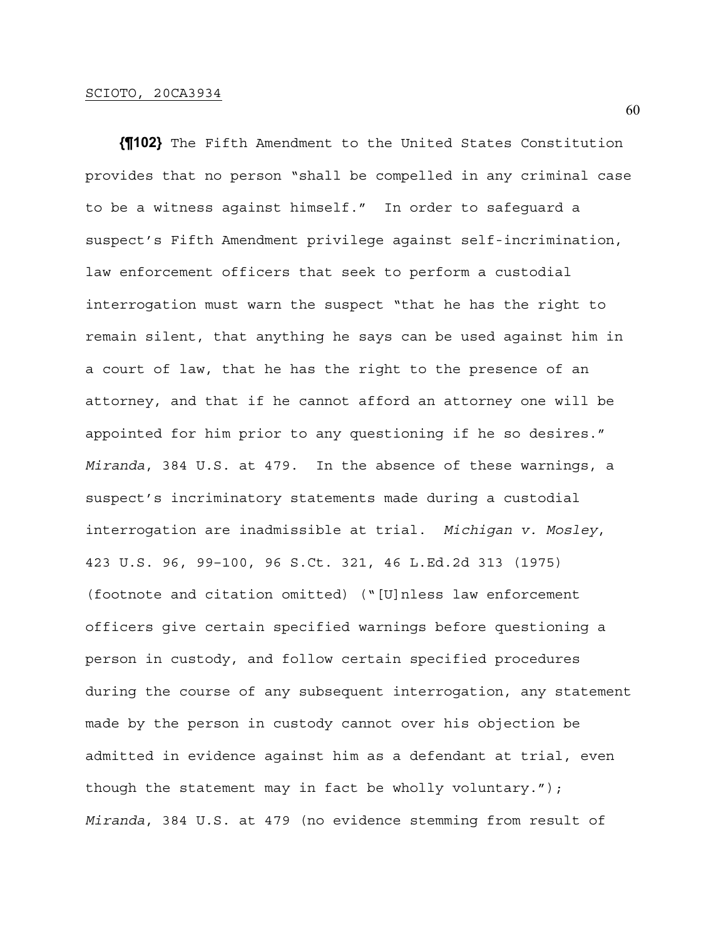**{¶102}** The Fifth Amendment to the United States Constitution provides that no person "shall be compelled in any criminal case to be a witness against himself." In order to safeguard a suspect's Fifth Amendment privilege against self-incrimination, law enforcement officers that seek to perform a custodial interrogation must warn the suspect "that he has the right to remain silent, that anything he says can be used against him in a court of law, that he has the right to the presence of an attorney, and that if he cannot afford an attorney one will be appointed for him prior to any questioning if he so desires." *Miranda*, 384 U.S. at 479. In the absence of these warnings, a suspect's incriminatory statements made during a custodial interrogation are inadmissible at trial. *Michigan v. Mosley*, 423 U.S. 96, 99–100, 96 S.Ct. 321, 46 L.Ed.2d 313 (1975) (footnote and citation omitted) ("[U]nless law enforcement officers give certain specified warnings before questioning a person in custody, and follow certain specified procedures during the course of any subsequent interrogation, any statement made by the person in custody cannot over his objection be admitted in evidence against him as a defendant at trial, even though the statement may in fact be wholly voluntary."); *Miranda*, 384 U.S. at 479 (no evidence stemming from result of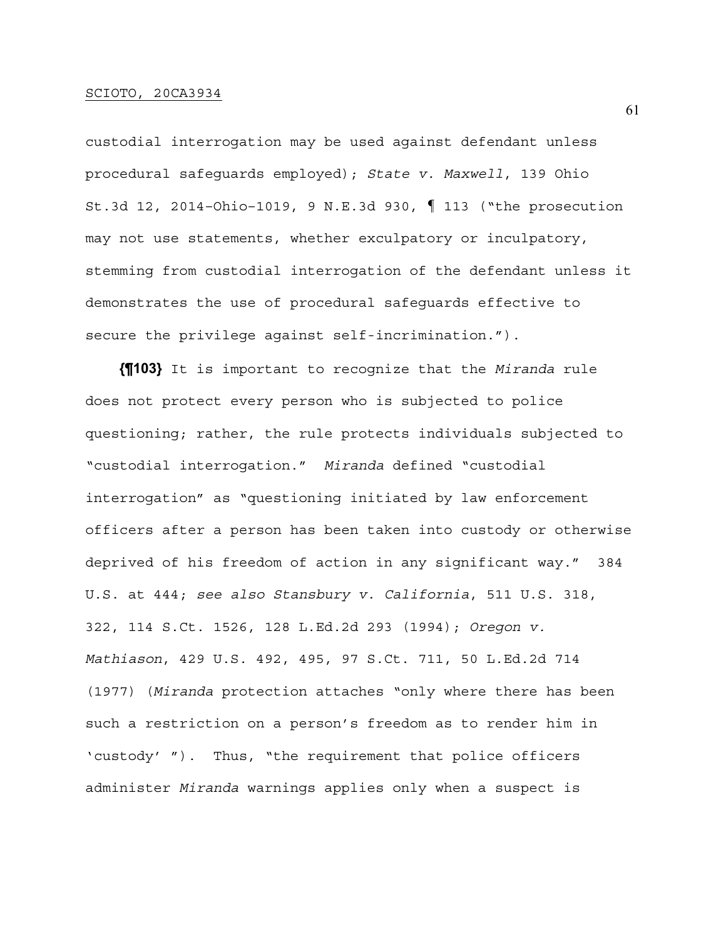custodial interrogation may be used against defendant unless procedural safeguards employed); *State v. Maxwell*, 139 Ohio St.3d 12, 2014–Ohio–1019, 9 N.E.3d 930, ¶ 113 ("the prosecution may not use statements, whether exculpatory or inculpatory, stemming from custodial interrogation of the defendant unless it demonstrates the use of procedural safeguards effective to secure the privilege against self-incrimination.").

**{¶103}** It is important to recognize that the *Miranda* rule does not protect every person who is subjected to police questioning; rather, the rule protects individuals subjected to "custodial interrogation." *Miranda* defined "custodial interrogation" as "questioning initiated by law enforcement officers after a person has been taken into custody or otherwise deprived of his freedom of action in any significant way." 384 U.S. at 444; *see also Stansbury v. California*, 511 U.S. 318, 322, 114 S.Ct. 1526, 128 L.Ed.2d 293 (1994); *Oregon v. Mathiason*, 429 U.S. 492, 495, 97 S.Ct. 711, 50 L.Ed.2d 714 (1977) (*Miranda* protection attaches "only where there has been such a restriction on a person's freedom as to render him in 'custody' "). Thus, "the requirement that police officers administer *Miranda* warnings applies only when a suspect is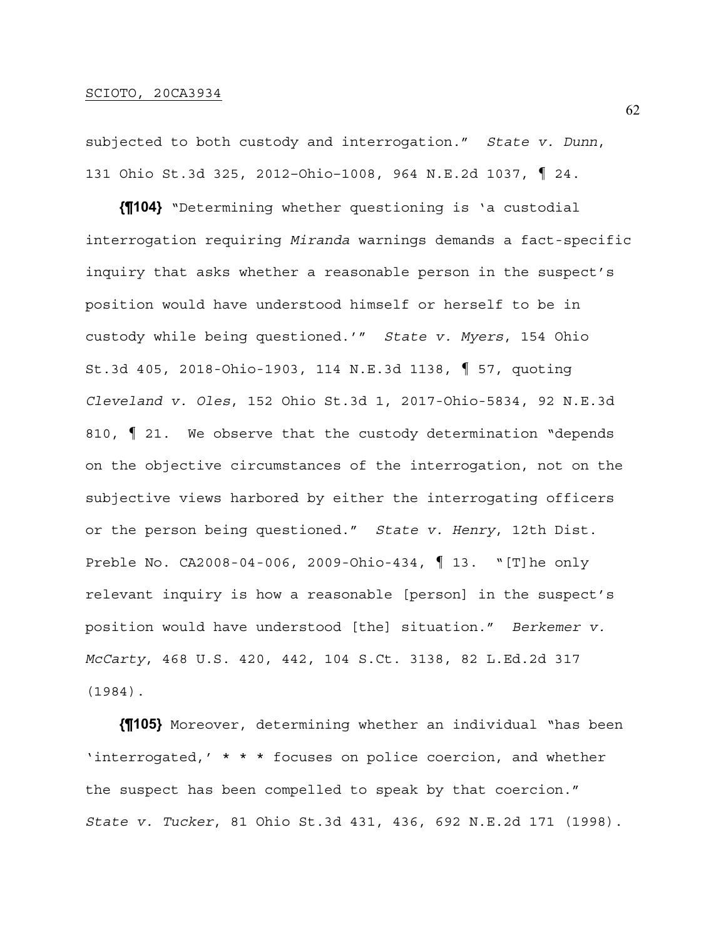subjected to both custody and interrogation." *State v. Dunn*, 131 Ohio St.3d 325, 2012–Ohio–1008, 964 N.E.2d 1037, ¶ 24.

**{¶104}** "Determining whether questioning is 'a custodial interrogation requiring *Miranda* warnings demands a fact-specific inquiry that asks whether a reasonable person in the suspect's position would have understood himself or herself to be in custody while being questioned.'" *State v. Myers*, 154 Ohio St.3d 405, 2018-Ohio-1903, 114 N.E.3d 1138, ¶ 57, quoting *Cleveland v. Oles*, 152 Ohio St.3d 1, 2017-Ohio-5834, 92 N.E.3d 810, ¶ 21. We observe that the custody determination "depends on the objective circumstances of the interrogation, not on the subjective views harbored by either the interrogating officers or the person being questioned." *State v. Henry*, 12th Dist. Preble No. CA2008-04-006, 2009-Ohio-434, ¶ 13. "[T]he only relevant inquiry is how a reasonable [person] in the suspect's position would have understood [the] situation." *Berkemer v. McCarty*, 468 U.S. 420, 442, 104 S.Ct. 3138, 82 L.Ed.2d 317 (1984).

**{¶105}** Moreover, determining whether an individual "has been 'interrogated,' \* \* \* focuses on police coercion, and whether the suspect has been compelled to speak by that coercion." *State v. Tucker*, 81 Ohio St.3d 431, 436, 692 N.E.2d 171 (1998).

62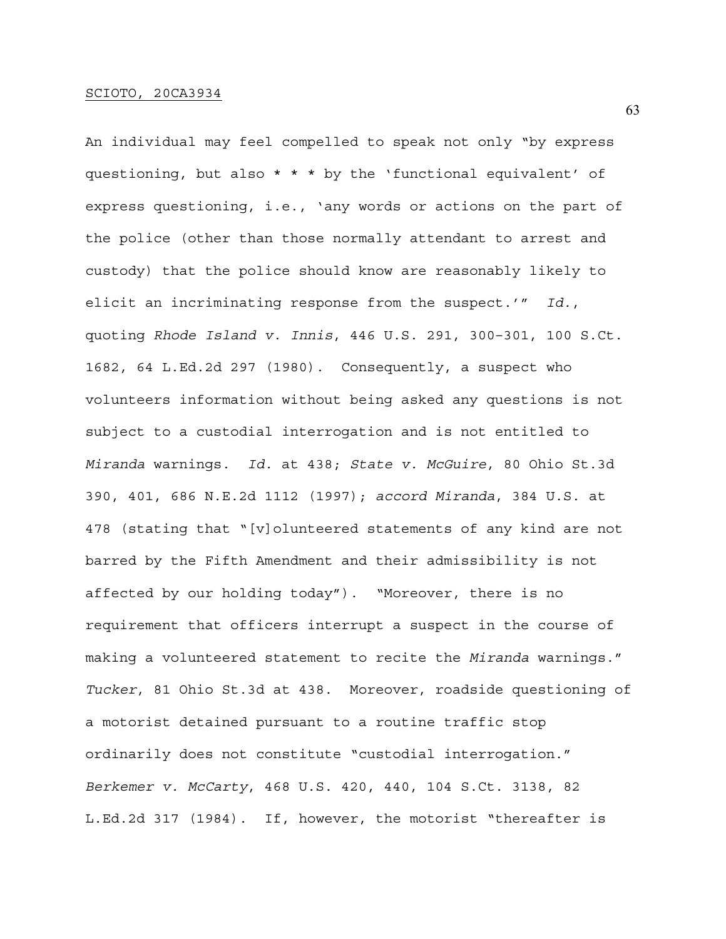An individual may feel compelled to speak not only "by express questioning, but also \* \* \* by the 'functional equivalent' of express questioning, i.e., 'any words or actions on the part of the police (other than those normally attendant to arrest and custody) that the police should know are reasonably likely to elicit an incriminating response from the suspect.'" *Id.*, quoting *Rhode Island v. Innis*, 446 U.S. 291, 300–301, 100 S.Ct. 1682, 64 L.Ed.2d 297 (1980). Consequently, a suspect who volunteers information without being asked any questions is not subject to a custodial interrogation and is not entitled to *Miranda* warnings. *Id.* at 438; *State v. McGuire*, 80 Ohio St.3d 390, 401, 686 N.E.2d 1112 (1997); *accord Miranda*, 384 U.S. at 478 (stating that "[v]olunteered statements of any kind are not barred by the Fifth Amendment and their admissibility is not affected by our holding today"). "Moreover, there is no requirement that officers interrupt a suspect in the course of making a volunteered statement to recite the *Miranda* warnings." *Tucker*, 81 Ohio St.3d at 438. Moreover, roadside questioning of a motorist detained pursuant to a routine traffic stop ordinarily does not constitute "custodial interrogation." *Berkemer v. McCarty*, 468 U.S. 420, 440, 104 S.Ct. 3138, 82 L.Ed.2d 317 (1984). If, however, the motorist "thereafter is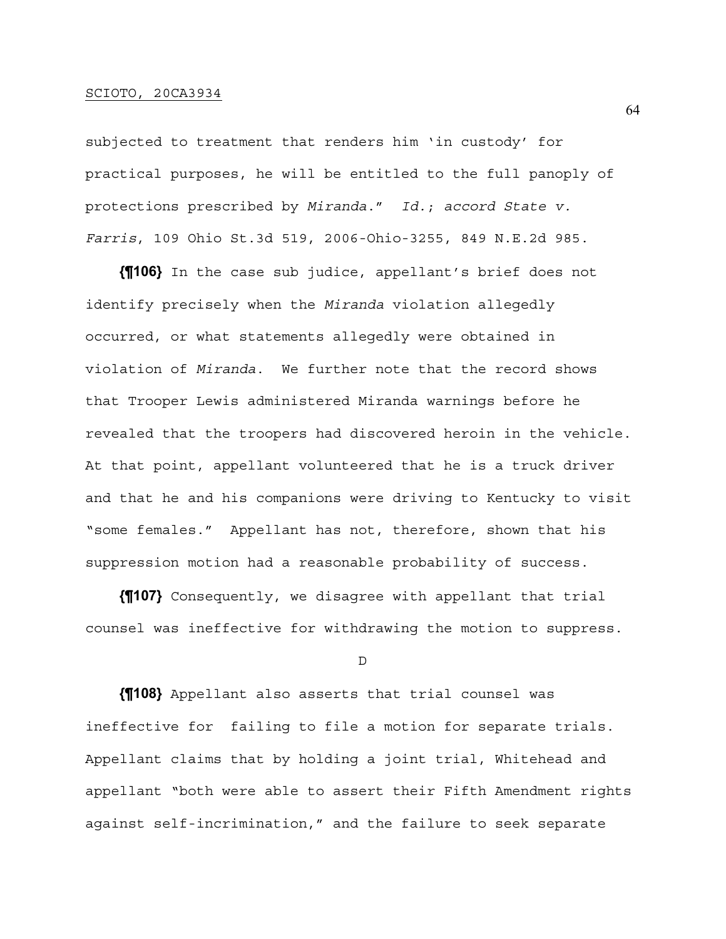subjected to treatment that renders him 'in custody' for practical purposes, he will be entitled to the full panoply of protections prescribed by *Miranda*." *Id.*; *accord State v. Farris*, 109 Ohio St.3d 519, 2006-Ohio-3255, 849 N.E.2d 985.

**{¶106}** In the case sub judice, appellant's brief does not identify precisely when the *Miranda* violation allegedly occurred, or what statements allegedly were obtained in violation of *Miranda*. We further note that the record shows that Trooper Lewis administered Miranda warnings before he revealed that the troopers had discovered heroin in the vehicle. At that point, appellant volunteered that he is a truck driver and that he and his companions were driving to Kentucky to visit "some females." Appellant has not, therefore, shown that his suppression motion had a reasonable probability of success.

**{¶107}** Consequently, we disagree with appellant that trial counsel was ineffective for withdrawing the motion to suppress.

D

**{¶108}** Appellant also asserts that trial counsel was ineffective for failing to file a motion for separate trials. Appellant claims that by holding a joint trial, Whitehead and appellant "both were able to assert their Fifth Amendment rights against self-incrimination," and the failure to seek separate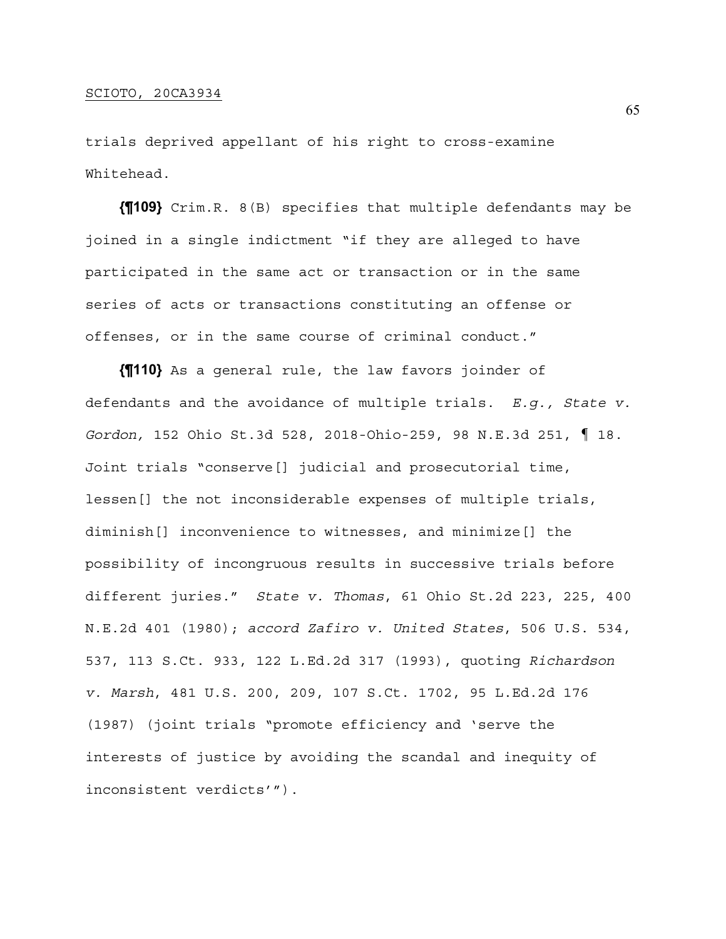trials deprived appellant of his right to cross-examine Whitehead.

**{¶109}** Crim.R. 8(B) specifies that multiple defendants may be joined in a single indictment "if they are alleged to have participated in the same act or transaction or in the same series of acts or transactions constituting an offense or offenses, or in the same course of criminal conduct."

**{¶110}** As a general rule, the law favors joinder of defendants and the avoidance of multiple trials. *E.g., State v. Gordon,* 152 Ohio St.3d 528, 2018-Ohio-259, 98 N.E.3d 251, ¶ 18. Joint trials "conserve[] judicial and prosecutorial time, lessen[] the not inconsiderable expenses of multiple trials, diminish[] inconvenience to witnesses, and minimize[] the possibility of incongruous results in successive trials before different juries." *State v. Thomas*, 61 Ohio St.2d 223, 225, 400 N.E.2d 401 (1980); *accord Zafiro v. United States*, 506 U.S. 534, 537, 113 S.Ct. 933, 122 L.Ed.2d 317 (1993), quoting *Richardson v. Marsh*, 481 U.S. 200, 209, 107 S.Ct. 1702, 95 L.Ed.2d 176 (1987) (joint trials "promote efficiency and 'serve the interests of justice by avoiding the scandal and inequity of inconsistent verdicts'").

65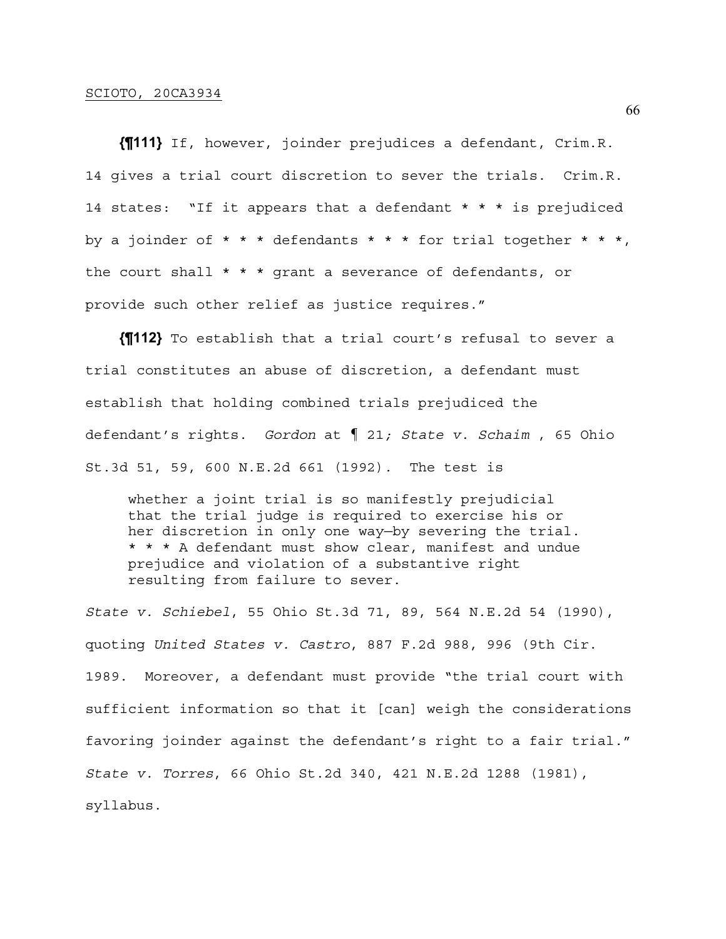**{¶111}** If, however, joinder prejudices a defendant, Crim.R. 14 gives a trial court discretion to sever the trials. Crim.R. 14 states: "If it appears that a defendant \* \* \* is prejudiced by a joinder of \* \* \* defendants \* \* \* for trial together \* \* \*, the court shall \* \* \* grant a severance of defendants, or provide such other relief as justice requires."

**{¶112}** To establish that a trial court's refusal to sever a trial constitutes an abuse of discretion, a defendant must establish that holding combined trials prejudiced the defendant's rights. *Gordon* at ¶ 21*; State v. Schaim* , 65 Ohio St.3d 51, 59, 600 N.E.2d 661 (1992)*.* The test is

whether a joint trial is so manifestly prejudicial that the trial judge is required to exercise his or her discretion in only one way—by severing the trial. \* \* \* A defendant must show clear, manifest and undue prejudice and violation of a substantive right resulting from failure to sever.

*State v. Schiebel*, 55 Ohio St.3d 71, 89, 564 N.E.2d 54 (1990), quoting *United States v. Castro*, 887 F.2d 988, 996 (9th Cir. 1989. Moreover, a defendant must provide "the trial court with sufficient information so that it [can] weigh the considerations favoring joinder against the defendant's right to a fair trial." *State v. Torres*, 66 Ohio St.2d 340, 421 N.E.2d 1288 (1981), syllabus.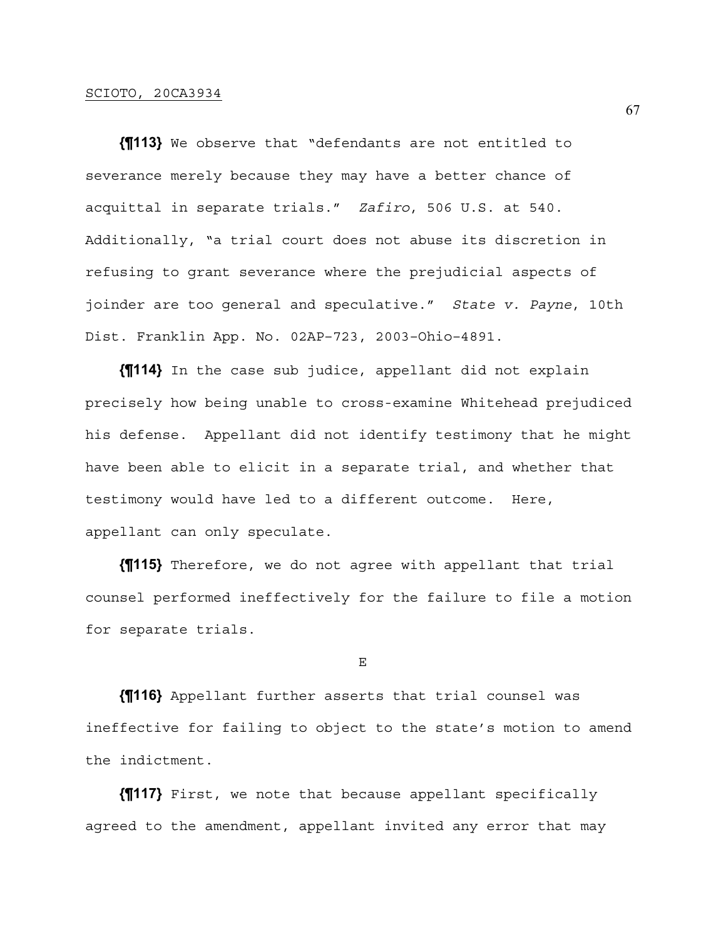**{¶113}** We observe that "defendants are not entitled to severance merely because they may have a better chance of acquittal in separate trials." *Zafiro*, 506 U.S. at 540. Additionally, "a trial court does not abuse its discretion in refusing to grant severance where the prejudicial aspects of joinder are too general and speculative." *State v. Payne*, 10th Dist. Franklin App. No. 02AP–723, 2003–Ohio–4891.

**{¶114}** In the case sub judice, appellant did not explain precisely how being unable to cross-examine Whitehead prejudiced his defense. Appellant did not identify testimony that he might have been able to elicit in a separate trial, and whether that testimony would have led to a different outcome. Here, appellant can only speculate.

**{¶115}** Therefore, we do not agree with appellant that trial counsel performed ineffectively for the failure to file a motion for separate trials.

E

**{¶116}** Appellant further asserts that trial counsel was ineffective for failing to object to the state's motion to amend the indictment.

**{¶117}** First, we note that because appellant specifically agreed to the amendment, appellant invited any error that may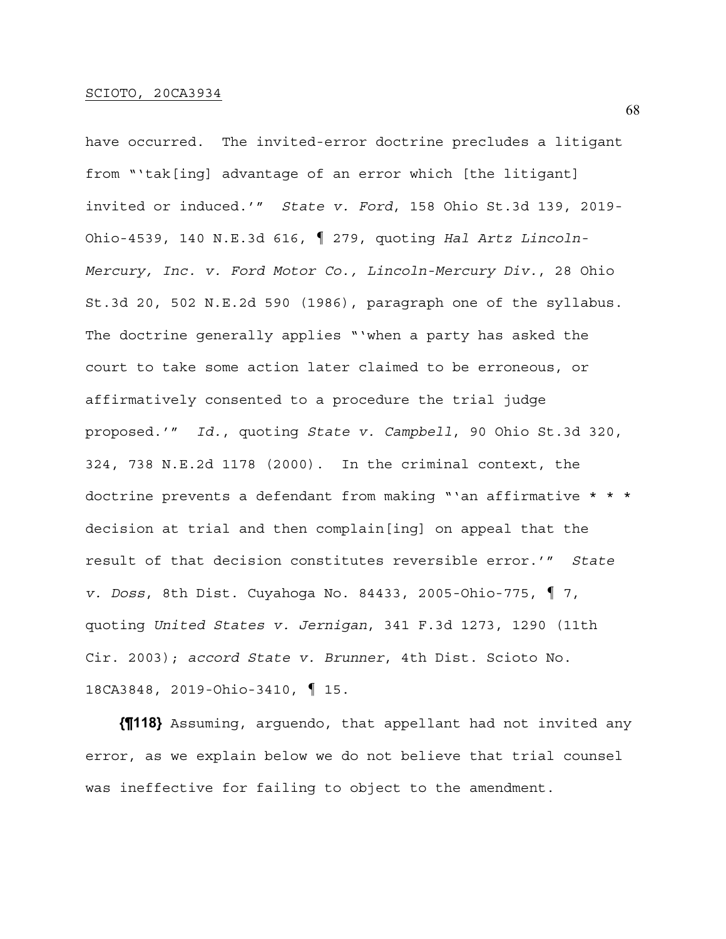have occurred. The invited-error doctrine precludes a litigant from "'tak[ing] advantage of an error which [the litigant] invited or induced.'" *State v. Ford*, 158 Ohio St.3d 139, 2019- Ohio-4539, 140 N.E.3d 616, ¶ 279, quoting *Hal Artz Lincoln-Mercury, Inc. v. Ford Motor Co., Lincoln-Mercury Div.*, 28 Ohio St.3d 20, 502 N.E.2d 590 (1986), paragraph one of the syllabus. The doctrine generally applies "'when a party has asked the court to take some action later claimed to be erroneous, or affirmatively consented to a procedure the trial judge proposed.'" *Id.*, quoting *State v. Campbell*, 90 Ohio St.3d 320, 324, 738 N.E.2d 1178 (2000). In the criminal context, the doctrine prevents a defendant from making "'an affirmative \* \* \* decision at trial and then complain[ing] on appeal that the result of that decision constitutes reversible error.'" *State v. Doss*, 8th Dist. Cuyahoga No. 84433, 2005-Ohio-775, ¶ 7, quoting *United States v. Jernigan*, 341 F.3d 1273, 1290 (11th Cir. 2003); *accord State v. Brunner*, 4th Dist. Scioto No. 18CA3848, 2019-Ohio-3410, ¶ 15.

**{¶118}** Assuming, arguendo, that appellant had not invited any error, as we explain below we do not believe that trial counsel was ineffective for failing to object to the amendment.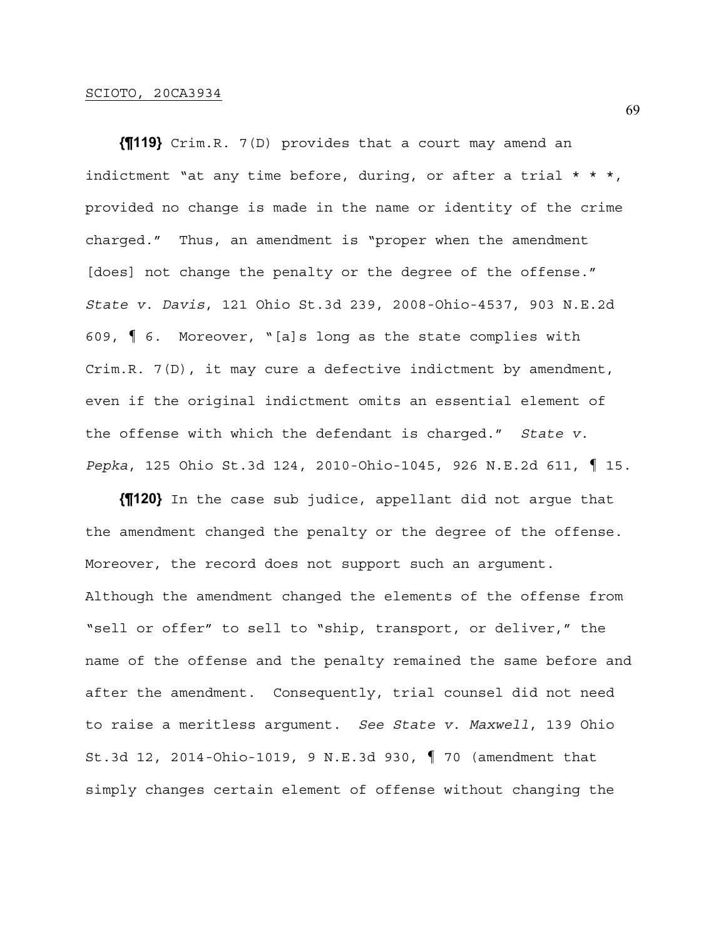**{¶119}** Crim.R. 7(D) provides that a court may amend an indictment "at any time before, during, or after a trial  $* * *$ , provided no change is made in the name or identity of the crime charged." Thus, an amendment is "proper when the amendment [does] not change the penalty or the degree of the offense." *State v. Davis*, 121 Ohio St.3d 239, 2008-Ohio-4537, 903 N.E.2d 609, ¶ 6. Moreover, "[a]s long as the state complies with Crim.R. 7(D), it may cure a defective indictment by amendment, even if the original indictment omits an essential element of the offense with which the defendant is charged." *State v. Pepka*, 125 Ohio St.3d 124, 2010-Ohio-1045, 926 N.E.2d 611, ¶ 15.

**{¶120}** In the case sub judice, appellant did not argue that the amendment changed the penalty or the degree of the offense. Moreover, the record does not support such an argument. Although the amendment changed the elements of the offense from "sell or offer" to sell to "ship, transport, or deliver," the name of the offense and the penalty remained the same before and after the amendment. Consequently, trial counsel did not need to raise a meritless argument. *See State v. Maxwell*, 139 Ohio St.3d 12, 2014-Ohio-1019, 9 N.E.3d 930, ¶ 70 (amendment that simply changes certain element of offense without changing the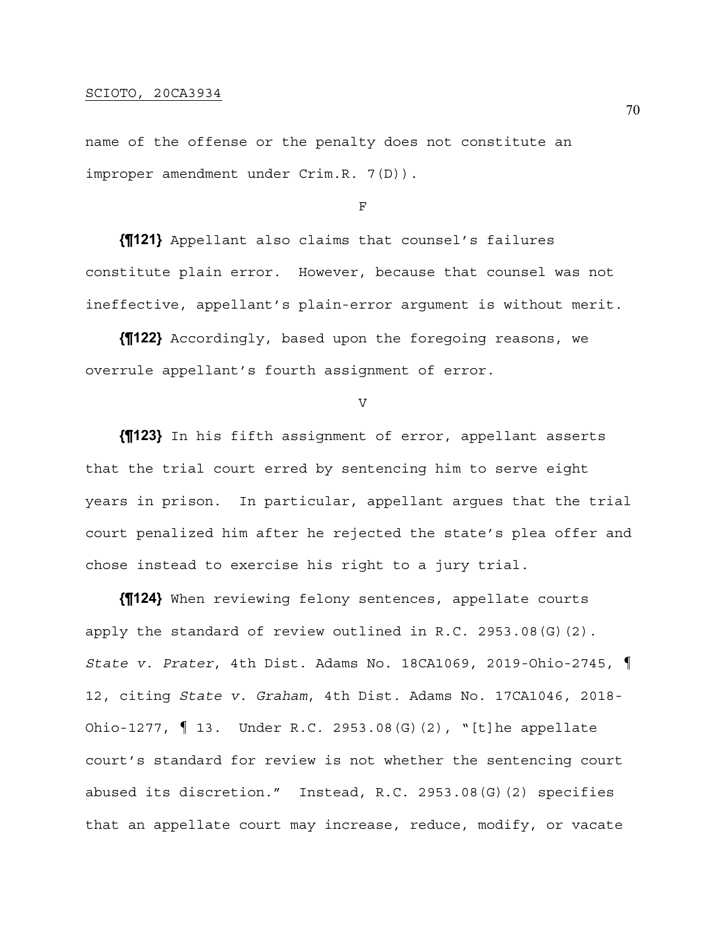name of the offense or the penalty does not constitute an improper amendment under Crim.R. 7(D)).

F

**{¶121}** Appellant also claims that counsel's failures constitute plain error. However, because that counsel was not ineffective, appellant's plain-error argument is without merit.

**{¶122}** Accordingly, based upon the foregoing reasons, we overrule appellant's fourth assignment of error.

V

**{¶123}** In his fifth assignment of error, appellant asserts that the trial court erred by sentencing him to serve eight years in prison. In particular, appellant argues that the trial court penalized him after he rejected the state's plea offer and chose instead to exercise his right to a jury trial.

**{¶124}** When reviewing felony sentences, appellate courts apply the standard of review outlined in R.C. 2953.08(G)(2). *State v. Prater*, 4th Dist. Adams No. 18CA1069, 2019-Ohio-2745, ¶ 12, citing *State v. Graham*, 4th Dist. Adams No. 17CA1046, 2018- Ohio-1277, ¶ 13. Under R.C. 2953.08(G)(2), "[t]he appellate court's standard for review is not whether the sentencing court abused its discretion." Instead, R.C. 2953.08(G)(2) specifies that an appellate court may increase, reduce, modify, or vacate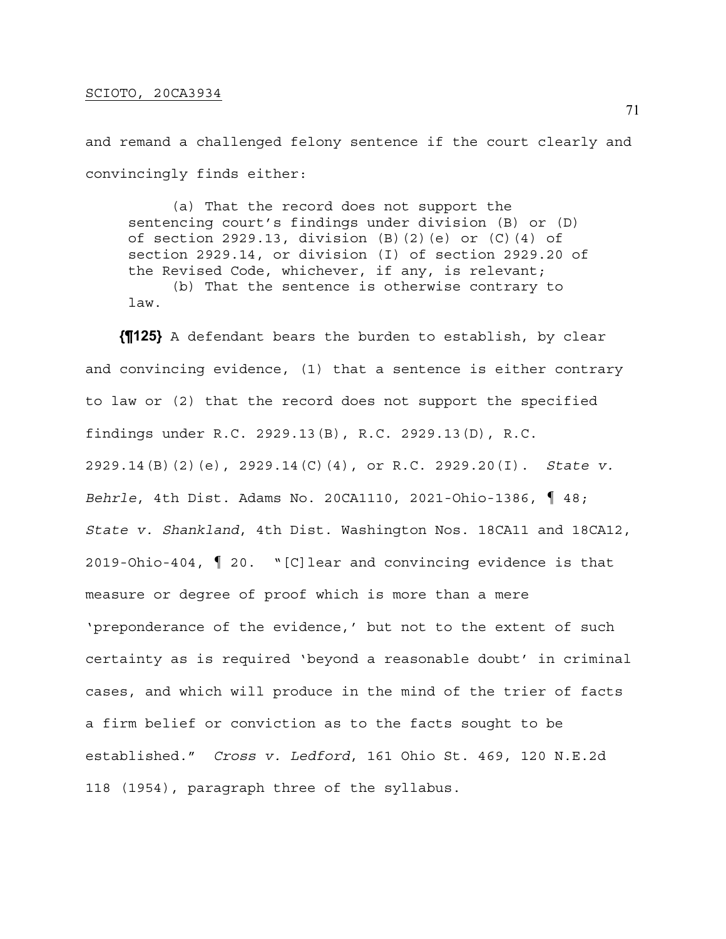and remand a challenged felony sentence if the court clearly and convincingly finds either:

 (a) That the record does not support the sentencing court's findings under division (B) or (D) of section 2929.13, division (B)(2)(e) or (C)(4) of section 2929.14, or division (I) of section 2929.20 of the Revised Code, whichever, if any, is relevant; (b) That the sentence is otherwise contrary to law.

**{¶125}** A defendant bears the burden to establish, by clear and convincing evidence, (1) that a sentence is either contrary to law or (2) that the record does not support the specified findings under R.C. 2929.13(B), R.C. 2929.13(D), R.C. 2929.14(B)(2)(e), 2929.14(C)(4), or R.C. 2929.20(I). *State v. Behrle*, 4th Dist. Adams No. 20CA1110, 2021-Ohio-1386, ¶ 48; *State v. Shankland*, 4th Dist. Washington Nos. 18CA11 and 18CA12, 2019-Ohio-404, ¶ 20. "[C]lear and convincing evidence is that measure or degree of proof which is more than a mere 'preponderance of the evidence,' but not to the extent of such certainty as is required 'beyond a reasonable doubt' in criminal cases, and which will produce in the mind of the trier of facts a firm belief or conviction as to the facts sought to be established." *Cross v. Ledford*, 161 Ohio St. 469, 120 N.E.2d 118 (1954), paragraph three of the syllabus.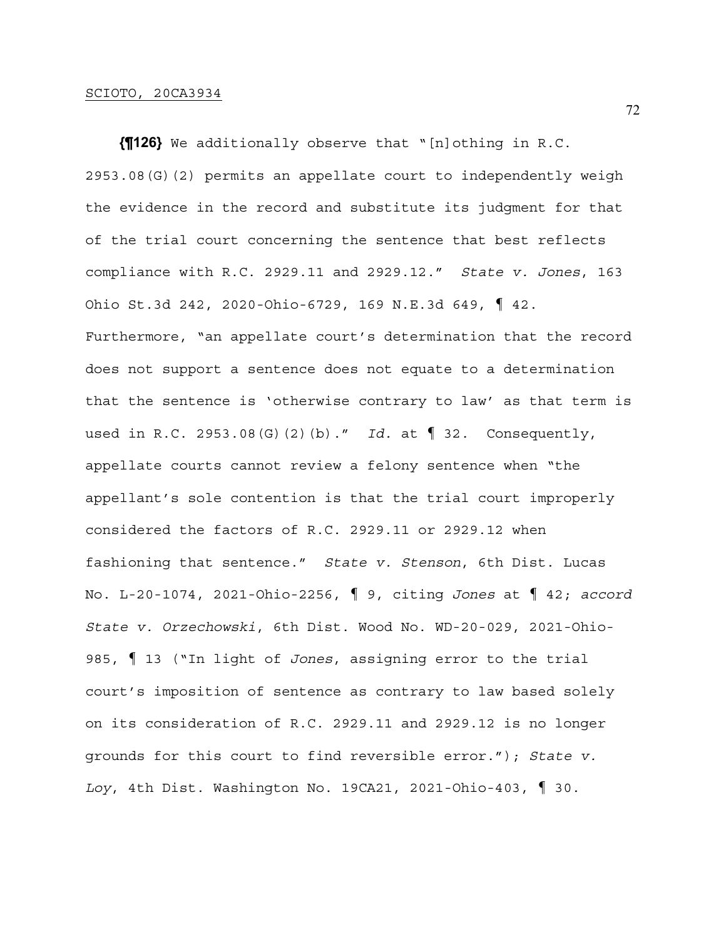**{¶126}** We additionally observe that "[n]othing in R.C. 2953.08(G)(2) permits an appellate court to independently weigh the evidence in the record and substitute its judgment for that of the trial court concerning the sentence that best reflects compliance with R.C. 2929.11 and 2929.12." *State v. Jones*, 163 Ohio St.3d 242, 2020-Ohio-6729, 169 N.E.3d 649, ¶ 42. Furthermore, "an appellate court's determination that the record does not support a sentence does not equate to a determination that the sentence is 'otherwise contrary to law' as that term is used in R.C. 2953.08(G)(2)(b)." *Id.* at ¶ 32. Consequently, appellate courts cannot review a felony sentence when "the appellant's sole contention is that the trial court improperly considered the factors of R.C. 2929.11 or 2929.12 when fashioning that sentence." *State v. Stenson*, 6th Dist. Lucas No. L-20-1074, 2021-Ohio-2256, ¶ 9, citing *Jones* at ¶ 42; *accord State v. Orzechowski*, 6th Dist. Wood No. WD-20-029, 2021-Ohio-985, ¶ 13 ("In light of *Jones*, assigning error to the trial court's imposition of sentence as contrary to law based solely on its consideration of R.C. 2929.11 and 2929.12 is no longer grounds for this court to find reversible error."); *State v. Loy*, 4th Dist. Washington No. 19CA21, 2021-Ohio-403, ¶ 30.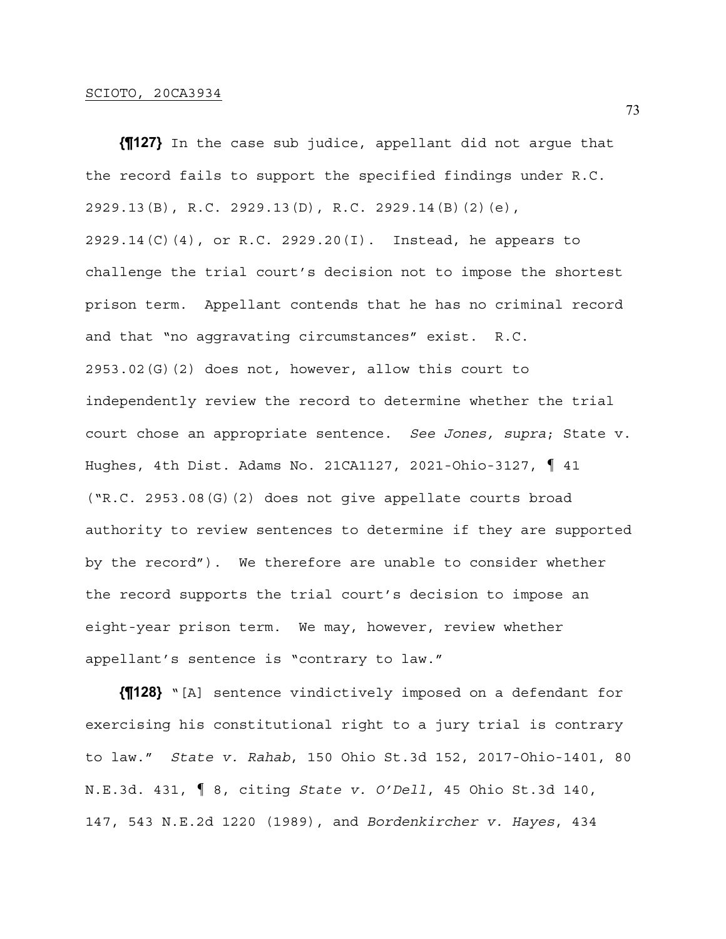**{¶127}** In the case sub judice, appellant did not argue that the record fails to support the specified findings under R.C. 2929.13(B), R.C. 2929.13(D), R.C. 2929.14(B)(2)(e), 2929.14(C)(4), or R.C. 2929.20(I). Instead, he appears to challenge the trial court's decision not to impose the shortest prison term. Appellant contends that he has no criminal record and that "no aggravating circumstances" exist. R.C. 2953.02(G)(2) does not, however, allow this court to independently review the record to determine whether the trial court chose an appropriate sentence. *See Jones, supra*; State v. Hughes, 4th Dist. Adams No. 21CA1127, 2021-Ohio-3127, ¶ 41 ("R.C. 2953.08(G)(2) does not give appellate courts broad authority to review sentences to determine if they are supported by the record"). We therefore are unable to consider whether the record supports the trial court's decision to impose an eight-year prison term. We may, however, review whether appellant's sentence is "contrary to law."

**{¶128}** "[A] sentence vindictively imposed on a defendant for exercising his constitutional right to a jury trial is contrary to law." *State v. Rahab*, 150 Ohio St.3d 152, 2017-Ohio-1401, 80 N.E.3d. 431, ¶ 8, citing *State v. O'Dell*, 45 Ohio St.3d 140, 147, 543 N.E.2d 1220 (1989), and *Bordenkircher v. Hayes*, 434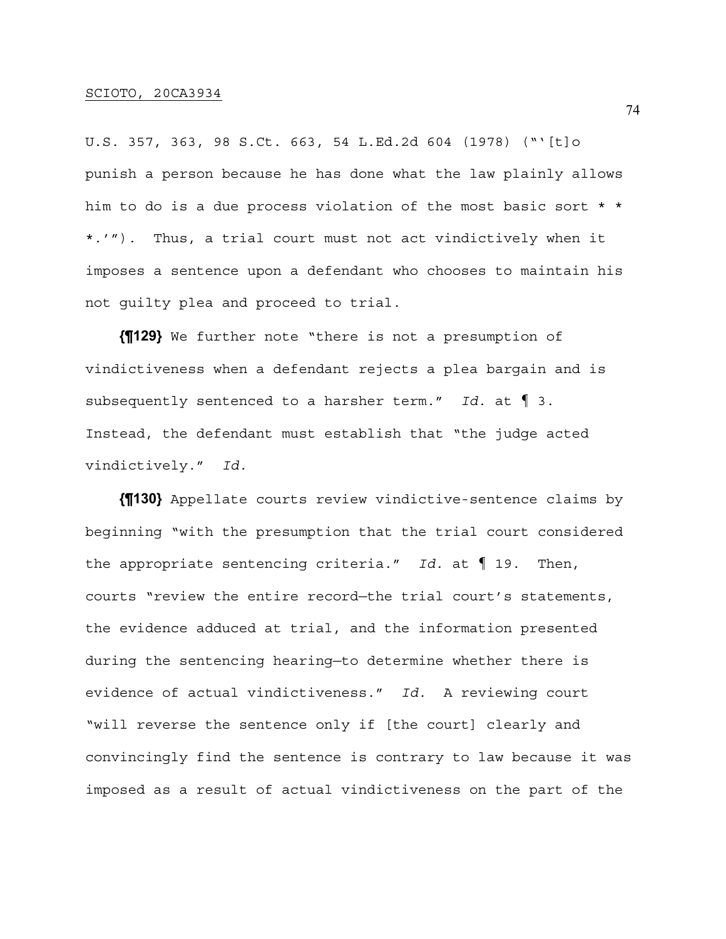## SCIOTO, 20CA3934

U.S. 357, 363, 98 S.Ct. 663, 54 L.Ed.2d 604 (1978) ("'[t]o punish a person because he has done what the law plainly allows him to do is a due process violation of the most basic sort \* \* \*.'"). Thus, a trial court must not act vindictively when it imposes a sentence upon a defendant who chooses to maintain his not guilty plea and proceed to trial.

**{¶129}** We further note "there is not a presumption of vindictiveness when a defendant rejects a plea bargain and is subsequently sentenced to a harsher term." *Id.* at ¶ 3. Instead, the defendant must establish that "the judge acted vindictively." *Id.*

**{¶130}** Appellate courts review vindictive-sentence claims by beginning "with the presumption that the trial court considered the appropriate sentencing criteria." *Id.* at ¶ 19. Then, courts "review the entire record—the trial court's statements, the evidence adduced at trial, and the information presented during the sentencing hearing—to determine whether there is evidence of actual vindictiveness." *Id.* A reviewing court "will reverse the sentence only if [the court] clearly and convincingly find the sentence is contrary to law because it was imposed as a result of actual vindictiveness on the part of the

74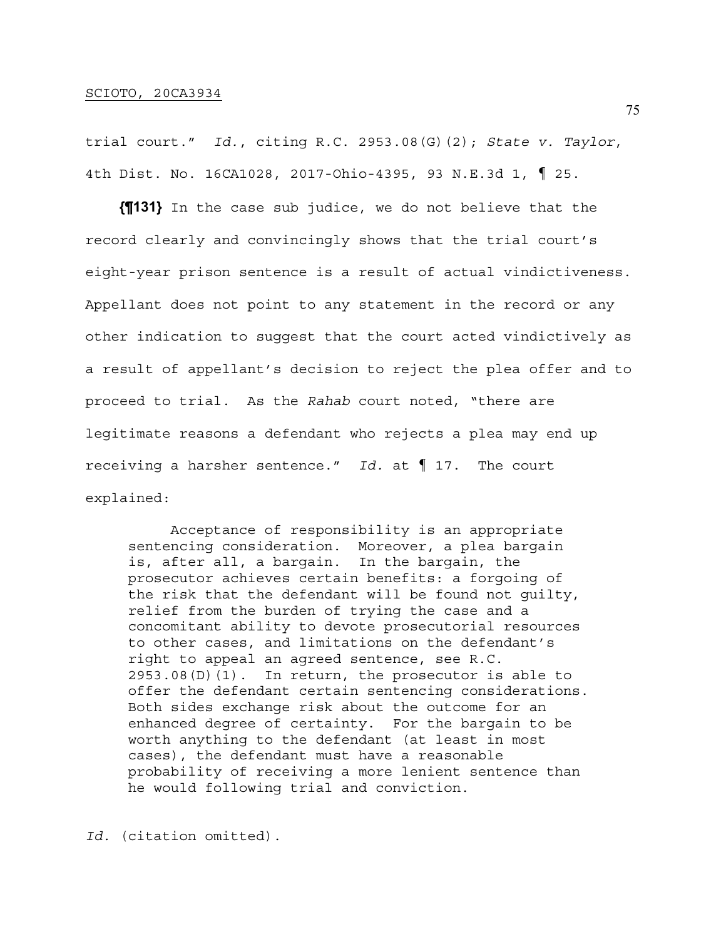trial court." *Id.*, citing R.C. 2953.08(G)(2); *State v. Taylor*, 4th Dist. No. 16CA1028, 2017-Ohio-4395, 93 N.E.3d 1, ¶ 25.

**{¶131}** In the case sub judice, we do not believe that the record clearly and convincingly shows that the trial court's eight-year prison sentence is a result of actual vindictiveness. Appellant does not point to any statement in the record or any other indication to suggest that the court acted vindictively as a result of appellant's decision to reject the plea offer and to proceed to trial. As the *Rahab* court noted, "there are legitimate reasons a defendant who rejects a plea may end up receiving a harsher sentence." *Id.* at ¶ 17. The court explained:

 Acceptance of responsibility is an appropriate sentencing consideration. Moreover, a plea bargain is, after all, a bargain. In the bargain, the prosecutor achieves certain benefits: a forgoing of the risk that the defendant will be found not guilty, relief from the burden of trying the case and a concomitant ability to devote prosecutorial resources to other cases, and limitations on the defendant's right to appeal an agreed sentence, see R.C. 2953.08(D)(1). In return, the prosecutor is able to offer the defendant certain sentencing considerations. Both sides exchange risk about the outcome for an enhanced degree of certainty. For the bargain to be worth anything to the defendant (at least in most cases), the defendant must have a reasonable probability of receiving a more lenient sentence than he would following trial and conviction.

*Id.* (citation omitted).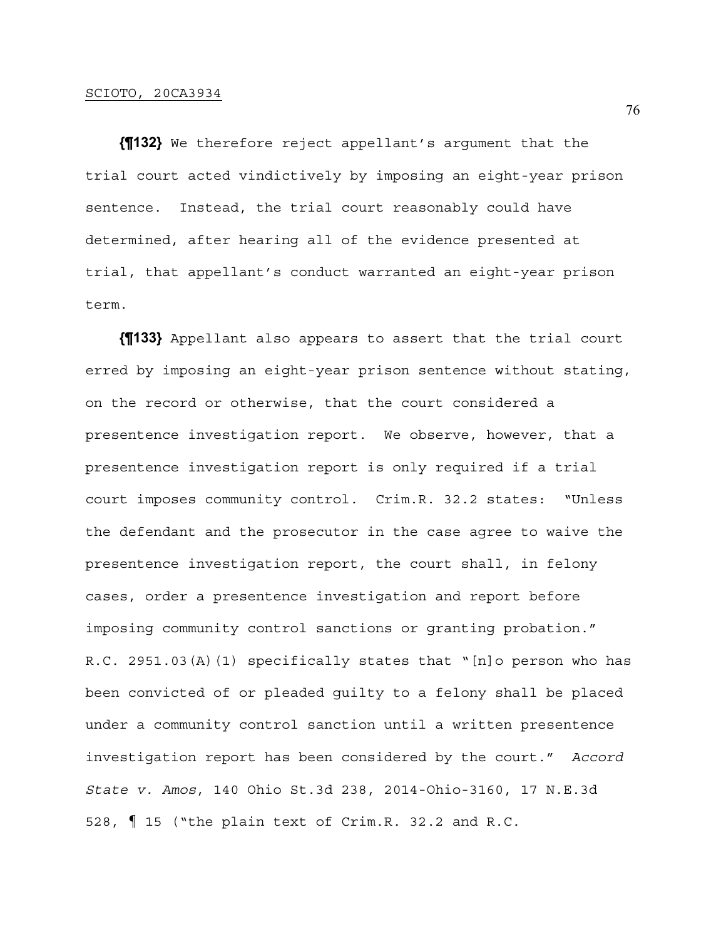**{¶132}** We therefore reject appellant's argument that the trial court acted vindictively by imposing an eight-year prison sentence. Instead, the trial court reasonably could have determined, after hearing all of the evidence presented at trial, that appellant's conduct warranted an eight-year prison term.

**{¶133}** Appellant also appears to assert that the trial court erred by imposing an eight-year prison sentence without stating, on the record or otherwise, that the court considered a presentence investigation report. We observe, however, that a presentence investigation report is only required if a trial court imposes community control. Crim.R. 32.2 states: "Unless the defendant and the prosecutor in the case agree to waive the presentence investigation report, the court shall, in felony cases, order a presentence investigation and report before imposing community control sanctions or granting probation." R.C. 2951.03(A)(1) specifically states that "[n]o person who has been convicted of or pleaded guilty to a felony shall be placed under a community control sanction until a written presentence investigation report has been considered by the court." *Accord State v. Amos*, 140 Ohio St.3d 238, 2014-Ohio-3160, 17 N.E.3d 528, ¶ 15 ("the plain text of Crim.R. 32.2 and R.C.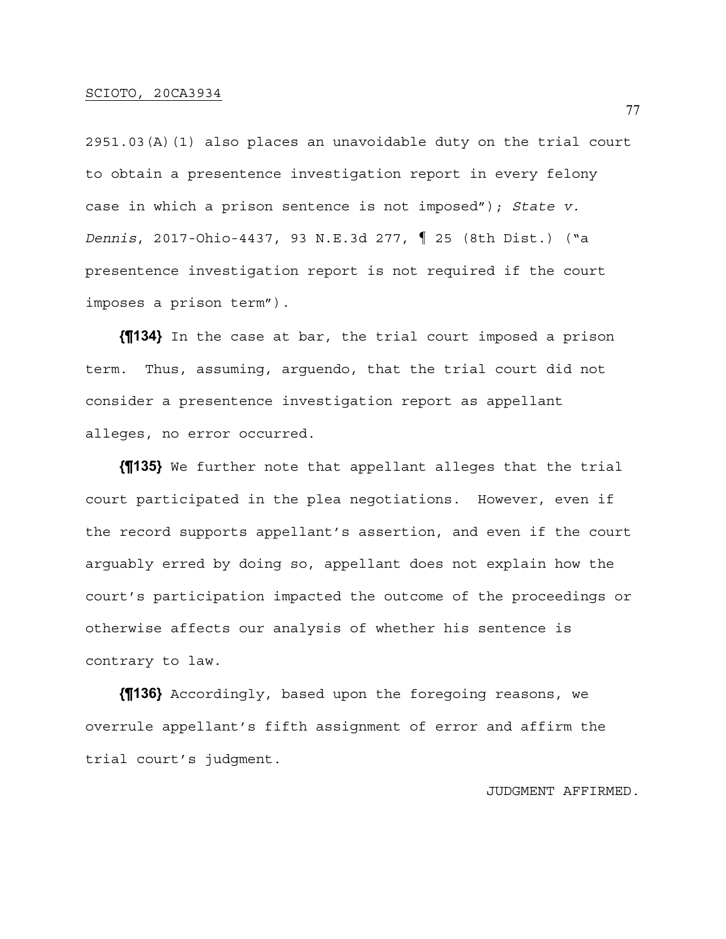2951.03(A)(1) also places an unavoidable duty on the trial court to obtain a presentence investigation report in every felony case in which a prison sentence is not imposed"); *State v. Dennis*, 2017-Ohio-4437, 93 N.E.3d 277, ¶ 25 (8th Dist.) ("a presentence investigation report is not required if the court imposes a prison term").

**{¶134}** In the case at bar, the trial court imposed a prison term. Thus, assuming, arguendo, that the trial court did not consider a presentence investigation report as appellant alleges, no error occurred.

**{¶135}** We further note that appellant alleges that the trial court participated in the plea negotiations. However, even if the record supports appellant's assertion, and even if the court arguably erred by doing so, appellant does not explain how the court's participation impacted the outcome of the proceedings or otherwise affects our analysis of whether his sentence is contrary to law.

**{¶136}** Accordingly, based upon the foregoing reasons, we overrule appellant's fifth assignment of error and affirm the trial court's judgment.

## JUDGMENT AFFIRMED.